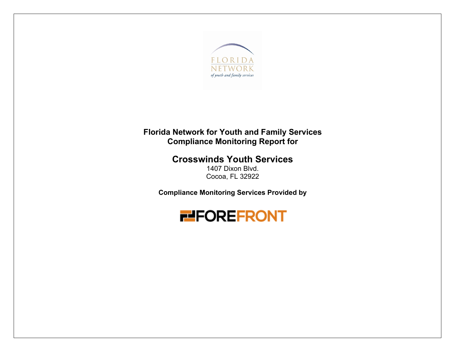

# **Florida Network for Youth and Family Services Compliance Monitoring Report for**

**Crosswinds Youth Services** 

1407 Dixon Blvd. Cocoa, FL 32922

**Compliance Monitoring Services Provided by** 

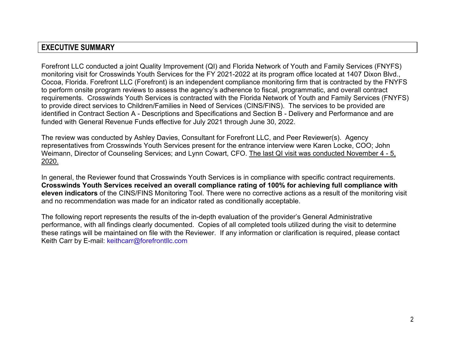## **EXECUTIVE SUMMARY**

Forefront LLC conducted a joint Quality Improvement (QI) and Florida Network of Youth and Family Services (FNYFS) monitoring visit for Crosswinds Youth Services for the FY 2021-2022 at its program office located at 1407 Dixon Blvd., Cocoa, Florida. Forefront LLC (Forefront) is an independent compliance monitoring firm that is contracted by the FNYFS to perform onsite program reviews to assess the agency's adherence to fiscal, programmatic, and overall contract requirements. Crosswinds Youth Services is contracted with the Florida Network of Youth and Family Services (FNYFS) to provide direct services to Children/Families in Need of Services (CINS/FINS). The services to be provided are identified in Contract Section A - Descriptions and Specifications and Section B - Delivery and Performance and are funded with General Revenue Funds effective for July 2021 through June 30, 2022.

The review was conducted by Ashley Davies, Consultant for Forefront LLC, and Peer Reviewer(s). Agency representatives from Crosswinds Youth Services present for the entrance interview were Karen Locke, COO; John Weimann, Director of Counseling Services; and Lynn Cowart, CFO. The last QI visit was conducted November 4 - 5, 2020.

In general, the Reviewer found that Crosswinds Youth Services is in compliance with specific contract requirements. **Crosswinds Youth Services received an overall compliance rating of 100% for achieving full compliance with eleven indicators** of the CINS/FINS Monitoring Tool. There were no corrective actions as a result of the monitoring visit and no recommendation was made for an indicator rated as conditionally acceptable.

The following report represents the results of the in-depth evaluation of the provider's General Administrative performance, with all findings clearly documented. Copies of all completed tools utilized during the visit to determine these ratings will be maintained on file with the Reviewer. If any information or clarification is required, please contact Keith Carr by E-mail: keithcarr@forefrontllc.com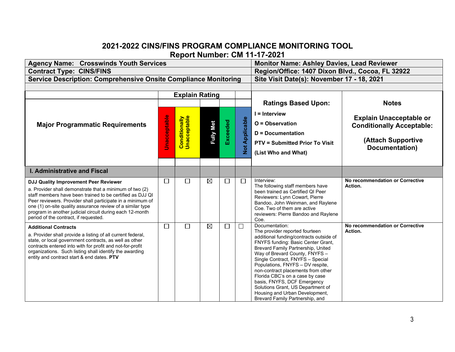## **2021-2022 CINS/FINS PROGRAM COMPLIANCE MONITORING TOOL Report Number: CM 11-17-2021**

| <b>Agency Name: Crosswinds Youth Services</b>                                                                                                                                                                                                                                                                                                                                                  |                     | <b>Monitor Name: Ashley Davies, Lead Reviewer</b> |                  |          |                       |                                                                                                                                                                                                                                                                                                                                                                                                                                                                                                     |                                                                                                            |  |
|------------------------------------------------------------------------------------------------------------------------------------------------------------------------------------------------------------------------------------------------------------------------------------------------------------------------------------------------------------------------------------------------|---------------------|---------------------------------------------------|------------------|----------|-----------------------|-----------------------------------------------------------------------------------------------------------------------------------------------------------------------------------------------------------------------------------------------------------------------------------------------------------------------------------------------------------------------------------------------------------------------------------------------------------------------------------------------------|------------------------------------------------------------------------------------------------------------|--|
| <b>Contract Type: CINS/FINS</b>                                                                                                                                                                                                                                                                                                                                                                |                     |                                                   |                  |          |                       | Region/Office: 1407 Dixon Blvd., Cocoa, FL 32922                                                                                                                                                                                                                                                                                                                                                                                                                                                    |                                                                                                            |  |
| <b>Service Description: Comprehensive Onsite Compliance Monitoring</b>                                                                                                                                                                                                                                                                                                                         |                     |                                                   |                  |          |                       | Site Visit Date(s): November 17 - 18, 2021                                                                                                                                                                                                                                                                                                                                                                                                                                                          |                                                                                                            |  |
|                                                                                                                                                                                                                                                                                                                                                                                                |                     |                                                   |                  |          |                       |                                                                                                                                                                                                                                                                                                                                                                                                                                                                                                     |                                                                                                            |  |
|                                                                                                                                                                                                                                                                                                                                                                                                |                     | <b>Explain Rating</b>                             |                  |          |                       |                                                                                                                                                                                                                                                                                                                                                                                                                                                                                                     |                                                                                                            |  |
|                                                                                                                                                                                                                                                                                                                                                                                                |                     |                                                   |                  |          |                       | <b>Ratings Based Upon:</b>                                                                                                                                                                                                                                                                                                                                                                                                                                                                          | <b>Notes</b>                                                                                               |  |
| <b>Major Programmatic Requirements</b>                                                                                                                                                                                                                                                                                                                                                         | <b>Unacceptable</b> | <b>Conditionally</b><br>Unacceptable              | <b>Fully Met</b> | Exceeded | <b>Not Applicable</b> | $I =$ Interview<br>$O = Observation$<br><b>D</b> = Documentation<br><b>PTV = Submitted Prior To Visit</b><br>(List Who and What)                                                                                                                                                                                                                                                                                                                                                                    | <b>Explain Unacceptable or</b><br><b>Conditionally Acceptable:</b><br>(Attach Supportive<br>Documentation) |  |
| <b>I. Administrative and Fiscal</b>                                                                                                                                                                                                                                                                                                                                                            |                     |                                                   |                  |          |                       |                                                                                                                                                                                                                                                                                                                                                                                                                                                                                                     |                                                                                                            |  |
| DJJ Quality Improvement Peer Reviewer<br>a. Provider shall demonstrate that a minimum of two (2)<br>staff members have been trained to be certified as DJJ QI<br>Peer reviewers. Provider shall participate in a minimum of<br>one (1) on-site quality assurance review of a similar type<br>program in another judicial circuit during each 12-month<br>period of the contract, if requested. | $\Box$              | $\Box$                                            | $\boxtimes$      | $\Box$   | $\Box$                | Interview:<br>The following staff members have<br>been trained as Certified QI Peer<br>Reviewers: Lynn Cowart, Pierre<br>Bandoo, John Weinman, and Raylene<br>Coe. Two of them are active<br>reviewers: Pierre Bandoo and Raylene<br>Coe.                                                                                                                                                                                                                                                           | No recommendation or Corrective<br>Action.                                                                 |  |
| <b>Additional Contracts</b><br>a. Provider shall provide a listing of all current federal,<br>state, or local government contracts, as well as other<br>contracts entered into with for profit and not-for-profit<br>organizations. Such listing shall identify the awarding<br>entity and contract start & end dates. PTV                                                                     | $\Box$              | $\Box$                                            | $\boxtimes$      | □        | □                     | Documentation:<br>The provider reported fourteen<br>additional funding/contracts outside of<br>FNYFS funding: Basic Center Grant,<br>Brevard Family Partnership, United<br>Way of Brevard County, FNYFS -<br>Single Contract, FNYFS - Special<br>Populations, FNYFS - DV respite,<br>non-contract placements from other<br>Florida CBC's on a case by case<br>basis, FNYFS, DCF Emergency<br>Solutions Grant, US Department of<br>Housing and Urban Development,<br>Brevard Family Partnership, and | No recommendation or Corrective<br>Action.                                                                 |  |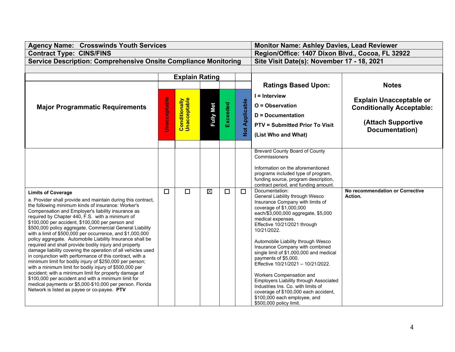| <b>Agency Name: Crosswinds Youth Services</b>                                                                                                                                                                                                                                                                                                                                                                                                                                                                                                                                                                                                                                                                                                                                                                                                                                                                                                                                                                                             |                     | <b>Monitor Name: Ashley Davies, Lead Reviewer</b> |                  |          |               |                                                                                                                                                                                                                                                                                                                                                                                                                                                                                                                                                                                                                              |                                                                    |  |
|-------------------------------------------------------------------------------------------------------------------------------------------------------------------------------------------------------------------------------------------------------------------------------------------------------------------------------------------------------------------------------------------------------------------------------------------------------------------------------------------------------------------------------------------------------------------------------------------------------------------------------------------------------------------------------------------------------------------------------------------------------------------------------------------------------------------------------------------------------------------------------------------------------------------------------------------------------------------------------------------------------------------------------------------|---------------------|---------------------------------------------------|------------------|----------|---------------|------------------------------------------------------------------------------------------------------------------------------------------------------------------------------------------------------------------------------------------------------------------------------------------------------------------------------------------------------------------------------------------------------------------------------------------------------------------------------------------------------------------------------------------------------------------------------------------------------------------------------|--------------------------------------------------------------------|--|
| <b>Contract Type: CINS/FINS</b>                                                                                                                                                                                                                                                                                                                                                                                                                                                                                                                                                                                                                                                                                                                                                                                                                                                                                                                                                                                                           |                     |                                                   |                  |          |               | Region/Office: 1407 Dixon Blvd., Cocoa, FL 32922                                                                                                                                                                                                                                                                                                                                                                                                                                                                                                                                                                             |                                                                    |  |
| <b>Service Description: Comprehensive Onsite Compliance Monitoring</b>                                                                                                                                                                                                                                                                                                                                                                                                                                                                                                                                                                                                                                                                                                                                                                                                                                                                                                                                                                    |                     |                                                   |                  |          |               | Site Visit Date(s): November 17 - 18, 2021                                                                                                                                                                                                                                                                                                                                                                                                                                                                                                                                                                                   |                                                                    |  |
|                                                                                                                                                                                                                                                                                                                                                                                                                                                                                                                                                                                                                                                                                                                                                                                                                                                                                                                                                                                                                                           |                     |                                                   |                  |          |               |                                                                                                                                                                                                                                                                                                                                                                                                                                                                                                                                                                                                                              |                                                                    |  |
|                                                                                                                                                                                                                                                                                                                                                                                                                                                                                                                                                                                                                                                                                                                                                                                                                                                                                                                                                                                                                                           |                     | <b>Explain Rating</b>                             |                  |          |               |                                                                                                                                                                                                                                                                                                                                                                                                                                                                                                                                                                                                                              |                                                                    |  |
|                                                                                                                                                                                                                                                                                                                                                                                                                                                                                                                                                                                                                                                                                                                                                                                                                                                                                                                                                                                                                                           |                     |                                                   |                  |          |               | <b>Ratings Based Upon:</b>                                                                                                                                                                                                                                                                                                                                                                                                                                                                                                                                                                                                   | <b>Notes</b>                                                       |  |
| <b>Major Programmatic Requirements</b>                                                                                                                                                                                                                                                                                                                                                                                                                                                                                                                                                                                                                                                                                                                                                                                                                                                                                                                                                                                                    |                     |                                                   |                  |          | Applicable    | $I =$ Interview<br>O = Observation                                                                                                                                                                                                                                                                                                                                                                                                                                                                                                                                                                                           | <b>Explain Unacceptable or</b><br><b>Conditionally Acceptable:</b> |  |
|                                                                                                                                                                                                                                                                                                                                                                                                                                                                                                                                                                                                                                                                                                                                                                                                                                                                                                                                                                                                                                           |                     |                                                   |                  |          |               | <b>D</b> = Documentation                                                                                                                                                                                                                                                                                                                                                                                                                                                                                                                                                                                                     |                                                                    |  |
|                                                                                                                                                                                                                                                                                                                                                                                                                                                                                                                                                                                                                                                                                                                                                                                                                                                                                                                                                                                                                                           | <b>Unacceptable</b> | <b>Conditionally</b><br>Unacceptable              | <b>Fully Met</b> | Exceeded | $\frac{1}{2}$ | <b>PTV = Submitted Prior To Visit</b><br>(List Who and What)                                                                                                                                                                                                                                                                                                                                                                                                                                                                                                                                                                 | (Attach Supportive<br>Documentation)                               |  |
|                                                                                                                                                                                                                                                                                                                                                                                                                                                                                                                                                                                                                                                                                                                                                                                                                                                                                                                                                                                                                                           |                     |                                                   |                  |          |               |                                                                                                                                                                                                                                                                                                                                                                                                                                                                                                                                                                                                                              |                                                                    |  |
|                                                                                                                                                                                                                                                                                                                                                                                                                                                                                                                                                                                                                                                                                                                                                                                                                                                                                                                                                                                                                                           |                     |                                                   |                  |          |               | <b>Brevard County Board of County</b><br>Commissioners<br>Information on the aforementioned<br>programs included type of program,<br>funding source, program description,<br>contract period, and funding amount.                                                                                                                                                                                                                                                                                                                                                                                                            |                                                                    |  |
| <b>Limits of Coverage</b><br>a. Provider shall provide and maintain during this contract,<br>the following minimum kinds of insurance: Worker's<br>Compensation and Employer's liability insurance as<br>required by Chapter 440, F.S. with a minimum of<br>\$100,000 per accident, \$100,000 per person and<br>\$500,000 policy aggregate. Commercial General Liability<br>with a limit of \$500,000 per occurrence, and \$1,000,000<br>policy aggregate. Automobile Liability Insurance shall be<br>required and shall provide bodily injury and property<br>damage liability covering the operation of all vehicles used<br>in conjunction with performance of this contract, with a<br>minimum limit for bodily injury of \$250,000 per person;<br>with a minimum limit for bodily injury of \$500,000 per<br>accident; with a minimum limit for property damage of<br>\$100,000 per accident and with a minimum limit for<br>medical payments or \$5,000-\$10,000 per person. Florida<br>Network is listed as payee or co-payee. PTV | $\Box$              | $\Box$                                            | $\boxtimes$      | $\Box$   | $\Box$        | Documentation:<br>General Liability through Wesco<br>Insurance Company with limits of<br>coverage of \$1,000,000<br>each/\$3,000,000 aggregate, \$5,000<br>medical expenses.<br>Effective 10/21/2021 through<br>10/21/2022.<br>Automobile Liability through Wesco<br>Insurance Company with combined<br>single limit of \$1,000,000 and medical<br>payments of \$5,000.<br>Effective 10/21/2021 - 10/21/2022.<br>Workers Compensation and<br>Employers Liability through Associated<br>Industries Ins. Co. with limits of<br>coverage of \$100,000 each accident,<br>\$100,000 each employee, and<br>\$500,000 policy limit. | No recommendation or Corrective<br>Action.                         |  |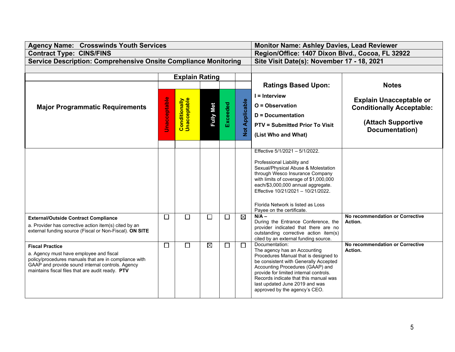| <b>Agency Name: Crosswinds Youth Services</b>                                                                    |                     |                                      | <b>Monitor Name: Ashley Davies, Lead Reviewer</b> |          |                |                                                                                 |                                      |  |
|------------------------------------------------------------------------------------------------------------------|---------------------|--------------------------------------|---------------------------------------------------|----------|----------------|---------------------------------------------------------------------------------|--------------------------------------|--|
| <b>Contract Type: CINS/FINS</b>                                                                                  |                     |                                      |                                                   |          |                | Region/Office: 1407 Dixon Blvd., Cocoa, FL 32922                                |                                      |  |
| <b>Service Description: Comprehensive Onsite Compliance Monitoring</b>                                           |                     |                                      |                                                   |          |                | Site Visit Date(s): November 17 - 18, 2021                                      |                                      |  |
|                                                                                                                  |                     |                                      |                                                   |          |                |                                                                                 |                                      |  |
|                                                                                                                  |                     | <b>Explain Rating</b>                |                                                   |          |                |                                                                                 |                                      |  |
|                                                                                                                  |                     |                                      |                                                   |          |                | <b>Ratings Based Upon:</b>                                                      | <b>Notes</b>                         |  |
|                                                                                                                  |                     |                                      |                                                   |          |                | $I =$ Interview                                                                 |                                      |  |
|                                                                                                                  |                     |                                      |                                                   |          |                | O = Observation                                                                 | <b>Explain Unacceptable or</b>       |  |
| <b>Major Programmatic Requirements</b>                                                                           | <b>Unacceptable</b> | <b>Conditionally</b><br>Unacceptable |                                                   | Exceeded | Not Applicable |                                                                                 | <b>Conditionally Acceptable:</b>     |  |
|                                                                                                                  |                     |                                      | <b>Fully Met</b>                                  |          |                | <b>D</b> = Documentation                                                        |                                      |  |
|                                                                                                                  |                     |                                      |                                                   |          |                | <b>PTV = Submitted Prior To Visit</b>                                           | (Attach Supportive<br>Documentation) |  |
|                                                                                                                  |                     |                                      |                                                   |          |                | (List Who and What)                                                             |                                      |  |
|                                                                                                                  |                     |                                      |                                                   |          |                |                                                                                 |                                      |  |
|                                                                                                                  |                     |                                      |                                                   |          |                | Effective 5/1/2021 - 5/1/2022.                                                  |                                      |  |
|                                                                                                                  |                     |                                      |                                                   |          |                |                                                                                 |                                      |  |
|                                                                                                                  |                     |                                      |                                                   |          |                | Professional Liability and<br>Sexual/Physical Abuse & Molestation               |                                      |  |
|                                                                                                                  |                     |                                      |                                                   |          |                | through Wesco Insurance Company                                                 |                                      |  |
|                                                                                                                  |                     |                                      |                                                   |          |                | with limits of coverage of \$1,000,000<br>each/\$3,000,000 annual aggregate.    |                                      |  |
|                                                                                                                  |                     |                                      |                                                   |          |                | Effective 10/21/2021 - 10/21/2022.                                              |                                      |  |
|                                                                                                                  |                     |                                      |                                                   |          |                |                                                                                 |                                      |  |
|                                                                                                                  |                     |                                      |                                                   |          |                | Florida Network is listed as Loss                                               |                                      |  |
|                                                                                                                  |                     |                                      |                                                   |          |                | Payee on the certificate.<br>$N/A -$                                            | No recommendation or Corrective      |  |
| <b>External/Outside Contract Compliance</b>                                                                      | $\Box$              | $\Box$                               | $\Box$                                            | $\Box$   | $\boxtimes$    | During the Entrance Conference, the                                             | Action.                              |  |
| a. Provider has corrective action item(s) cited by an<br>external funding source (Fiscal or Non-Fiscal). ON SITE |                     |                                      |                                                   |          |                | provider indicated that there are no                                            |                                      |  |
|                                                                                                                  |                     |                                      |                                                   |          |                | outstanding corrective action item(s)<br>cited by an external funding source.   |                                      |  |
| <b>Fiscal Practice</b>                                                                                           | $\Box$              | $\Box$                               | $\boxtimes$                                       | $\Box$   | П              | Documentation:                                                                  | No recommendation or Corrective      |  |
| a. Agency must have employee and fiscal                                                                          |                     |                                      |                                                   |          |                | The agency has an Accounting                                                    | Action.                              |  |
| policy/procedures manuals that are in compliance with                                                            |                     |                                      |                                                   |          |                | Procedures Manual that is designed to<br>be consistent with Generally Accepted  |                                      |  |
| GAAP and provide sound internal controls. Agency<br>maintains fiscal files that are audit ready. PTV             |                     |                                      |                                                   |          |                | Accounting Procedures (GAAP) and                                                |                                      |  |
|                                                                                                                  |                     |                                      |                                                   |          |                | provide for limited internal controls.<br>Records indicate that this manual was |                                      |  |
|                                                                                                                  |                     |                                      |                                                   |          |                | last updated June 2019 and was                                                  |                                      |  |
|                                                                                                                  |                     |                                      |                                                   |          |                | approved by the agency's CEO.                                                   |                                      |  |
|                                                                                                                  |                     |                                      |                                                   |          |                |                                                                                 |                                      |  |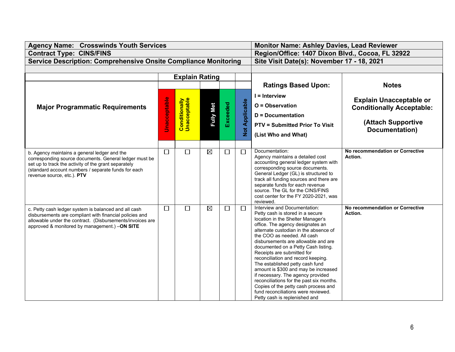| <b>Agency Name: Crosswinds Youth Services</b>                                                                                                                                                                                                       |                     | <b>Monitor Name: Ashley Davies, Lead Reviewer</b> |                  |          |                       |                                                                                                                                                                                                                                                                                                                                                                                                                                                                                                                                                                                                                                                 |                                            |  |
|-----------------------------------------------------------------------------------------------------------------------------------------------------------------------------------------------------------------------------------------------------|---------------------|---------------------------------------------------|------------------|----------|-----------------------|-------------------------------------------------------------------------------------------------------------------------------------------------------------------------------------------------------------------------------------------------------------------------------------------------------------------------------------------------------------------------------------------------------------------------------------------------------------------------------------------------------------------------------------------------------------------------------------------------------------------------------------------------|--------------------------------------------|--|
| <b>Contract Type: CINS/FINS</b>                                                                                                                                                                                                                     |                     |                                                   |                  |          |                       | Region/Office: 1407 Dixon Blvd., Cocoa, FL 32922                                                                                                                                                                                                                                                                                                                                                                                                                                                                                                                                                                                                |                                            |  |
| <b>Service Description: Comprehensive Onsite Compliance Monitoring</b>                                                                                                                                                                              |                     |                                                   |                  |          |                       | Site Visit Date(s): November 17 - 18, 2021                                                                                                                                                                                                                                                                                                                                                                                                                                                                                                                                                                                                      |                                            |  |
|                                                                                                                                                                                                                                                     |                     |                                                   |                  |          |                       |                                                                                                                                                                                                                                                                                                                                                                                                                                                                                                                                                                                                                                                 |                                            |  |
|                                                                                                                                                                                                                                                     |                     | <b>Explain Rating</b>                             |                  |          |                       |                                                                                                                                                                                                                                                                                                                                                                                                                                                                                                                                                                                                                                                 |                                            |  |
|                                                                                                                                                                                                                                                     |                     |                                                   |                  |          |                       | <b>Ratings Based Upon:</b>                                                                                                                                                                                                                                                                                                                                                                                                                                                                                                                                                                                                                      | <b>Notes</b>                               |  |
|                                                                                                                                                                                                                                                     |                     |                                                   |                  |          |                       | $I =$ Interview                                                                                                                                                                                                                                                                                                                                                                                                                                                                                                                                                                                                                                 |                                            |  |
|                                                                                                                                                                                                                                                     | <b>Unacceptable</b> |                                                   |                  |          | <b>Not Applicable</b> | O = Observation                                                                                                                                                                                                                                                                                                                                                                                                                                                                                                                                                                                                                                 | <b>Explain Unacceptable or</b>             |  |
| <b>Major Programmatic Requirements</b>                                                                                                                                                                                                              |                     | <b>Conditionally</b><br>Unacceptable              | <b>Fully Met</b> | Exceeded |                       |                                                                                                                                                                                                                                                                                                                                                                                                                                                                                                                                                                                                                                                 | <b>Conditionally Acceptable:</b>           |  |
|                                                                                                                                                                                                                                                     |                     |                                                   |                  |          |                       | D = Documentation                                                                                                                                                                                                                                                                                                                                                                                                                                                                                                                                                                                                                               |                                            |  |
|                                                                                                                                                                                                                                                     |                     |                                                   |                  |          |                       | <b>PTV = Submitted Prior To Visit</b>                                                                                                                                                                                                                                                                                                                                                                                                                                                                                                                                                                                                           | (Attach Supportive<br>Documentation)       |  |
|                                                                                                                                                                                                                                                     |                     |                                                   |                  |          |                       | (List Who and What)                                                                                                                                                                                                                                                                                                                                                                                                                                                                                                                                                                                                                             |                                            |  |
|                                                                                                                                                                                                                                                     |                     |                                                   |                  |          |                       |                                                                                                                                                                                                                                                                                                                                                                                                                                                                                                                                                                                                                                                 |                                            |  |
| b. Agency maintains a general ledger and the<br>corresponding source documents. General ledger must be<br>set up to track the activity of the grant separately<br>(standard account numbers / separate funds for each<br>revenue source, etc.). PTV | $\Box$              | $\Box$                                            | $\boxtimes$      | $\Box$   | $\Box$                | Documentation:<br>Agency maintains a detailed cost<br>accounting general ledger system with<br>corresponding source documents.<br>General Ledger (GL) is structured to<br>track all funding sources and there are<br>separate funds for each revenue<br>source. The GL for the CINS/FINS<br>cost center for the FY 2020-2021, was<br>reviewed.                                                                                                                                                                                                                                                                                                  | No recommendation or Corrective<br>Action. |  |
| c. Petty cash ledger system is balanced and all cash<br>disbursements are compliant with financial policies and<br>allowable under the contract. (Disbursements/invoices are<br>approved & monitored by management.) -ON SITE                       | $\Box$              | $\Box$                                            | $\boxtimes$      | $\Box$   | $\Box$                | Interview and Documentation:<br>Petty cash is stored in a secure<br>location in the Shelter Manager's<br>office. The agency designates an<br>alternate custodian in the absence of<br>the COO as needed. All cash<br>disbursements are allowable and are<br>documented on a Petty Cash listing.<br>Receipts are submitted for<br>reconciliation and record keeping.<br>The established petty cash fund<br>amount is \$300 and may be increased<br>if necessary. The agency provided<br>reconciliations for the past six months.<br>Copies of the petty cash process and<br>fund reconciliations were reviewed.<br>Petty cash is replenished and | No recommendation or Corrective<br>Action. |  |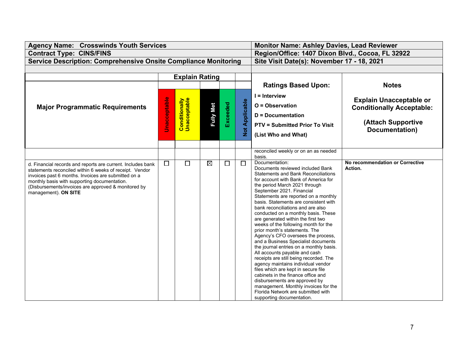| <b>Agency Name: Crosswinds Youth Services</b>                                                                                                                                                                                                                                                                |                                                      | <b>Monitor Name: Ashley Davies, Lead Reviewer</b> |                  |          |                       |                                                                                                                                                                                                                                                                                                                                                                                                                                                                                                                                                                                                                                                                                                                                                                                                                                                                                                                                                                |                                                                                                            |  |
|--------------------------------------------------------------------------------------------------------------------------------------------------------------------------------------------------------------------------------------------------------------------------------------------------------------|------------------------------------------------------|---------------------------------------------------|------------------|----------|-----------------------|----------------------------------------------------------------------------------------------------------------------------------------------------------------------------------------------------------------------------------------------------------------------------------------------------------------------------------------------------------------------------------------------------------------------------------------------------------------------------------------------------------------------------------------------------------------------------------------------------------------------------------------------------------------------------------------------------------------------------------------------------------------------------------------------------------------------------------------------------------------------------------------------------------------------------------------------------------------|------------------------------------------------------------------------------------------------------------|--|
| <b>Contract Type: CINS/FINS</b>                                                                                                                                                                                                                                                                              |                                                      |                                                   |                  |          |                       | Region/Office: 1407 Dixon Blvd., Cocoa, FL 32922                                                                                                                                                                                                                                                                                                                                                                                                                                                                                                                                                                                                                                                                                                                                                                                                                                                                                                               |                                                                                                            |  |
| <b>Service Description: Comprehensive Onsite Compliance Monitoring</b>                                                                                                                                                                                                                                       |                                                      |                                                   |                  |          |                       | Site Visit Date(s): November 17 - 18, 2021                                                                                                                                                                                                                                                                                                                                                                                                                                                                                                                                                                                                                                                                                                                                                                                                                                                                                                                     |                                                                                                            |  |
|                                                                                                                                                                                                                                                                                                              |                                                      |                                                   |                  |          |                       |                                                                                                                                                                                                                                                                                                                                                                                                                                                                                                                                                                                                                                                                                                                                                                                                                                                                                                                                                                |                                                                                                            |  |
|                                                                                                                                                                                                                                                                                                              |                                                      | <b>Explain Rating</b>                             |                  |          |                       |                                                                                                                                                                                                                                                                                                                                                                                                                                                                                                                                                                                                                                                                                                                                                                                                                                                                                                                                                                |                                                                                                            |  |
|                                                                                                                                                                                                                                                                                                              |                                                      |                                                   |                  |          |                       | <b>Ratings Based Upon:</b>                                                                                                                                                                                                                                                                                                                                                                                                                                                                                                                                                                                                                                                                                                                                                                                                                                                                                                                                     | <b>Notes</b>                                                                                               |  |
| <b>Major Programmatic Requirements</b>                                                                                                                                                                                                                                                                       | Jnacceptable<br><b>Conditionally</b><br>Unacceptable |                                                   | <b>Fully Met</b> | Exceeded | <b>Not Applicable</b> | $I =$ Interview<br>O = Observation<br><b>D</b> = Documentation<br><b>PTV = Submitted Prior To Visit</b><br>(List Who and What)                                                                                                                                                                                                                                                                                                                                                                                                                                                                                                                                                                                                                                                                                                                                                                                                                                 | <b>Explain Unacceptable or</b><br><b>Conditionally Acceptable:</b><br>(Attach Supportive<br>Documentation) |  |
|                                                                                                                                                                                                                                                                                                              |                                                      |                                                   |                  |          |                       | reconciled weekly or on an as needed                                                                                                                                                                                                                                                                                                                                                                                                                                                                                                                                                                                                                                                                                                                                                                                                                                                                                                                           |                                                                                                            |  |
| d. Financial records and reports are current. Includes bank<br>statements reconciled within 6 weeks of receipt. Vendor<br>invoices past 6 months. Invoices are submitted on a<br>monthly basis with supporting documentation.<br>(Disbursements/invoices are approved & monitored by<br>management). ON SITE | $\Box$                                               | $\Box$                                            | $\boxtimes$      | $\Box$   | $\Box$                | basis.<br>Documentation:<br>Documents reviewed included Bank<br><b>Statements and Bank Reconciliations</b><br>for account with Bank of America for<br>the period March 2021 through<br>September 2021. Financial<br>Statements are reported on a monthly<br>basis. Statements are consistent with<br>bank reconciliations and are also<br>conducted on a monthly basis. These<br>are generated within the first two<br>weeks of the following month for the<br>prior month's statements. The<br>Agency's CFO oversees the process,<br>and a Business Specialist documents<br>the journal entries on a monthly basis.<br>All accounts payable and cash<br>receipts are still being recorded. The<br>agency maintains individual vendor<br>files which are kept in secure file<br>cabinets in the finance office and<br>disbursements are approved by<br>management. Monthly invoices for the<br>Florida Network are submitted with<br>supporting documentation. | No recommendation or Corrective<br>Action.                                                                 |  |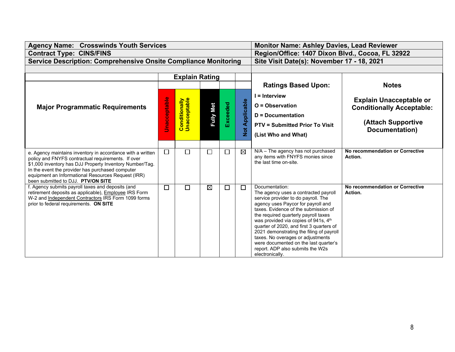| <b>Agency Name: Crosswinds Youth Services</b>                                                                                                                                                                                                                                                                                |                     | <b>Monitor Name: Ashley Davies, Lead Reviewer</b> |                  |          |                             |                                                                                                                                                                                                                                                                                                                                                                                                                                                                                          |                                                                                                            |  |
|------------------------------------------------------------------------------------------------------------------------------------------------------------------------------------------------------------------------------------------------------------------------------------------------------------------------------|---------------------|---------------------------------------------------|------------------|----------|-----------------------------|------------------------------------------------------------------------------------------------------------------------------------------------------------------------------------------------------------------------------------------------------------------------------------------------------------------------------------------------------------------------------------------------------------------------------------------------------------------------------------------|------------------------------------------------------------------------------------------------------------|--|
| <b>Contract Type: CINS/FINS</b>                                                                                                                                                                                                                                                                                              |                     |                                                   |                  |          |                             | Region/Office: 1407 Dixon Blvd., Cocoa, FL 32922                                                                                                                                                                                                                                                                                                                                                                                                                                         |                                                                                                            |  |
| <b>Service Description: Comprehensive Onsite Compliance Monitoring</b>                                                                                                                                                                                                                                                       |                     |                                                   |                  |          |                             | Site Visit Date(s): November 17 - 18, 2021                                                                                                                                                                                                                                                                                                                                                                                                                                               |                                                                                                            |  |
|                                                                                                                                                                                                                                                                                                                              |                     |                                                   |                  |          |                             |                                                                                                                                                                                                                                                                                                                                                                                                                                                                                          |                                                                                                            |  |
|                                                                                                                                                                                                                                                                                                                              |                     | <b>Explain Rating</b>                             |                  |          |                             |                                                                                                                                                                                                                                                                                                                                                                                                                                                                                          |                                                                                                            |  |
|                                                                                                                                                                                                                                                                                                                              |                     |                                                   |                  |          |                             | <b>Ratings Based Upon:</b>                                                                                                                                                                                                                                                                                                                                                                                                                                                               | <b>Notes</b>                                                                                               |  |
| <b>Major Programmatic Requirements</b>                                                                                                                                                                                                                                                                                       | <b>Unacceptable</b> | <b>Conditionally</b><br>Unacceptable              | <b>Fully Met</b> | Exceeded | Applicable<br>$\frac{1}{2}$ | $I =$ Interview<br>$O = Observation$<br><b>D</b> = Documentation<br><b>PTV = Submitted Prior To Visit</b><br>(List Who and What)                                                                                                                                                                                                                                                                                                                                                         | <b>Explain Unacceptable or</b><br><b>Conditionally Acceptable:</b><br>(Attach Supportive<br>Documentation) |  |
|                                                                                                                                                                                                                                                                                                                              |                     |                                                   |                  |          |                             |                                                                                                                                                                                                                                                                                                                                                                                                                                                                                          |                                                                                                            |  |
| e. Agency maintains inventory in accordance with a written<br>policy and FNYFS contractual requirements. If over<br>\$1,000 inventory has DJJ Property Inventory Number/Tag.<br>In the event the provider has purchased computer<br>equipment an Informational Resources Request (IRR)<br>been submitted to DJJ. PTV/ON SITE | $\Box$              | $\Box$                                            | $\Box$           | $\Box$   | $\boxtimes$                 | $N/A$ – The agency has not purchased<br>any items with FNYFS monies since<br>the last time on-site.                                                                                                                                                                                                                                                                                                                                                                                      | No recommendation or Corrective<br>Action.                                                                 |  |
| f. Agency submits payroll taxes and deposits (and<br>retirement deposits as applicable), Employee IRS Form<br>W-2 and Independent Contractors IRS Form 1099 forms<br>prior to federal requirements. ON SITE                                                                                                                  | П                   | П                                                 | $\boxtimes$      | $\Box$   | $\Box$                      | Documentation:<br>The agency uses a contracted payroll<br>service provider to do payroll. The<br>agency uses Paycor for payroll and<br>taxes. Evidence of the submission of<br>the required quarterly payroll taxes<br>was provided via copies of 941s, 4th<br>quarter of 2020, and first 3 quarters of<br>2021 demonstrating the filing of payroll<br>taxes. No overages or adjustments<br>were documented on the last quarter's<br>report. ADP also submits the W2s<br>electronically. | No recommendation or Corrective<br>Action.                                                                 |  |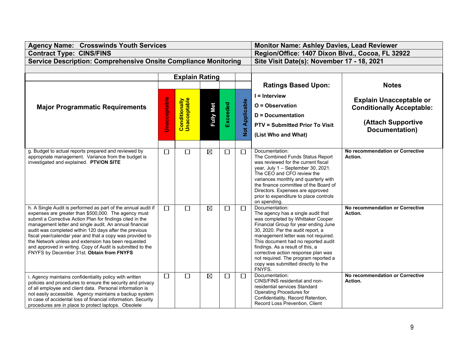| <b>Agency Name: Crosswinds Youth Services</b>                                                                                                                                                                                                                                                                                                                                                                                                                                                                                          |                                                             | <b>Monitor Name: Ashley Davies, Lead Reviewer</b> |                  |          |                       |                                                                                                                                                                                                                                                                                                                                                                                                                         |                                                                                                            |  |
|----------------------------------------------------------------------------------------------------------------------------------------------------------------------------------------------------------------------------------------------------------------------------------------------------------------------------------------------------------------------------------------------------------------------------------------------------------------------------------------------------------------------------------------|-------------------------------------------------------------|---------------------------------------------------|------------------|----------|-----------------------|-------------------------------------------------------------------------------------------------------------------------------------------------------------------------------------------------------------------------------------------------------------------------------------------------------------------------------------------------------------------------------------------------------------------------|------------------------------------------------------------------------------------------------------------|--|
| <b>Contract Type: CINS/FINS</b>                                                                                                                                                                                                                                                                                                                                                                                                                                                                                                        |                                                             |                                                   |                  |          |                       | Region/Office: 1407 Dixon Blvd., Cocoa, FL 32922                                                                                                                                                                                                                                                                                                                                                                        |                                                                                                            |  |
| <b>Service Description: Comprehensive Onsite Compliance Monitoring</b>                                                                                                                                                                                                                                                                                                                                                                                                                                                                 |                                                             |                                                   |                  |          |                       | Site Visit Date(s): November 17 - 18, 2021                                                                                                                                                                                                                                                                                                                                                                              |                                                                                                            |  |
|                                                                                                                                                                                                                                                                                                                                                                                                                                                                                                                                        |                                                             |                                                   |                  |          |                       |                                                                                                                                                                                                                                                                                                                                                                                                                         |                                                                                                            |  |
|                                                                                                                                                                                                                                                                                                                                                                                                                                                                                                                                        |                                                             | <b>Explain Rating</b>                             |                  |          |                       |                                                                                                                                                                                                                                                                                                                                                                                                                         |                                                                                                            |  |
|                                                                                                                                                                                                                                                                                                                                                                                                                                                                                                                                        |                                                             |                                                   |                  |          |                       | <b>Ratings Based Upon:</b>                                                                                                                                                                                                                                                                                                                                                                                              | <b>Notes</b>                                                                                               |  |
| <b>Major Programmatic Requirements</b>                                                                                                                                                                                                                                                                                                                                                                                                                                                                                                 | <b>Unacceptable</b><br><b>Conditionally</b><br>Unacceptable |                                                   | <b>Fully Met</b> | Exceeded | <b>Not Applicable</b> | $I =$ Interview<br>O = Observation<br><b>D</b> = Documentation<br><b>PTV = Submitted Prior To Visit</b><br>(List Who and What)                                                                                                                                                                                                                                                                                          | <b>Explain Unacceptable or</b><br><b>Conditionally Acceptable:</b><br>(Attach Supportive<br>Documentation) |  |
| g. Budget to actual reports prepared and reviewed by<br>appropriate management. Variance from the budget is<br>investigated and explained. PTV/ON SITE                                                                                                                                                                                                                                                                                                                                                                                 | $\Box$                                                      | $\Box$                                            | $\boxtimes$      | $\Box$   | $\Box$                | Documentation:<br>The Combined Funds Status Report<br>was reviewed for the current fiscal<br>year, July 1 - September 30, 2021.<br>The CEO and CFO review the<br>variances monthly and quarterly with<br>the finance committee of the Board of<br>Directors. Expenses are approved<br>prior to expenditure to place controls<br>on spending.                                                                            | No recommendation or Corrective<br>Action.                                                                 |  |
| h. A Single Audit is performed as part of the annual audit if<br>expenses are greater than \$500,000. The agency must<br>submit a Corrective Action Plan for findings cited in the<br>management letter and single audit. An annual financial<br>audit was completed within 120 days after the previous<br>fiscal year/calendar year and that a copy was provided to<br>the Network unless and extension has been requested<br>and approved in writing. Copy of Audit is submitted to the<br>FNYFS by December 31st. Obtain from FNYFS | $\Box$                                                      | $\Box$                                            | $\boxtimes$      | $\Box$   | $\Box$                | Documentation:<br>The agency has a single audit that<br>was completed by Whittaker Cooper<br>Financial Group for year ending June<br>30, 2020. Per the audit report, a<br>management letter was not required.<br>This document had no reported audit<br>findings. As a result of this, a<br>corrective action response plan was<br>not required. The program reported a<br>copy was submitted directly to the<br>FNYFS. | No recommendation or Corrective<br>Action.                                                                 |  |
| i. Agency maintains confidentiality policy with written<br>policies and procedures to ensure the security and privacy<br>of all employee and client data. Personal information is<br>not easily accessible. Agency maintains a backup system<br>in case of accidental loss of financial information. Security<br>procedures are in place to protect laptops. Obsolete                                                                                                                                                                  | $\Box$                                                      | $\Box$                                            | $\boxtimes$      | $\Box$   | □                     | Documentation:<br>CINS/FINS residential and non-<br>residential services Standard<br>Operating Procedures for<br>Confidentiality, Record Retention,<br>Record Loss Prevention, Client                                                                                                                                                                                                                                   | No recommendation or Corrective<br>Action.                                                                 |  |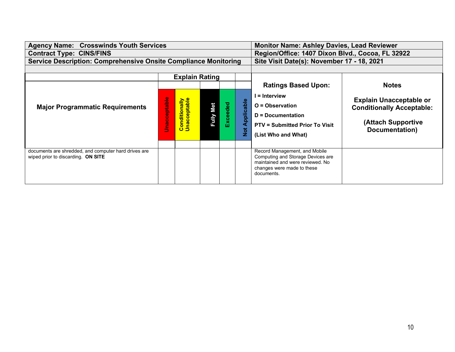| <b>Agency Name: Crosswinds Youth Services</b>                                              |                       |                                            | <b>Monitor Name: Ashley Davies, Lead Reviewer</b> |          |                             |                                                                                                                                                    |                                                                                                            |
|--------------------------------------------------------------------------------------------|-----------------------|--------------------------------------------|---------------------------------------------------|----------|-----------------------------|----------------------------------------------------------------------------------------------------------------------------------------------------|------------------------------------------------------------------------------------------------------------|
| <b>Contract Type: CINS/FINS</b>                                                            |                       |                                            | Region/Office: 1407 Dixon Blvd., Cocoa, FL 32922  |          |                             |                                                                                                                                                    |                                                                                                            |
| <b>Service Description: Comprehensive Onsite Compliance Monitoring</b>                     |                       | Site Visit Date(s): November 17 - 18, 2021 |                                                   |          |                             |                                                                                                                                                    |                                                                                                            |
|                                                                                            |                       |                                            |                                                   |          |                             |                                                                                                                                                    |                                                                                                            |
|                                                                                            | <b>Explain Rating</b> |                                            |                                                   |          |                             |                                                                                                                                                    |                                                                                                            |
|                                                                                            |                       |                                            |                                                   |          |                             | <b>Ratings Based Upon:</b>                                                                                                                         | <b>Notes</b>                                                                                               |
| <b>Major Programmatic Requirements</b>                                                     | nacceptable           | <b>Conditionally</b><br>Unacceptable       | <b>Fully Met</b>                                  | Exceeded | Applicable<br>$\frac{1}{2}$ | l = Interview<br>$O =$ Observation<br><b>D</b> = Documentation<br><b>PTV = Submitted Prior To Visit</b><br>(List Who and What)                     | <b>Explain Unacceptable or</b><br><b>Conditionally Acceptable:</b><br>(Attach Supportive<br>Documentation) |
| documents are shredded, and computer hard drives are<br>wiped prior to discarding. ON SITE |                       |                                            |                                                   |          |                             | Record Management, and Mobile<br>Computing and Storage Devices are<br>maintained and were reviewed. No<br>changes were made to these<br>documents. |                                                                                                            |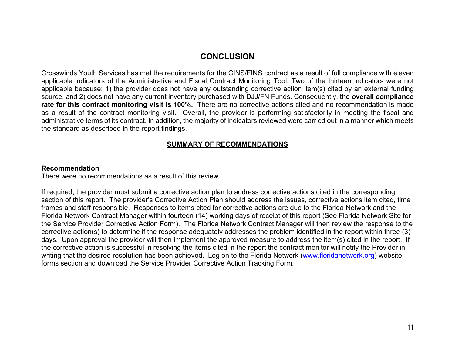# **CONCLUSION**

Crosswinds Youth Services has met the requirements for the CINS/FINS contract as a result of full compliance with eleven applicable indicators of the Administrative and Fiscal Contract Monitoring Tool. Two of the thirteen indicators were not applicable because: 1) the provider does not have any outstanding corrective action item(s) cited by an external funding source, and 2) does not have any current inventory purchased with DJJ/FN Funds. Consequently, t**he overall compliance rate for this contract monitoring visit is 100%.** There are no corrective actions cited and no recommendation is made as a result of the contract monitoring visit. Overall, the provider is performing satisfactorily in meeting the fiscal and administrative terms of its contract. In addition, the majority of indicators reviewed were carried out in a manner which meets the standard as described in the report findings.

#### **SUMMARY OF RECOMMENDATIONS**

#### **Recommendation**

There were no recommendations as a result of this review.

If required, the provider must submit a corrective action plan to address corrective actions cited in the corresponding section of this report. The provider's Corrective Action Plan should address the issues, corrective actions item cited, time frames and staff responsible. Responses to items cited for corrective actions are due to the Florida Network and the Florida Network Contract Manager within fourteen (14) working days of receipt of this report (See Florida Network Site for the Service Provider Corrective Action Form). The Florida Network Contract Manager will then review the response to the corrective action(s) to determine if the response adequately addresses the problem identified in the report within three (3) days. Upon approval the provider will then implement the approved measure to address the item(s) cited in the report. If the corrective action is successful in resolving the items cited in the report the contract monitor will notify the Provider in writing that the desired resolution has been achieved. Log on to the Florida Network [\(www.floridanetwork.org\)](http://www.floridanetwork.org/) website forms section and download the Service Provider Corrective Action Tracking Form.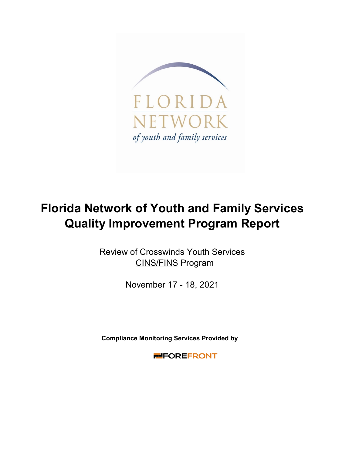

# **Florida Network of Youth and Family Services Quality Improvement Program Report**

CINS/FINS Program Review of Crosswinds Youth Services

November 17 - 18, 2021

**Compliance Monitoring Services Provided by** 

**FIFOREFRONT**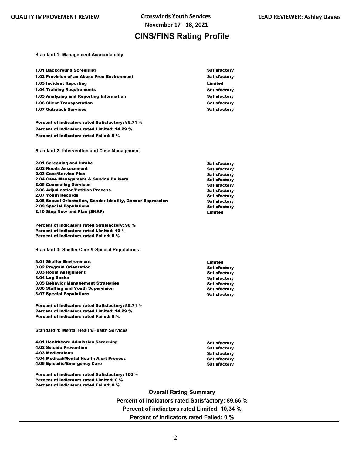# **CINS/FINS Rating Profile**

**Standard 1: Management Accountability**

| 1.01 Background Screening                                                                                                              |                               | <b>Satisfactory</b>                        |
|----------------------------------------------------------------------------------------------------------------------------------------|-------------------------------|--------------------------------------------|
| 1.02 Provision of an Abuse Free Environment                                                                                            |                               | <b>Satisfactory</b>                        |
| <b>1.03 Incident Reporting</b>                                                                                                         |                               | Limited                                    |
| <b>1.04 Training Requirements</b>                                                                                                      |                               | <b>Satisfactory</b>                        |
| 1.05 Analyzing and Reporting Information                                                                                               |                               | <b>Satisfactory</b>                        |
| <b>1.06 Client Transportation</b>                                                                                                      |                               | <b>Satisfactory</b>                        |
| <b>1.07 Outreach Services</b>                                                                                                          |                               | <b>Satisfactory</b>                        |
|                                                                                                                                        |                               |                                            |
| Percent of indicators rated Satisfactory: 85.71 %                                                                                      |                               |                                            |
| Percent of indicators rated Limited: 14.29 %                                                                                           |                               |                                            |
| Percent of indicators rated Failed: 0 %                                                                                                |                               |                                            |
|                                                                                                                                        |                               |                                            |
| <b>Standard 2: Intervention and Case Management</b>                                                                                    |                               |                                            |
| 2.01 Screening and Intake                                                                                                              |                               | <b>Satisfactory</b>                        |
| 2.02 Needs Assessment                                                                                                                  |                               | <b>Satisfactory</b>                        |
| 2.03 Case/Service Plan                                                                                                                 |                               | <b>Satisfactory</b>                        |
| 2.04 Case Management & Service Delivery                                                                                                |                               | <b>Satisfactory</b>                        |
| <b>2.05 Counseling Services</b><br><b>2.06 Adjudication/Petition Process</b>                                                           |                               | <b>Satisfactory</b>                        |
| 2.07 Youth Records                                                                                                                     |                               | <b>Satisfactory</b><br><b>Satisfactory</b> |
| 2.08 Sexual Orientation, Gender Identity, Gender Expression                                                                            |                               | <b>Satisfactory</b>                        |
| <b>2.09 Special Populations</b>                                                                                                        |                               | <b>Satisfactory</b>                        |
| 2.10 Stop Now and Plan (SNAP)                                                                                                          |                               | Limited                                    |
| Percent of indicators rated Satisfactory: 90 %<br>Percent of indicators rated Limited: 10 %<br>Percent of indicators rated Failed: 0 % |                               |                                            |
| <b>Standard 3: Shelter Care &amp; Special Populations</b>                                                                              |                               |                                            |
| <b>3.01 Shelter Environment</b>                                                                                                        |                               | Limited                                    |
| 3.02 Program Orientation                                                                                                               |                               | <b>Satisfactory</b>                        |
| 3.03 Room Assignment                                                                                                                   |                               | <b>Satisfactory</b>                        |
| 3.04 Log Books                                                                                                                         |                               | <b>Satisfactory</b>                        |
| 3.05 Behavior Management Strategies                                                                                                    |                               | <b>Satisfactory</b>                        |
| 3.06 Staffing and Youth Supervision<br><b>3.07 Special Populations</b>                                                                 |                               | <b>Satisfactory</b><br><b>Satisfactory</b> |
|                                                                                                                                        |                               |                                            |
| Percent of indicators rated Satisfactory: 85.71 %                                                                                      |                               |                                            |
| Percent of indicators rated Limited: 14.29 %                                                                                           |                               |                                            |
| Percent of indicators rated Failed: 0 %                                                                                                |                               |                                            |
|                                                                                                                                        |                               |                                            |
| <b>Standard 4: Mental Health/Health Services</b>                                                                                       |                               |                                            |
|                                                                                                                                        |                               |                                            |
| 4.01 Healthcare Admission Screening                                                                                                    |                               | Satisfactory                               |
| <b>4.02 Suicide Prevention</b><br><b>4.03 Medications</b>                                                                              |                               | <b>Satisfactory</b>                        |
| 4.04 Medical/Mental Health Alert Process                                                                                               |                               | <b>Satisfactory</b><br><b>Satisfactory</b> |
| 4.05 Episodic/Emergency Care                                                                                                           |                               | <b>Satisfactory</b>                        |
|                                                                                                                                        |                               |                                            |
| Percent of indicators rated Satisfactory: 100 %<br>Percent of indicators rated Limited: 0 %<br>Percent of indicators rated Failed: 0 % |                               |                                            |
|                                                                                                                                        | <b>Overall Rating Summary</b> |                                            |
|                                                                                                                                        |                               |                                            |

**Percent of indicators rated Satisfactory: 89.66 % Percent of indicators rated Limited: 10.34 % Percent of indicators rated Failed: 0 %**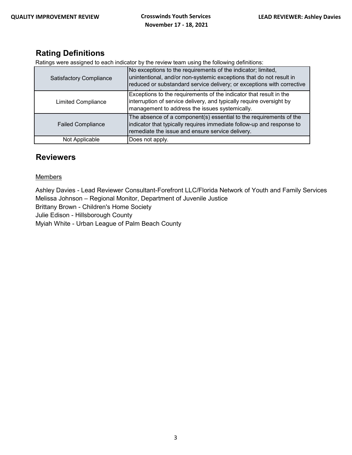# **Rating Definitions**

Ratings were assigned to each indicator by the review team using the following definitions:

| <b>Satisfactory Compliance</b> | No exceptions to the requirements of the indicator; limited,<br>unintentional, and/or non-systemic exceptions that do not result in<br>reduced or substandard service delivery; or exceptions with corrective |
|--------------------------------|---------------------------------------------------------------------------------------------------------------------------------------------------------------------------------------------------------------|
| <b>Limited Compliance</b>      | Exceptions to the requirements of the indicator that result in the<br>interruption of service delivery, and typically require oversight by<br>management to address the issues systemically.                  |
| <b>Failed Compliance</b>       | The absence of a component(s) essential to the requirements of the<br>indicator that typically requires immediate follow-up and response to<br>remediate the issue and ensure service delivery.               |
| Not Applicable                 | Does not apply.                                                                                                                                                                                               |

## **Reviewers**

#### **Members**

Ashley Davies - Lead Reviewer Consultant-Forefront LLC/Florida Network of Youth and Family Services Melissa Johnson – Regional Monitor, Department of Juvenile Justice

Brittany Brown - Children's Home Society

Julie Edison - Hillsborough County

Myiah White - Urban League of Palm Beach County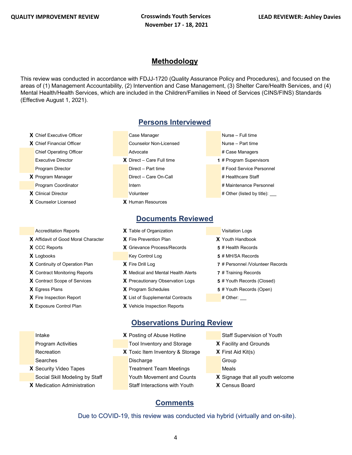## **Methodology**

This review was conducted in accordance with FDJJ-1720 (Quality Assurance Policy and Procedures), and focused on the areas of (1) Management Accountability, (2) Intervention and Case Management, (3) Shelter Care/Health Services, and (4) Mental Health/Health Services, which are included in the Children/Families in Need of Services (CINS/FINS) Standards (Effective August 1, 2021).

- **X** Chief Executive Officer Case Manager Case Manager Nurse Full time
- 
- 
- 
- **X** Counselor Licensed **X** Human Resources

- **X** Affidavit of Good Moral Character **X** Fire Prevention Plan **X** Youth Handbook
- 
- 
- **X** Continuity of Operation Plan **X** Fire Drill Log **7** # Personnel /Volunteer Records
- **X** Contract Monitoring Reports **X** Medical and Mental Health Alerts **7** # Training Records
- **X** Contract Scope of Services **X** Precautionary Observation Logs **5** # Youth Records (Closed)
- 
- 
- 

**Persons Interviewed**

- **X** Chief Financial Officer **Counselor Non-Licensed** Nurse Part time Chief Operating Officer **Advocate** Advocate **Advocate Advocate Advocate** Advocate Advocate Advocate Advocate Advocate Advocate Advocate Advocate Advocate Advocate Advocate Advocate Advocate Advocate Advocate Advocate Advoc Executive Director **X** Direct – Care Full time **1** # Program Supervisors Program Director **Director** Direct – Part time **# Food Service Personnel X** Program Manager **Direct – Care On-Call # Healthcare Staff** Program Coordinator **International International International Accordination** # Maintenance Personnel **X** Clinical Director **X Volunteer 1999** Volunteer **1999** Volunteer **1999** Volunteer **1999** Volunteer **1999** Volunteer **1999** Volunteer **1999** Volunteer **1999** Volunteer **1999** Volunteer **1999** Volunteer **1999** Volunte
- -
	-
	-
	- -
		-
		-
	- **Documents Reviewed**
	- Accreditation Reports **X** Table of Organization **Victor** Visitation Logs
- **X** CCC Reports **X** Grievance Process/Records **5** # Health Records **X** Logbooks **Key Control Log <b>5** # MH/SA Records
	-
	-
	-
- **X** Egress Plans **X** Program Schedules **5** # Youth Records (Open)
- **X** Fire Inspection Report **X** List of Supplemental Contracts # Other:
- **X** Exposure Control Plan **X** Vehicle Inspection Reports

### **Observations During Review**

- **Intake <b>X** Posting of Abuse Hotline Staff Supervision of Youth Program Activities Tool Inventory and Storage **X** Facility and Grounds Recreation **X** Toxic Item Inventory & Storage **X** First Aid Kit(s) Searches **Discharge Group** Discharge Group **X** Security Video Tapes **Treatment Team Meetings** Meals Social Skill Modeling by Staff Youth Movement and Counts **X** Signage that all youth welcome **X** Medication Administration **Staff Interactions with Youth X** Census Board
	-
	-
	- -
		-
	-
	-

#### **Comments**

Due to COVID-19, this review was conducted via hybrid (virtually and on-site).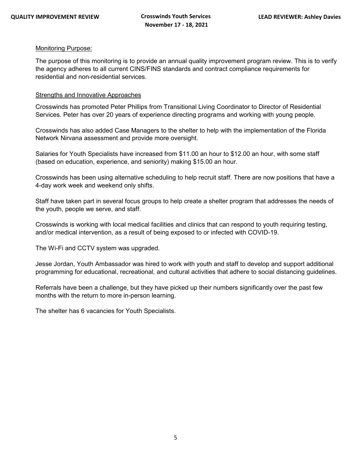#### Monitoring Purpose:

The purpose of this monitoring is to provide an annual quality improvement program review. This is to verify the agency adheres to all current CINS/FINS standards and contract compliance requirements for residential and non-residential services.

#### Strengths and Innovative Approaches

Crosswinds has promoted Peter Phillips from Transitional Living Coordinator to Director of Residential Services. Peter has over 20 years of experience directing programs and working with young people.

Crosswinds has also added Case Managers to the shelter to help with the implementation of the Florida Network Nirvana assessment and provide more oversight.

Salaries for Youth Specialists have increased from \$11.00 an hour to \$12.00 an hour, with some staff (based on education, experience, and seniority) making \$15.00 an hour.

Crosswinds has been using alternative scheduling to help recruit staff. There are now positions that have a 4-day work week and weekend only shifts.

Staff have taken part in several focus groups to help create a shelter program that addresses the needs of the youth, people we serve, and staff.

Crosswinds is working with local medical facilities and clinics that can respond to youth requiring testing, and/or medical intervention, as a result of being exposed to or infected with COVID-19.

The Wi-Fi and CCTV system was upgraded.

Jesse Jordan, Youth Ambassador was hired to work with youth and staff to develop and support additional programming for educational, recreational, and cultural activities that adhere to social distancing guidelines.

Referrals have been a challenge, but they have picked up their numbers significantly over the past few months with the return to more in-person learning.

The shelter has 6 vacancies for Youth Specialists.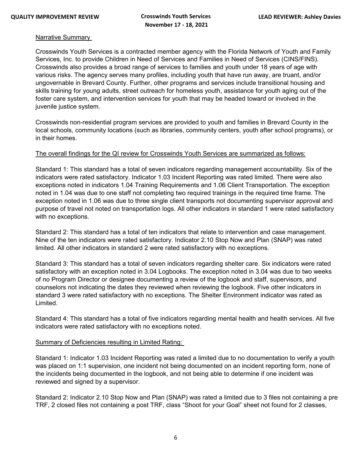#### Narrative Summary

Crosswinds Youth Services is a contracted member agency with the Florida Network of Youth and Family Services, Inc. to provide Children in Need of Services and Families in Need of Services (CINS/FINS). Crosswinds also provides a broad range of services to families and youth under 18 years of age with various risks. The agency serves many profiles, including youth that have run away, are truant, and/or ungovernable in Brevard County. Further, other programs and services include transitional housing and skills training for young adults, street outreach for homeless youth, assistance for youth aging out of the foster care system, and intervention services for youth that may be headed toward or involved in the juvenile justice system.

Crosswinds non-residential program services are provided to youth and families in Brevard County in the local schools, community locations (such as libraries, community centers, youth after school programs), or in their homes.

#### The overall findings for the QI review for Crosswinds Youth Services are summarized as follows:

Standard 1: This standard has a total of seven indicators regarding management accountability. Six of the indicators were rated satisfactory. Indicator 1.03 Incident Reporting was rated limited. There were also exceptions noted in indicators 1.04 Training Requirements and 1.06 Client Transportation. The exception noted in 1.04 was due to one staff not completing two required trainings in the required time frame. The exception noted in 1.06 was due to three single client transports not documenting supervisor approval and purpose of travel not noted on transportation logs. All other indicators in standard 1 were rated satisfactory with no exceptions.

Standard 2: This standard has a total of ten indicators that relate to intervention and case management. Nine of the ten indicators were rated satisfactory. Indicator 2.10 Stop Now and Plan (SNAP) was rated limited. All other indicators in standard 2 were rated satisfactory with no exceptions.

Standard 3: This standard has a total of seven indicators regarding shelter care. Six indicators were rated satisfactory with an exception noted in 3.04 Logbooks. The exception noted in 3.04 was due to two weeks of no Program Director or designee documenting a review of the logbook and staff, supervisors, and counselors not indicating the dates they reviewed when reviewing the logbook. Five other indicators in standard 3 were rated satisfactory with no exceptions. The Shelter Environment indicator was rated as Limited.

Standard 4: This standard has a total of five indicators regarding mental health and health services. All five indicators were rated satisfactory with no exceptions noted.

#### Summary of Deficiencies resulting in Limited Rating:

Standard 1: Indicator 1.03 Incident Reporting was rated a limited due to no documentation to verify a youth was placed on 1:1 supervision, one incident not being documented on an incident reporting form, none of the incidents being documented in the logbook, and not being able to determine if one incident was reviewed and signed by a supervisor.

Standard 2: Indicator 2.10 Stop Now and Plan (SNAP) was rated a limited due to 3 files not containing a pre TRF, 2 closed files not containing a post TRF, class "Shoot for your Goal" sheet not found for 2 classes,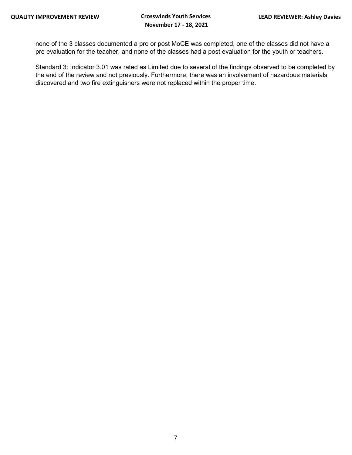none of the 3 classes documented a pre or post MoCE was completed, one of the classes did not have a pre evaluation for the teacher, and none of the classes had a post evaluation for the youth or teachers.

Standard 3: Indicator 3.01 was rated as Limited due to several of the findings observed to be completed by the end of the review and not previously. Furthermore, there was an involvement of hazardous materials discovered and two fire extinguishers were not replaced within the proper time.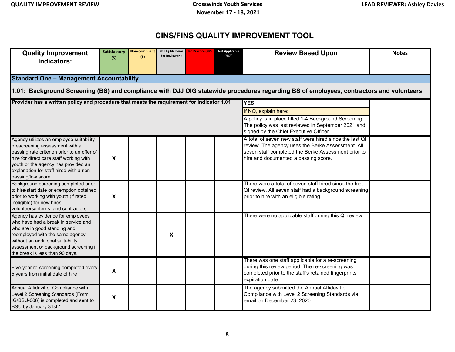# **CINS/FINS QUALITY IMPROVEMENT TOOL**

| <b>Quality Improvement</b><br>Indicators:                                                                                                                                                                                                                                   | <b>Satisfactory</b><br>(S)                      | <b>Non-compliant</b><br>(F) | No Eligible Items<br>for Review (N) | <b>No Practice (NP</b> | <b>Not Applicable</b><br>(N/A)                                                                                                                        | <b>Review Based Upon</b>                                                                                                                                                                                    | <b>Notes</b> |  |  |  |  |  |
|-----------------------------------------------------------------------------------------------------------------------------------------------------------------------------------------------------------------------------------------------------------------------------|-------------------------------------------------|-----------------------------|-------------------------------------|------------------------|-------------------------------------------------------------------------------------------------------------------------------------------------------|-------------------------------------------------------------------------------------------------------------------------------------------------------------------------------------------------------------|--------------|--|--|--|--|--|
|                                                                                                                                                                                                                                                                             | <b>Standard One - Management Accountability</b> |                             |                                     |                        |                                                                                                                                                       |                                                                                                                                                                                                             |              |  |  |  |  |  |
| 1.01: Background Screening (BS) and compliance with DJJ OIG statewide procedures regarding BS of employees, contractors and volunteers                                                                                                                                      |                                                 |                             |                                     |                        |                                                                                                                                                       |                                                                                                                                                                                                             |              |  |  |  |  |  |
| Provider has a written policy and procedure that meets the requirement for Indicator 1.01                                                                                                                                                                                   |                                                 |                             |                                     |                        |                                                                                                                                                       | <b>YES</b>                                                                                                                                                                                                  |              |  |  |  |  |  |
|                                                                                                                                                                                                                                                                             |                                                 |                             |                                     |                        | If NO, explain here:                                                                                                                                  |                                                                                                                                                                                                             |              |  |  |  |  |  |
|                                                                                                                                                                                                                                                                             |                                                 |                             |                                     |                        | A policy is in place titled 1-4 Background Screening.<br>The policy was last reviewed in September 2021 and<br>signed by the Chief Executive Officer. |                                                                                                                                                                                                             |              |  |  |  |  |  |
| Agency utilizes an employee suitability<br>prescreening assessment with a<br>passing rate criterion prior to an offer of<br>hire for direct care staff working with<br>youth or the agency has provided an<br>explanation for staff hired with a non-<br>passing/low score. | X                                               |                             |                                     |                        |                                                                                                                                                       | A total of seven new staff were hired since the last QI<br>review. The agency uses the Berke Assessment. All<br>seven staff completed the Berke Assessment prior to<br>hire and documented a passing score. |              |  |  |  |  |  |
| Background screening completed prior<br>to hire/start date or exemption obtained<br>prior to working with youth (if rated<br>ineligible) for new hires,<br>volunteers/interns, and contractors                                                                              | X                                               |                             |                                     |                        |                                                                                                                                                       | There were a total of seven staff hired since the last<br>QI review. All seven staff had a background screening<br>prior to hire with an eligible rating.                                                   |              |  |  |  |  |  |
| Agency has evidence for employees<br>who have had a break in service and<br>who are in good standing and<br>reemployed with the same agency<br>without an additional suitability<br>assessment or background screening if<br>the break is less than 90 days.                |                                                 |                             | X                                   |                        |                                                                                                                                                       | There were no applicable staff during this QI review.                                                                                                                                                       |              |  |  |  |  |  |
| Five-year re-screening completed every<br>5 years from initial date of hire                                                                                                                                                                                                 | $\boldsymbol{\mathsf{x}}$                       |                             |                                     |                        |                                                                                                                                                       | There was one staff applicable for a re-screening<br>during this review period. The re-screening was<br>completed prior to the staff's retained fingerprints<br>expiration date.                            |              |  |  |  |  |  |
| Annual Affidavit of Compliance with<br>Level 2 Screening Standards (Form<br>IG/BSU-006) is completed and sent to<br>BSU by January 31st?                                                                                                                                    | X                                               |                             |                                     |                        |                                                                                                                                                       | The agency submitted the Annual Affidavit of<br>Compliance with Level 2 Screening Standards via<br>email on December 23, 2020.                                                                              |              |  |  |  |  |  |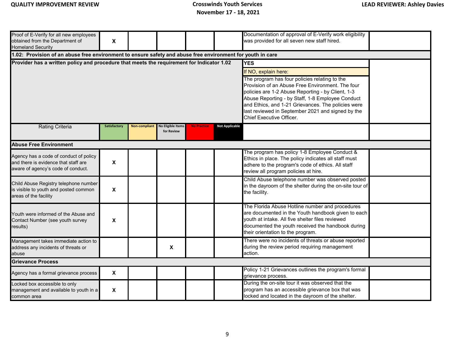| Proof of E-Verify for all new employees<br>obtained from the Department of                                           | $\boldsymbol{\mathsf{X}}$                                                                                  |  |                                               |                                                                                                                                                                                                                                                                                                                                                                                         |                       | Documentation of approval of E-Verify work eligibility<br>was provided for all seven new staff hired.                                                                                                                                               |  |  |  |  |  |
|----------------------------------------------------------------------------------------------------------------------|------------------------------------------------------------------------------------------------------------|--|-----------------------------------------------|-----------------------------------------------------------------------------------------------------------------------------------------------------------------------------------------------------------------------------------------------------------------------------------------------------------------------------------------------------------------------------------------|-----------------------|-----------------------------------------------------------------------------------------------------------------------------------------------------------------------------------------------------------------------------------------------------|--|--|--|--|--|
| <b>Homeland Security</b>                                                                                             |                                                                                                            |  |                                               |                                                                                                                                                                                                                                                                                                                                                                                         |                       |                                                                                                                                                                                                                                                     |  |  |  |  |  |
|                                                                                                                      | 1.02: Provision of an abuse free environment to ensure safety and abuse free environment for youth in care |  |                                               |                                                                                                                                                                                                                                                                                                                                                                                         |                       |                                                                                                                                                                                                                                                     |  |  |  |  |  |
| Provider has a written policy and procedure that meets the requirement for Indicator 1.02                            |                                                                                                            |  |                                               | <b>YES</b><br>If NO, explain here:<br>The program has four policies relating to the<br>Provision of an Abuse Free Environment. The four<br>policies are 1-2 Abuse Reporting - by Client, 1-3<br>Abuse Reporting - by Staff, 1-8 Employee Conduct<br>and Ethics, and 1-21 Grievances. The policies were<br>last reviewed in September 2021 and signed by the<br>Chief Executive Officer. |                       |                                                                                                                                                                                                                                                     |  |  |  |  |  |
| <b>Rating Criteria</b>                                                                                               | Satisfactory                                                                                               |  | Non-compliant No Eligible Items<br>for Review | <b>No Practice</b>                                                                                                                                                                                                                                                                                                                                                                      | <b>Not Applicable</b> |                                                                                                                                                                                                                                                     |  |  |  |  |  |
| <b>Abuse Free Environment</b>                                                                                        |                                                                                                            |  |                                               |                                                                                                                                                                                                                                                                                                                                                                                         |                       |                                                                                                                                                                                                                                                     |  |  |  |  |  |
| Agency has a code of conduct of policy<br>and there is evidence that staff are<br>aware of agency's code of conduct. | $\boldsymbol{\mathsf{X}}$                                                                                  |  |                                               |                                                                                                                                                                                                                                                                                                                                                                                         |                       | The program has policy 1-8 Employee Conduct &<br>Ethics in place. The policy indicates all staff must<br>adhere to the program's code of ethics. All staff<br>review all program policies at hire.                                                  |  |  |  |  |  |
| Child Abuse Registry telephone number<br>is visible to youth and posted common<br>areas of the facility              | $\boldsymbol{\mathsf{X}}$                                                                                  |  |                                               |                                                                                                                                                                                                                                                                                                                                                                                         |                       | Child Abuse telephone number was observed posted<br>in the dayroom of the shelter during the on-site tour of<br>the facility.                                                                                                                       |  |  |  |  |  |
| Youth were informed of the Abuse and<br>Contact Number (see youth survey<br>results)                                 | $\boldsymbol{\mathsf{X}}$                                                                                  |  |                                               |                                                                                                                                                                                                                                                                                                                                                                                         |                       | The Florida Abuse Hotline number and procedures<br>are documented in the Youth handbook given to each<br>youth at intake. All five shelter files reviewed<br>documented the youth received the handbook during<br>their orientation to the program. |  |  |  |  |  |
| Management takes immediate action to<br>address any incidents of threats or<br>abuse                                 |                                                                                                            |  | X                                             |                                                                                                                                                                                                                                                                                                                                                                                         |                       | There were no incidents of threats or abuse reported<br>during the review period requiring management<br>action.                                                                                                                                    |  |  |  |  |  |
| <b>Grievance Process</b>                                                                                             |                                                                                                            |  |                                               |                                                                                                                                                                                                                                                                                                                                                                                         |                       |                                                                                                                                                                                                                                                     |  |  |  |  |  |
| Agency has a formal grievance process                                                                                | $\boldsymbol{\mathsf{X}}$                                                                                  |  |                                               |                                                                                                                                                                                                                                                                                                                                                                                         |                       | Policy 1-21 Grievances outlines the program's formal<br>grievance process.                                                                                                                                                                          |  |  |  |  |  |
| Locked box accessible to only<br>management and available to youth in a<br>common area                               | $\boldsymbol{\mathsf{X}}$                                                                                  |  |                                               |                                                                                                                                                                                                                                                                                                                                                                                         |                       | During the on-site tour it was observed that the<br>program has an accessible grievance box that was<br>locked and located in the dayroom of the shelter.                                                                                           |  |  |  |  |  |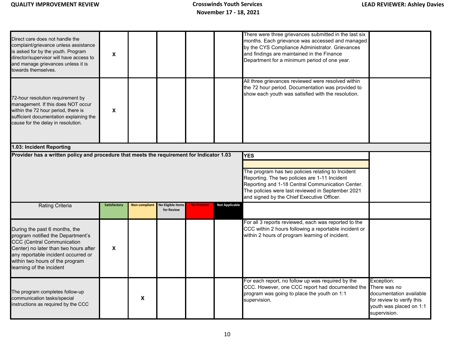| Direct care does not handle the<br>complaint/grievance unless assistance<br>is asked for by the youth. Program<br>director/supervisor will have access to<br>and manage grievances unless it is<br>owards themselves.                                 | $\boldsymbol{\mathsf{X}}$ |               |                                        |                    |                       | There were three grievances submitted in the last six<br>months. Each grievance was accessed and managed<br>by the CYS Compliance Administrator. Grievances<br>and findings are maintained in the Finance<br>Department for a minimum period of one year. |                                                                                                                               |
|-------------------------------------------------------------------------------------------------------------------------------------------------------------------------------------------------------------------------------------------------------|---------------------------|---------------|----------------------------------------|--------------------|-----------------------|-----------------------------------------------------------------------------------------------------------------------------------------------------------------------------------------------------------------------------------------------------------|-------------------------------------------------------------------------------------------------------------------------------|
| 72-hour resolution requirement by<br>management. If this does NOT occur<br>within the 72 hour period, there is<br>sufficient documentation explaining the<br>cause for the delay in resolution.                                                       | X                         |               |                                        |                    |                       | All three grievances reviewed were resolved within<br>the 72 hour period. Documentation was provided to<br>show each youth was satisfied with the resolution.                                                                                             |                                                                                                                               |
| 1.03: Incident Reporting                                                                                                                                                                                                                              |                           |               |                                        |                    |                       |                                                                                                                                                                                                                                                           |                                                                                                                               |
|                                                                                                                                                                                                                                                       |                           |               |                                        |                    |                       | The program has two policies relating to Incident<br>Reporting. The two policies are 1-11 Incident<br>Reporting and 1-18 Central Communication Center.<br>The policies were last reviewed in September 2021<br>and signed by the Chief Executive Officer. |                                                                                                                               |
| <b>Rating Criteria</b>                                                                                                                                                                                                                                | Satisfactory              | Non-compliant | <b>No Eligible Items</b><br>for Review | <b>No Practice</b> | <b>Not Applicable</b> |                                                                                                                                                                                                                                                           |                                                                                                                               |
| During the past 6 months, the<br>program notified the Department's<br><b>CCC (Central Communication</b><br>Center) no later than two hours after<br>any reportable incident occurred or<br>within two hours of the program<br>earning of the incident | $\mathbf x$               |               |                                        |                    |                       | For all 3 reports reviewed, each was reported to the<br>CCC within 2 hours following a reportable incident or<br>within 2 hours of program learning of incident.                                                                                          |                                                                                                                               |
| The program completes follow-up<br>communication tasks/special<br>nstructions as required by the CCC                                                                                                                                                  |                           | X             |                                        |                    |                       | For each report, no follow up was required by the<br>CCC. However, one CCC report had documented the<br>program was going to place the youth on 1:1<br>supervision.                                                                                       | Exception:<br>There was no<br>documentation available<br>for review to verify this<br>youth was placed on 1:1<br>supervision. |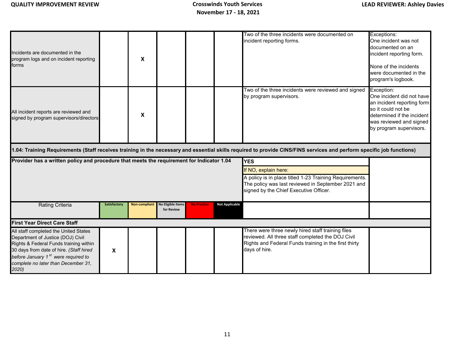| Incidents are documented in the<br>program logs and on incident reporting<br>forms                                                                                                                                                                                 |              | X             |                                        |                    |                       | Two of the three incidents were documented on<br>incident reporting forms.                                                                                                       | Exceptions:<br>One incident was not<br>documented on an<br>incident reporting form.<br>None of the incidents<br>were documented in the<br>program's logbook.                    |
|--------------------------------------------------------------------------------------------------------------------------------------------------------------------------------------------------------------------------------------------------------------------|--------------|---------------|----------------------------------------|--------------------|-----------------------|----------------------------------------------------------------------------------------------------------------------------------------------------------------------------------|---------------------------------------------------------------------------------------------------------------------------------------------------------------------------------|
| All incident reports are reviewed and<br>signed by program supervisors/directors                                                                                                                                                                                   |              | X             |                                        |                    |                       | Two of the three incidents were reviewed and signed<br>by program supervisors.                                                                                                   | Exception:<br>One incident did not have<br>an incident reporting form<br>so it could not be<br>determined if the incident<br>was reviewed and signed<br>by program supervisors. |
|                                                                                                                                                                                                                                                                    |              |               |                                        |                    |                       | 1.04: Training Requirements (Staff receives training in the necessary and essential skills required to provide CINS/FINS services and perform specific job functions)            |                                                                                                                                                                                 |
| Provider has a written policy and procedure that meets the requirement for Indicator 1.04                                                                                                                                                                          |              |               |                                        |                    |                       | <b>YES</b>                                                                                                                                                                       |                                                                                                                                                                                 |
|                                                                                                                                                                                                                                                                    |              |               |                                        |                    |                       | If NO, explain here:                                                                                                                                                             |                                                                                                                                                                                 |
|                                                                                                                                                                                                                                                                    |              |               |                                        |                    |                       | A policy is in place titled 1-23 Training Requirements.<br>The policy was last reviewed in September 2021 and<br>signed by the Chief Executive Officer.                          |                                                                                                                                                                                 |
| <b>Rating Criteria</b>                                                                                                                                                                                                                                             | Satisfactory | Non-compliant | <b>No Eligible Items</b><br>for Review | <b>No Practice</b> | <b>Not Applicable</b> |                                                                                                                                                                                  |                                                                                                                                                                                 |
| <b>First Year Direct Care Staff</b>                                                                                                                                                                                                                                |              |               |                                        |                    |                       |                                                                                                                                                                                  |                                                                                                                                                                                 |
| All staff completed the United States<br>Department of Justice (DOJ) Civil<br>Rights & Federal Funds training within<br>30 days from date of hire. (Staff hired<br>before January 1 <sup>st</sup> were required to<br>complete no later than December 31,<br>2020) | X            |               |                                        |                    |                       | There were three newly hired staff training files<br>reviewed. All three staff completed the DOJ Civil<br>Rights and Federal Funds training in the first thirty<br>days of hire. |                                                                                                                                                                                 |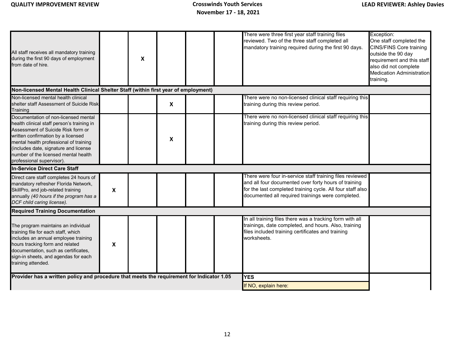| All staff receives all mandatory training<br>during the first 90 days of employment<br>from date of hire.                                                                                                                                                                                                              |                  | X |   |            | There were three first year staff training files<br>reviewed. Two of the three staff completed all<br>mandatory training required during the first 90 days.                                                                         | Exception:<br>One staff completed the<br><b>CINS/FINS Core training</b><br>outside the 90 day<br>requirement and this staff<br>also did not complete<br><b>Medication Administration</b><br>training. |
|------------------------------------------------------------------------------------------------------------------------------------------------------------------------------------------------------------------------------------------------------------------------------------------------------------------------|------------------|---|---|------------|-------------------------------------------------------------------------------------------------------------------------------------------------------------------------------------------------------------------------------------|-------------------------------------------------------------------------------------------------------------------------------------------------------------------------------------------------------|
| Non-licensed Mental Health Clinical Shelter Staff (within first year of employment)                                                                                                                                                                                                                                    |                  |   |   |            |                                                                                                                                                                                                                                     |                                                                                                                                                                                                       |
| Non-licensed mental health clinical<br>shelter staff Assessment of Suicide Risk<br>Training                                                                                                                                                                                                                            |                  |   | X |            | There were no non-licensed clinical staff requiring this<br>training during this review period.                                                                                                                                     |                                                                                                                                                                                                       |
| Documentation of non-licensed mental<br>health clinical staff person's training in<br>Assessment of Suicide Risk form or<br>written confirmation by a licensed<br>mental health professional of training<br>(includes date, signature and license<br>number of the licensed mental health<br>professional supervisor). |                  |   | X |            | There were no non-licensed clinical staff requiring this<br>training during this review period.                                                                                                                                     |                                                                                                                                                                                                       |
| <b>In-Service Direct Care Staff</b>                                                                                                                                                                                                                                                                                    |                  |   |   |            |                                                                                                                                                                                                                                     |                                                                                                                                                                                                       |
| Direct care staff completes 24 hours of<br>mandatory refresher Florida Network,<br>SkillPro, and job-related training<br>annually (40 hours if the program has a<br>DCF child caring license).                                                                                                                         | $\boldsymbol{x}$ |   |   |            | There were four in-service staff training files reviewed<br>and all four documented over forty hours of training<br>for the last completed training cycle. All four staff also<br>documented all required trainings were completed. |                                                                                                                                                                                                       |
| <b>Required Training Documentation</b>                                                                                                                                                                                                                                                                                 |                  |   |   |            |                                                                                                                                                                                                                                     |                                                                                                                                                                                                       |
| The program maintains an individual<br>training file for each staff, which<br>includes an annual employee training<br>hours tracking form and related<br>documentation, such as certificates,<br>sign-in sheets, and agendas for each<br>training attended.                                                            | X                |   |   |            | In all training files there was a tracking form with all<br>trainings, date completed, and hours. Also, training<br>files included training certificates and training<br>worksheets.                                                |                                                                                                                                                                                                       |
| Provider has a written policy and procedure that meets the requirement for Indicator 1.05                                                                                                                                                                                                                              |                  |   |   | <b>YES</b> |                                                                                                                                                                                                                                     |                                                                                                                                                                                                       |
|                                                                                                                                                                                                                                                                                                                        |                  |   |   |            | If NO, explain here:                                                                                                                                                                                                                |                                                                                                                                                                                                       |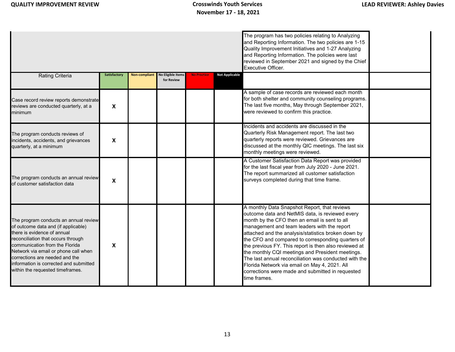|                                                                                                                                                                                                                                                                                                                                             |                           |               |                                        |                    |                       | The program has two policies relating to Analyzing<br>and Reporting Information. The two policies are 1-15<br>Quality Improvement Initiatives and 1-27 Analyzing<br>and Reporting Information. The policies were last<br>reviewed in September 2021 and signed by the Chief<br>Executive Officer.                                                                                                                                                                                                                                                                                                      |  |
|---------------------------------------------------------------------------------------------------------------------------------------------------------------------------------------------------------------------------------------------------------------------------------------------------------------------------------------------|---------------------------|---------------|----------------------------------------|--------------------|-----------------------|--------------------------------------------------------------------------------------------------------------------------------------------------------------------------------------------------------------------------------------------------------------------------------------------------------------------------------------------------------------------------------------------------------------------------------------------------------------------------------------------------------------------------------------------------------------------------------------------------------|--|
| <b>Rating Criteria</b>                                                                                                                                                                                                                                                                                                                      | Satisfactory              | Non-compliant | <b>No Eligible Items</b><br>for Review | <b>No Practice</b> | <b>Not Applicable</b> |                                                                                                                                                                                                                                                                                                                                                                                                                                                                                                                                                                                                        |  |
| Case record review reports demonstrate<br>reviews are conducted quarterly, at a<br>minimum                                                                                                                                                                                                                                                  | $\boldsymbol{\mathsf{X}}$ |               |                                        |                    |                       | A sample of case records are reviewed each month<br>for both shelter and community counseling programs.<br>The last five months, May through September 2021,<br>were reviewed to confirm this practice.                                                                                                                                                                                                                                                                                                                                                                                                |  |
| The program conducts reviews of<br>incidents, accidents, and grievances<br>quarterly, at a minimum                                                                                                                                                                                                                                          | X                         |               |                                        |                    |                       | Incidents and accidents are discussed in the<br>Quarterly Risk Management report. The last two<br>quarterly reports were reviewed. Grievances are<br>discussed at the monthly QIC meetings. The last six<br>monthly meetings were reviewed.                                                                                                                                                                                                                                                                                                                                                            |  |
| The program conducts an annual review<br>of customer satisfaction data                                                                                                                                                                                                                                                                      | X                         |               |                                        |                    |                       | A Customer Satisfaction Data Report was provided<br>for the last fiscal year from July 2020 - June 2021.<br>The report summarized all customer satisfaction<br>surveys completed during that time frame.                                                                                                                                                                                                                                                                                                                                                                                               |  |
| The program conducts an annual review<br>of outcome data and (if applicable)<br>there is evidence of annual<br>reconciliation that occurs through<br>communication from the Florida<br>Network via email or phone call when<br>corrections are needed and the<br>information is corrected and submitted<br>within the requested timeframes. | X                         |               |                                        |                    |                       | A monthly Data Snapshot Report, that reviews<br>outcome data and NetMIS data, is reviewed every<br>month by the CFO then an email is sent to all<br>management and team leaders with the report<br>attached and the analysis/statistics broken down by<br>the CFO and compared to corresponding quarters of<br>the previous FY. This report is then also reviewed at<br>the monthly CQI meetings and President meetings.<br>The last annual reconciliation was conducted with the<br>Florida Network via email on May 4, 2021. All<br>corrections were made and submitted in requested<br>time frames. |  |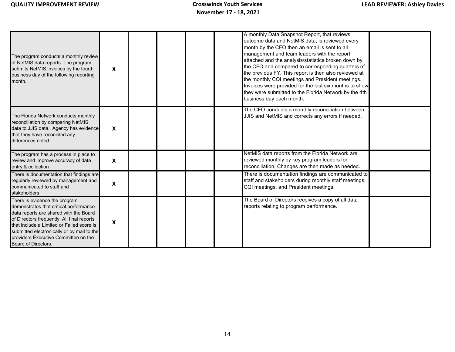| The program conducts a monthly review<br>of NetMIS data reports. The program<br>submits NetMIS invoices by the fourth<br>business day of the following reporting<br>month.                                                                                                                                                | $\boldsymbol{\mathsf{x}}$ |  |  | A monthly Data Snapshot Report, that reviews<br>outcome data and NetMIS data, is reviewed every<br>month by the CFO then an email is sent to all<br>management and team leaders with the report<br>attached and the analysis/statistics broken down by<br>the CFO and compared to corresponding quarters of<br>the previous FY. This report is then also reviewed at<br>the monthly CQI meetings and President meetings.<br>Invoices were provided for the last six months to show<br>they were submitted to the Florida Network by the 4th<br>business day each month. |  |
|---------------------------------------------------------------------------------------------------------------------------------------------------------------------------------------------------------------------------------------------------------------------------------------------------------------------------|---------------------------|--|--|-------------------------------------------------------------------------------------------------------------------------------------------------------------------------------------------------------------------------------------------------------------------------------------------------------------------------------------------------------------------------------------------------------------------------------------------------------------------------------------------------------------------------------------------------------------------------|--|
| The Florida Network conducts monthly<br>reconciliation by comparing NetMIS<br>data to JJIS data. Agency has evidence<br>that they have reconciled any<br>differences noted.                                                                                                                                               | $\boldsymbol{\mathsf{X}}$ |  |  | The CFO conducts a monthly reconciliation between<br>JJIS and NetMIS and corrects any errors if needed.                                                                                                                                                                                                                                                                                                                                                                                                                                                                 |  |
| The program has a process in place to<br>review and improve accuracy of data<br>entry & collection                                                                                                                                                                                                                        | $\boldsymbol{\mathsf{X}}$ |  |  | NetMIS data reports from the Florida Network are<br>reviewed monthly by key program leaders for<br>reconciliation. Changes are then made as needed.                                                                                                                                                                                                                                                                                                                                                                                                                     |  |
| There is documentation that findings are<br>regularly reviewed by management and<br>communicated to staff and<br>stakeholders.                                                                                                                                                                                            | $\boldsymbol{\mathsf{x}}$ |  |  | There is documentation findings are communicated to<br>staff and stakeholders during monthly staff meetings,<br>CQI meetings, and President meetings.                                                                                                                                                                                                                                                                                                                                                                                                                   |  |
| There is evidence the program<br>demonstrates that critical performance<br>data reports are shared with the Board<br>of Directors frequently. All final reports<br>that include a Limited or Failed score is<br>submitted electronically or by mail to the<br>providers Executive Committee on the<br>Board of Directors. | $\boldsymbol{\mathsf{X}}$ |  |  | The Board of Directors receives a copy of all data<br>reports relating to program performance.                                                                                                                                                                                                                                                                                                                                                                                                                                                                          |  |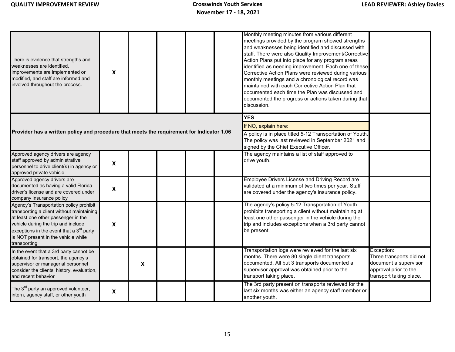| There is evidence that strengths and<br>weaknesses are identified.<br>improvements are implemented or<br>modified, and staff are informed and<br>involved throughout the process.                                                                                               | X |                           |  | Monthly meeting minutes from various different<br>meetings provided by the program showed strengths<br>and weaknesses being identified and discussed with<br>staff. There were also Quality Improvement/Corrective<br>Action Plans put into place for any program areas<br>identified as needing improvement. Each one of these<br>Corrective Action Plans were reviewed during various<br>monthly meetings and a chronological record was<br>maintained with each Corrective Action Plan that<br>documented each time the Plan was discussed and<br>documented the progress or actions taken during that<br>discussion. |                                                                                                                     |
|---------------------------------------------------------------------------------------------------------------------------------------------------------------------------------------------------------------------------------------------------------------------------------|---|---------------------------|--|--------------------------------------------------------------------------------------------------------------------------------------------------------------------------------------------------------------------------------------------------------------------------------------------------------------------------------------------------------------------------------------------------------------------------------------------------------------------------------------------------------------------------------------------------------------------------------------------------------------------------|---------------------------------------------------------------------------------------------------------------------|
| Provider has a written policy and procedure that meets the requirement for Indicator 1.06                                                                                                                                                                                       |   |                           |  | <b>YES</b><br>If NO, explain here:<br>A policy is in place titled 5-12 Transportation of Youth.<br>The policy was last reviewed in September 2021 and<br>signed by the Chief Executive Officer.                                                                                                                                                                                                                                                                                                                                                                                                                          |                                                                                                                     |
| Approved agency drivers are agency<br>staff approved by administrative<br>personnel to drive client(s) in agency or<br>approved private vehicle                                                                                                                                 | X |                           |  | The agency maintains a list of staff approved to<br>drive youth.                                                                                                                                                                                                                                                                                                                                                                                                                                                                                                                                                         |                                                                                                                     |
| Approved agency drivers are<br>documented as having a valid Florida<br>driver's license and are covered under<br>company insurance policy                                                                                                                                       | X |                           |  | Employee Drivers License and Driving Record are<br>validated at a minimum of two times per year. Staff<br>are covered under the agency's insurance policy.                                                                                                                                                                                                                                                                                                                                                                                                                                                               |                                                                                                                     |
| Agency's Transportation policy prohibit<br>transporting a client without maintaining<br>at least one other passenger in the<br>vehicle during the trip and include<br>exceptions in the event that a 3 $^{\sf rd}$ party<br>is NOT present in the vehicle while<br>transporting | X |                           |  | The agency's policy 5-12 Transportation of Youth<br>prohibits transporting a client without maintaining at<br>least one other passenger in the vehicle during the<br>trip and includes exceptions when a 3rd party cannot<br>be present.                                                                                                                                                                                                                                                                                                                                                                                 |                                                                                                                     |
| In the event that a 3rd party cannot be<br>obtained for transport, the agency's<br>supervisor or managerial personnel<br>consider the clients' history, evaluation,<br>and recent behavior                                                                                      |   | $\boldsymbol{\mathsf{X}}$ |  | Transportation logs were reviewed for the last six<br>months. There were 80 single client transports<br>documented. All but 3 transports documented a<br>supervisor approval was obtained prior to the<br>transport taking place.                                                                                                                                                                                                                                                                                                                                                                                        | Exception:<br>Three transports did not<br>document a supervisor<br>approval prior to the<br>transport taking place. |
| The 3 <sup>rd</sup> party an approved volunteer,<br>intern, agency staff, or other youth                                                                                                                                                                                        | X |                           |  | The 3rd party present on transports reviewed for the<br>last six months was either an agency staff member or<br>another youth.                                                                                                                                                                                                                                                                                                                                                                                                                                                                                           |                                                                                                                     |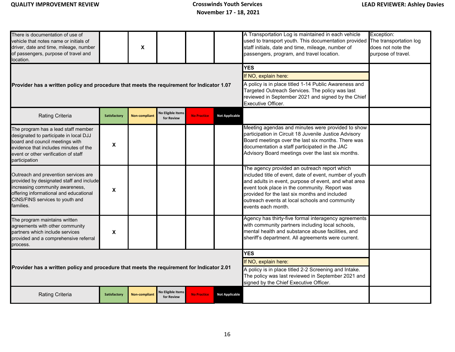| There is documentation of use of<br>vehicle that notes name or initials of<br>driver, date and time, mileage, number<br>of passengers, purpose of travel and<br>location.                                          |              | X                    |                                        |                                                                                                                                                                                                              |                       | A Transportation Log is maintained in each vehicle<br>used to transport youth. This documentation provided<br>staff initials, date and time, mileage, number of<br>passengers, program, and travel location.                                                                                                                              | Exception:<br>The transportation log<br>does not note the<br>purpose of travel. |
|--------------------------------------------------------------------------------------------------------------------------------------------------------------------------------------------------------------------|--------------|----------------------|----------------------------------------|--------------------------------------------------------------------------------------------------------------------------------------------------------------------------------------------------------------|-----------------------|-------------------------------------------------------------------------------------------------------------------------------------------------------------------------------------------------------------------------------------------------------------------------------------------------------------------------------------------|---------------------------------------------------------------------------------|
|                                                                                                                                                                                                                    |              |                      |                                        |                                                                                                                                                                                                              |                       | <b>YES</b>                                                                                                                                                                                                                                                                                                                                |                                                                                 |
| Provider has a written policy and procedure that meets the requirement for Indicator 1.07                                                                                                                          |              |                      |                                        | If NO, explain here:<br>A policy is in place titled 1-14 Public Awareness and<br>Targeted Outreach Services. The policy was last<br>reviewed in September 2021 and signed by the Chief<br>Executive Officer. |                       |                                                                                                                                                                                                                                                                                                                                           |                                                                                 |
| Rating Criteria                                                                                                                                                                                                    | Satisfactory | <b>Non-compliant</b> | <b>Jo Eligible Items</b><br>for Review | <b>No Practice</b>                                                                                                                                                                                           | <b>Not Applicable</b> |                                                                                                                                                                                                                                                                                                                                           |                                                                                 |
| The program has a lead staff member<br>designated to participate in local DJJ<br>board and council meetings with<br>evidence that includes minutes of the<br>event or other verification of staff<br>participation | X            |                      |                                        |                                                                                                                                                                                                              |                       | Meeting agendas and minutes were provided to show<br>participation in Circuit 18 Juvenile Justice Advisory<br>Board meetings over the last six months. There was<br>documentation a staff participated in the JAC<br>Advisory Board meetings over the last six months.                                                                    |                                                                                 |
| Outreach and prevention services are<br>provided by designated staff and include<br>increasing community awareness,<br>offering informational and educational<br>CINS/FINS services to youth and<br>families.      | X            |                      |                                        |                                                                                                                                                                                                              |                       | The agency provided an outreach report which<br>included title of event, date of event, number of youth<br>and adults in event, purpose of event, and what area<br>event took place in the community. Report was<br>provided for the last six months and included<br>outreach events at local schools and community<br>events each month. |                                                                                 |
| The program maintains written<br>agreements with other community<br>partners which include services<br>provided and a comprehensive referral<br>process.                                                           | X            |                      |                                        |                                                                                                                                                                                                              |                       | Agency has thirty-five formal interagency agreements<br>with community partners including local schools,<br>mental health and substance abuse facilities, and<br>sheriff's department. All agreements were current.                                                                                                                       |                                                                                 |
|                                                                                                                                                                                                                    |              |                      |                                        |                                                                                                                                                                                                              |                       | <b>YES</b>                                                                                                                                                                                                                                                                                                                                |                                                                                 |
| Provider has a written policy and procedure that meets the requirement for Indicator 2.01                                                                                                                          |              |                      |                                        | If NO, explain here:<br>A policy is in place titled 2-2 Screening and Intake.<br>The policy was last reviewed in September 2021 and<br>signed by the Chief Executive Officer.                                |                       |                                                                                                                                                                                                                                                                                                                                           |                                                                                 |
| <b>Rating Criteria</b>                                                                                                                                                                                             | Satisfactory | <b>Non-compliant</b> | <b>No Eligible Items</b><br>for Review | <b>No Practice</b>                                                                                                                                                                                           | <b>Not Applicable</b> |                                                                                                                                                                                                                                                                                                                                           |                                                                                 |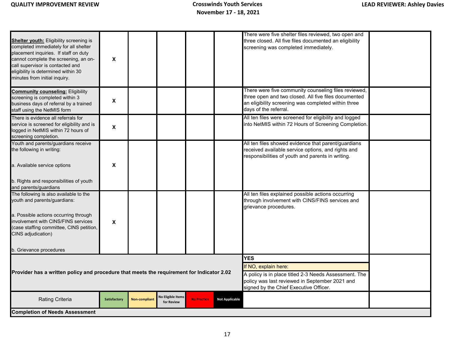|                                                                                                                                                                                                                                                                                       |                           |                      |                                        |                    |                                                                                                                                                   | There were five shelter files reviewed, two open and                                                                                                                                         |  |
|---------------------------------------------------------------------------------------------------------------------------------------------------------------------------------------------------------------------------------------------------------------------------------------|---------------------------|----------------------|----------------------------------------|--------------------|---------------------------------------------------------------------------------------------------------------------------------------------------|----------------------------------------------------------------------------------------------------------------------------------------------------------------------------------------------|--|
| <b>Shelter youth:</b> Eligibility screening is<br>completed immediately for all shelter<br>placement inquiries. If staff on duty<br>cannot complete the screening, an on-<br>call supervisor is contacted and<br>eligibility is determined within 30<br>minutes from initial inquiry. | X                         |                      |                                        |                    |                                                                                                                                                   | three closed. All five files documented an eligibility<br>screening was completed immediately.                                                                                               |  |
|                                                                                                                                                                                                                                                                                       |                           |                      |                                        |                    |                                                                                                                                                   |                                                                                                                                                                                              |  |
| <b>Community counseling: Eligibility</b><br>screening is completed within 3<br>business days of referral by a trained<br>staff using the NetMIS form                                                                                                                                  | $\pmb{\chi}$              |                      |                                        |                    |                                                                                                                                                   | There were five community counseling files reviewed,<br>three open and two closed. All five files documented<br>an eligibility screening was completed within three<br>days of the referral. |  |
| There is evidence all referrals for<br>service is screened for eligibility and is<br>logged in NetMIS within 72 hours of<br>screening completion.                                                                                                                                     | $\boldsymbol{\mathsf{x}}$ |                      |                                        |                    |                                                                                                                                                   | All ten files were screened for eligibility and logged<br>into NetMIS within 72 Hours of Screening Completion.                                                                               |  |
| Youth and parents/guardians receive<br>the following in writing:                                                                                                                                                                                                                      |                           |                      |                                        |                    |                                                                                                                                                   | All ten files showed evidence that parent/guardians<br>received available service options, and rights and<br>responsibilities of youth and parents in writing.                               |  |
| a. Available service options                                                                                                                                                                                                                                                          | X                         |                      |                                        |                    |                                                                                                                                                   |                                                                                                                                                                                              |  |
| b. Rights and responsibilities of youth<br>and parents/guardians                                                                                                                                                                                                                      |                           |                      |                                        |                    |                                                                                                                                                   |                                                                                                                                                                                              |  |
| The following is also available to the<br>youth and parents/guardians:                                                                                                                                                                                                                |                           |                      |                                        |                    |                                                                                                                                                   | All ten files explained possible actions occurring<br>through involvement with CINS/FINS services and<br>grievance procedures.                                                               |  |
| a. Possible actions occurring through<br>involvement with CINS/FINS services<br>(case staffing committee, CINS petition,<br>CINS adjudication)                                                                                                                                        | $\pmb{\chi}$              |                      |                                        |                    |                                                                                                                                                   |                                                                                                                                                                                              |  |
| b. Grievance procedures                                                                                                                                                                                                                                                               |                           |                      |                                        |                    |                                                                                                                                                   |                                                                                                                                                                                              |  |
|                                                                                                                                                                                                                                                                                       |                           |                      |                                        |                    |                                                                                                                                                   | <b>YES</b>                                                                                                                                                                                   |  |
|                                                                                                                                                                                                                                                                                       |                           |                      |                                        |                    | If NO, explain here:                                                                                                                              |                                                                                                                                                                                              |  |
| Provider has a written policy and procedure that meets the requirement for Indicator 2.02                                                                                                                                                                                             |                           |                      |                                        |                    | A policy is in place titled 2-3 Needs Assessment. The<br>policy was last reviewed in September 2021 and<br>signed by the Chief Executive Officer. |                                                                                                                                                                                              |  |
| Rating Criteria                                                                                                                                                                                                                                                                       | Satisfactory              | <b>Non-compliant</b> | <b>No Eligible Items</b><br>for Review | <b>No Practice</b> | <b>Not Applicable</b>                                                                                                                             |                                                                                                                                                                                              |  |
| <b>Completion of Needs Assessment</b>                                                                                                                                                                                                                                                 |                           |                      |                                        |                    |                                                                                                                                                   |                                                                                                                                                                                              |  |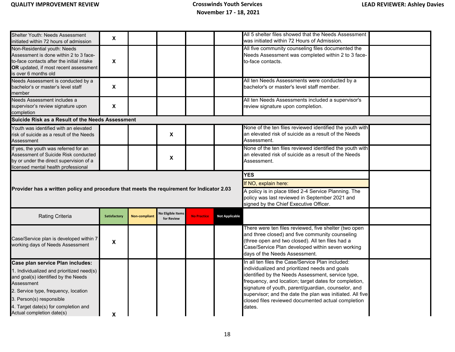| Shelter Youth: Needs Assessment                                                                                                                                                                                             | X                         |                      |                                        |                    |                       | All 5 shelter files showed that the Needs Assessment                                                                                                                                                                                              |  |
|-----------------------------------------------------------------------------------------------------------------------------------------------------------------------------------------------------------------------------|---------------------------|----------------------|----------------------------------------|--------------------|-----------------------|---------------------------------------------------------------------------------------------------------------------------------------------------------------------------------------------------------------------------------------------------|--|
| nitiated within 72 hours of admission<br>Non-Residential youth: Needs<br>Assessment is done within 2 to 3 face-<br>o-face contacts after the initial intake<br>OR updated, if most recent assessment<br>s over 6 months old | $\boldsymbol{\mathsf{X}}$ |                      |                                        |                    |                       | was initiated within 72 Hours of Admission.<br>All five community counseling files documented the<br>Needs Assessment was completed within 2 to 3 face-<br>to-face contacts.                                                                      |  |
| <b>Needs Assessment is conducted by a</b><br>pachelor's or master's level staff<br>member                                                                                                                                   | $\boldsymbol{\mathsf{X}}$ |                      |                                        |                    |                       | All ten Needs Assessments were conducted by a<br>bachelor's or master's level staff member.                                                                                                                                                       |  |
| <b>Needs Assessment includes a</b><br>supervisor's review signature upon<br>completion                                                                                                                                      | $\boldsymbol{\mathsf{X}}$ |                      |                                        |                    |                       | All ten Needs Assessments included a supervisor's<br>review signature upon completion.                                                                                                                                                            |  |
| Suicide Risk as a Result of the Needs Assessment                                                                                                                                                                            |                           |                      |                                        |                    |                       |                                                                                                                                                                                                                                                   |  |
| Youth was identified with an elevated<br>isk of suicide as a result of the Needs<br>Assessment                                                                                                                              |                           |                      | X                                      |                    |                       | None of the ten files reviewed identified the youth with<br>an elevated risk of suicide as a result of the Needs<br>Assessment.                                                                                                                   |  |
| If yes, the youth was referred for an<br>Assessment of Suicide Risk conducted<br>by or under the direct supervision of a<br>icensed mental health professional                                                              |                           |                      | X                                      |                    |                       | None of the ten files reviewed identified the youth with<br>an elevated risk of suicide as a result of the Needs<br>Assessment.                                                                                                                   |  |
|                                                                                                                                                                                                                             |                           |                      |                                        |                    |                       | <b>YES</b>                                                                                                                                                                                                                                        |  |
| Provider has a written policy and procedure that meets the requirement for Indicator 2.03                                                                                                                                   |                           |                      |                                        |                    |                       | If NO, explain here:<br>A policy is in place titled 2-4 Service Planning. The<br>policy was last reviewed in September 2021 and<br>signed by the Chief Executive Officer.                                                                         |  |
| Rating Criteria                                                                                                                                                                                                             | Satisfactory              | <b>Non-compliant</b> | <b>No Eligible Items</b><br>for Review | <b>No Practice</b> | <b>Not Applicable</b> |                                                                                                                                                                                                                                                   |  |
| Case/Service plan is developed within 7<br>working days of Needs Assessment                                                                                                                                                 | $\pmb{\mathsf{X}}$        |                      |                                        |                    |                       | There were ten files reviewed, five shelter (two open<br>and three closed) and five community counseling<br>(three open and two closed). All ten files had a<br>Case/Service Plan developed within seven working<br>days of the Needs Assessment. |  |
| Case plan service Plan includes:                                                                                                                                                                                            |                           |                      |                                        |                    |                       | In all ten files the Case/Service Plan included:                                                                                                                                                                                                  |  |
| 1. Individualized and prioritized need(s)<br>and goal(s) identified by the Needs<br>Assessment                                                                                                                              |                           |                      |                                        |                    |                       | individualized and prioritized needs and goals<br>identified by the Needs Assessment, service type,<br>frequency, and location; target dates for completion,                                                                                      |  |
| 2. Service type, frequency, location                                                                                                                                                                                        |                           |                      |                                        |                    |                       | signature of youth, parent/guardian, counselor, and<br>supervisor; and the date the plan was initiated. All five                                                                                                                                  |  |
| 3. Person(s) responsible                                                                                                                                                                                                    |                           |                      |                                        |                    |                       | closed files reviewed documented actual completion                                                                                                                                                                                                |  |
| 4. Target date(s) for completion and<br>Actual completion date(s)                                                                                                                                                           | X                         |                      |                                        |                    |                       | dates.                                                                                                                                                                                                                                            |  |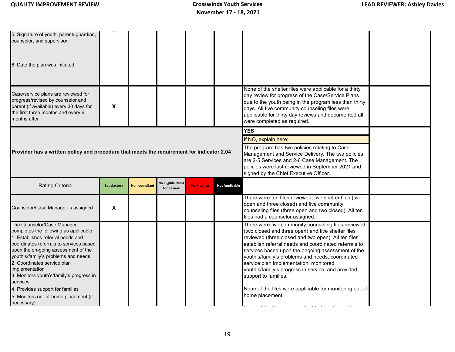| 5. Signature of youth, parent/ guardian,<br>counselor, and supervisor<br>6. Date the plan was initiated<br>Case/service plans are reviewed for<br>progress/revised by counselor and                                                                                                                                                                                                                                                    |                           |                      |                                        |                                                                                                                                                                                                                                                                                          |                       | None of the shelter files were applicable for a thirty<br>day review for progress of the Case/Service Plans                                                                                                                                                                                                                                                                                                                                                                                                                               |  |
|----------------------------------------------------------------------------------------------------------------------------------------------------------------------------------------------------------------------------------------------------------------------------------------------------------------------------------------------------------------------------------------------------------------------------------------|---------------------------|----------------------|----------------------------------------|------------------------------------------------------------------------------------------------------------------------------------------------------------------------------------------------------------------------------------------------------------------------------------------|-----------------------|-------------------------------------------------------------------------------------------------------------------------------------------------------------------------------------------------------------------------------------------------------------------------------------------------------------------------------------------------------------------------------------------------------------------------------------------------------------------------------------------------------------------------------------------|--|
| parent (if available) every 30 days for<br>the first three months and every 6<br>months after                                                                                                                                                                                                                                                                                                                                          | $\boldsymbol{\mathsf{x}}$ |                      |                                        |                                                                                                                                                                                                                                                                                          |                       | due to the youth being in the program less than thirty<br>days. All five community counseling files were<br>applicable for thirty day reviews and documented all<br>were completed as required.                                                                                                                                                                                                                                                                                                                                           |  |
| Provider has a written policy and procedure that meets the requirement for Indicator 2.04                                                                                                                                                                                                                                                                                                                                              |                           |                      |                                        | <b>YES</b><br>If NO, explain here:<br>The program has two policies relating to Case<br>Management and Service Delivery. The two policies<br>are 2-5 Services and 2-6 Case Management. The<br>policies were last reviewed in September 2021 and<br>signed by the Chief Executive Officer. |                       |                                                                                                                                                                                                                                                                                                                                                                                                                                                                                                                                           |  |
| Rating Criteria                                                                                                                                                                                                                                                                                                                                                                                                                        | <b>Satisfactory</b>       | <b>Non-compliant</b> | <b>Jo Eligible Items</b><br>for Review | <b>No Practice</b>                                                                                                                                                                                                                                                                       | <b>Not Applicable</b> |                                                                                                                                                                                                                                                                                                                                                                                                                                                                                                                                           |  |
| Counselor/Case Manager is assigned                                                                                                                                                                                                                                                                                                                                                                                                     | $\pmb{\chi}$              |                      |                                        |                                                                                                                                                                                                                                                                                          |                       | There were ten files reviewed, five shelter files (two<br>open and three closed) and five community<br>counseling files (three open and two closed). All ten<br>files had a counselor assigned.                                                                                                                                                                                                                                                                                                                                           |  |
| The Counselor/Case Manager<br>completes the following as applicable:<br>1. Establishes referral needs and<br>coordinates referrals to services based<br>upon the on-going assessment of the<br>youth's/family's problems and needs<br>2. Coordinates service plan<br>implementation<br>3. Monitors youth's/family's progress in<br>services<br>4. Provides support for families<br>5. Monitors out-of-home placement (if<br>necessary) |                           |                      |                                        |                                                                                                                                                                                                                                                                                          |                       | There were five community counseling files reviewed<br>(two closed and three open) and five shelter files<br>reviewed (three closed and two open). All ten files<br>establish referral needs and coordinated referrals to<br>services based upon the ongoing assessment of the<br>youth's/family's problems and needs, coordinated<br>service plan implementation, monitored<br>youth's/family's progress in service, and provided<br>support to families.<br>None of the files were applicable for monitoring out-of-<br>home placement. |  |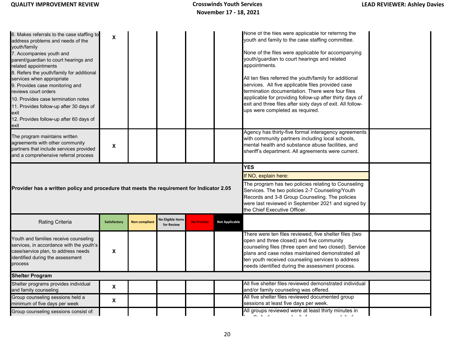| 6. Makes referrals to the case staffing to<br>address problems and needs of the<br>youth/family<br>7. Accompanies youth and<br>parent/guardian to court hearings and<br>related appointments<br>8. Refers the youth/family for additional<br>services when appropriate<br>9. Provides case monitoring and<br>reviews court orders<br>10. Provides case termination notes<br>11. Provides follow-up after 30 days of<br>exit<br>12. Provides follow-up after 60 days of<br>exit | X            |                      |                                        |                    |                       | None of the files were applicable for referring the<br>youth and family to the case staffing committee.<br>None of the files were applicable for accompanying<br>youth/guardian to court hearings and related<br>appointments.<br>All ten files referred the youth/family for additional<br>services. All five applicable files provided case<br>termination documentation. There were four files<br>applicable for providing follow-up after thirty days of<br>exit and three files after sixty days of exit. All follow-<br>ups were completed as required. |  |
|--------------------------------------------------------------------------------------------------------------------------------------------------------------------------------------------------------------------------------------------------------------------------------------------------------------------------------------------------------------------------------------------------------------------------------------------------------------------------------|--------------|----------------------|----------------------------------------|--------------------|-----------------------|---------------------------------------------------------------------------------------------------------------------------------------------------------------------------------------------------------------------------------------------------------------------------------------------------------------------------------------------------------------------------------------------------------------------------------------------------------------------------------------------------------------------------------------------------------------|--|
| The program maintains written<br>agreements with other community<br>partners that include services provided<br>and a comprehensive referral process                                                                                                                                                                                                                                                                                                                            | X            |                      |                                        |                    |                       | Agency has thirty-five formal interagency agreements<br>with community partners including local schools,<br>mental health and substance abuse facilities, and<br>sheriff's department. All agreements were current.                                                                                                                                                                                                                                                                                                                                           |  |
|                                                                                                                                                                                                                                                                                                                                                                                                                                                                                |              |                      |                                        |                    |                       | <b>YES</b>                                                                                                                                                                                                                                                                                                                                                                                                                                                                                                                                                    |  |
|                                                                                                                                                                                                                                                                                                                                                                                                                                                                                |              |                      |                                        |                    |                       | If NO, explain here:                                                                                                                                                                                                                                                                                                                                                                                                                                                                                                                                          |  |
| Provider has a written policy and procedure that meets the requirement for Indicator 2.05                                                                                                                                                                                                                                                                                                                                                                                      |              |                      |                                        |                    |                       | The program has two policies relating to Counseling<br>Services. The two policies 2-7 Counseling/Youth<br>Records and 3-8 Group Counseling. The policies<br>were last reviewed in September 2021 and signed by<br>the Chief Executive Officer.                                                                                                                                                                                                                                                                                                                |  |
| <b>Rating Criteria</b>                                                                                                                                                                                                                                                                                                                                                                                                                                                         | Satisfactory | <b>Non-compliant</b> | <b>Jo Eligible Items</b><br>for Review | <b>No Practice</b> | <b>Not Applicable</b> |                                                                                                                                                                                                                                                                                                                                                                                                                                                                                                                                                               |  |
| Youth and families receive counseling<br>services, in accordance with the youth's<br>case/service plan, to address needs<br>identified during the assessment<br>process                                                                                                                                                                                                                                                                                                        | X            |                      |                                        |                    |                       | There were ten files reviewed, five shelter files (two<br>open and three closed) and five community<br>counseling files (three open and two closed). Service<br>plans and case notes maintained demonstrated all<br>ten youth received counseling services to address<br>needs identified during the assessment process.                                                                                                                                                                                                                                      |  |
| <b>Shelter Program</b>                                                                                                                                                                                                                                                                                                                                                                                                                                                         |              |                      |                                        |                    |                       |                                                                                                                                                                                                                                                                                                                                                                                                                                                                                                                                                               |  |
| Shelter programs provides individual<br>and family counseling                                                                                                                                                                                                                                                                                                                                                                                                                  | X            |                      |                                        |                    |                       | All five shelter files reviewed demonstrated individual<br>and/or family counseling was offered.                                                                                                                                                                                                                                                                                                                                                                                                                                                              |  |
| Group counseling sessions held a<br>minimum of five days per week                                                                                                                                                                                                                                                                                                                                                                                                              | X            |                      |                                        |                    |                       | All five shelter files reviewed documented group<br>sessions at least five days per week.                                                                                                                                                                                                                                                                                                                                                                                                                                                                     |  |
| Group counseling sessions consist of:                                                                                                                                                                                                                                                                                                                                                                                                                                          |              |                      |                                        |                    |                       | All groups reviewed were at least thirty minutes in<br>$\mathbf{r}=(\mathbf{r}\mathbf{r})\in\mathbf{r}$ .                                                                                                                                                                                                                                                                                                                                                                                                                                                     |  |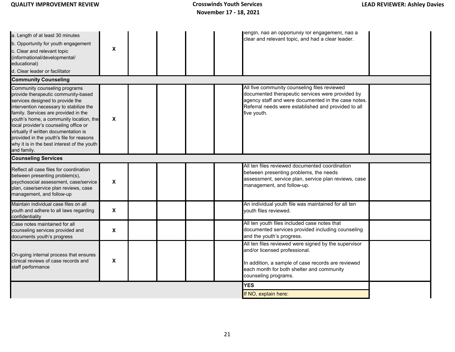| a. Length of at least 30 minutes<br>b. Opportunity for youth engagement<br>c. Clear and relevant topic<br>(informational/developmental/<br>educational)<br>d. Clear leader or facilitator<br><b>Community Counseling</b>                                                                                                                                                                                                           | X            |  |  | length, had an opportunity for engagement, had a<br>clear and relevant topic, and had a clear leader.                                                                                                                         |  |
|------------------------------------------------------------------------------------------------------------------------------------------------------------------------------------------------------------------------------------------------------------------------------------------------------------------------------------------------------------------------------------------------------------------------------------|--------------|--|--|-------------------------------------------------------------------------------------------------------------------------------------------------------------------------------------------------------------------------------|--|
| Community counseling programs<br>provide therapeutic community-based<br>services designed to provide the<br>intervention necessary to stabilize the<br>family. Services are provided in the<br>youth's home, a community location, the<br>local provider's counseling office or<br>virtually if written documentation is<br>provided in the youth's file for reasons<br>why it is in the best interest of the youth<br>and family. | X            |  |  | All five community counseling files reviewed<br>documented therapeutic services were provided by<br>agency staff and were documented in the case notes.<br>Referral needs were established and provided to all<br>five youth. |  |
| <b>Counseling Services</b>                                                                                                                                                                                                                                                                                                                                                                                                         |              |  |  | All ten files reviewed documented coordination                                                                                                                                                                                |  |
| Reflect all case files for coordination<br>between presenting problem(s),<br>psychosocial assessment, case/service<br>plan, case/service plan reviews, case<br>management, and follow-up                                                                                                                                                                                                                                           | $\pmb{\chi}$ |  |  | between presenting problems, the needs<br>assessment, service plan, service plan reviews, case<br>management, and follow-up.                                                                                                  |  |
| Maintain individual case files on all<br>youth and adhere to all laws regarding<br>confidentiality                                                                                                                                                                                                                                                                                                                                 | X            |  |  | An individual youth file was maintained for all ten<br>youth files reviewed.                                                                                                                                                  |  |
| Case notes maintained for all<br>counseling services provided and<br>documents youth's progress                                                                                                                                                                                                                                                                                                                                    | X            |  |  | All ten youth files included case notes that<br>documented services provided including counseling<br>and the youth's progress.                                                                                                |  |
| On-going internal process that ensures<br>clinical reviews of case records and<br>staff performance                                                                                                                                                                                                                                                                                                                                | X            |  |  | All ten files reviewed were signed by the supervisor<br>and/or licensed professional.<br>In addition, a sample of case records are reviewed<br>each month for both shelter and community<br>counseling programs.              |  |
|                                                                                                                                                                                                                                                                                                                                                                                                                                    |              |  |  | <b>YES</b>                                                                                                                                                                                                                    |  |
|                                                                                                                                                                                                                                                                                                                                                                                                                                    |              |  |  | If NO, explain here:                                                                                                                                                                                                          |  |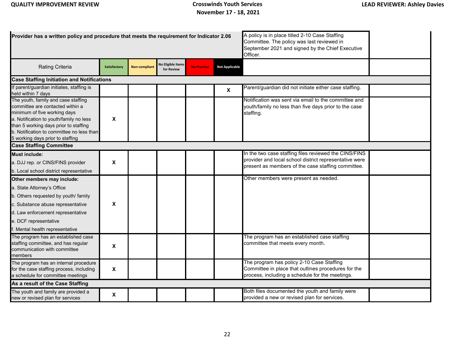| Provider has a written policy and procedure that meets the requirement for Indicator 2.06                                                                                                                                                                                    |                     |                      | A policy is in place titled 2-10 Case Staffing<br>Committee. The policy was last reviewed in<br>September 2021 and signed by the Chief Executive<br>Officer. |                    |                           |                                                                                                                                                                       |  |  |  |  |  |
|------------------------------------------------------------------------------------------------------------------------------------------------------------------------------------------------------------------------------------------------------------------------------|---------------------|----------------------|--------------------------------------------------------------------------------------------------------------------------------------------------------------|--------------------|---------------------------|-----------------------------------------------------------------------------------------------------------------------------------------------------------------------|--|--|--|--|--|
| Rating Criteria                                                                                                                                                                                                                                                              | <b>Satisfactory</b> | <b>Non-compliant</b> | <b>Jo Eligible Items</b><br>for Review                                                                                                                       | <b>No Practice</b> | <b>Not Applicable</b>     |                                                                                                                                                                       |  |  |  |  |  |
| <b>Case Staffing Initiation and Notifications</b>                                                                                                                                                                                                                            |                     |                      |                                                                                                                                                              |                    |                           |                                                                                                                                                                       |  |  |  |  |  |
| If parent/guardian initiates, staffing is<br>held within 7 days                                                                                                                                                                                                              |                     |                      |                                                                                                                                                              |                    | $\boldsymbol{\mathsf{X}}$ | Parent/guardian did not initiate either case staffing.                                                                                                                |  |  |  |  |  |
| The youth, family and case staffing<br>committee are contacted within a<br>minimum of five working days<br>a. Notification to youth/family no less<br>than 5 working days prior to staffing<br>b. Notification to committee no less than<br>5 working days prior to staffing | X                   |                      |                                                                                                                                                              |                    |                           | Notification was sent via email to the committee and<br>youth/family no less than five days prior to the case<br>staffing.                                            |  |  |  |  |  |
| <b>Case Staffing Committee</b>                                                                                                                                                                                                                                               |                     |                      |                                                                                                                                                              |                    |                           |                                                                                                                                                                       |  |  |  |  |  |
| <b>Must include:</b><br>a. DJJ rep. or CINS/FINS provider<br>b. Local school district representative                                                                                                                                                                         | X                   |                      |                                                                                                                                                              |                    |                           | In the two case staffing files reviewed the CINS/FINS<br>provider and local school district representative were<br>present as members of the case staffing committee. |  |  |  |  |  |
| Other members may include:<br>a. State Attorney's Office<br>b. Others requested by youth/ family<br>c. Substance abuse representative<br>d. Law enforcement representative<br>e. DCF representative<br>f. Mental health representative                                       | X                   |                      |                                                                                                                                                              |                    |                           | Other members were present as needed.                                                                                                                                 |  |  |  |  |  |
| The program has an established case<br>staffing committee, and has regular<br>communication with committee<br>members                                                                                                                                                        | X                   |                      |                                                                                                                                                              |                    |                           | The program has an established case staffing<br>committee that meets every month.                                                                                     |  |  |  |  |  |
| The program has an internal procedure<br>for the case staffing process, including<br>a schedule for committee meetings                                                                                                                                                       | $\pmb{\chi}$        |                      |                                                                                                                                                              |                    |                           | The program has policy 2-10 Case Staffing<br>Committee in place that outlines procedures for the<br>process, including a schedule for the meetings.                   |  |  |  |  |  |
| As a result of the Case Staffing                                                                                                                                                                                                                                             |                     |                      |                                                                                                                                                              |                    |                           |                                                                                                                                                                       |  |  |  |  |  |
| The youth and family are provided a<br>new or revised plan for services                                                                                                                                                                                                      | X                   |                      |                                                                                                                                                              |                    |                           | Both files documented the youth and family were<br>provided a new or revised plan for services.                                                                       |  |  |  |  |  |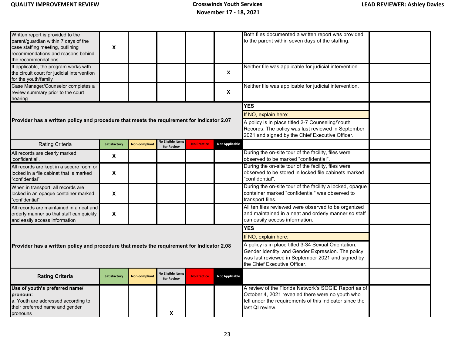| Written report is provided to the<br>parent/guardian within 7 days of the<br>case staffing meeting, outlining<br>recommendations and reasons behind<br>the recommendations                                                                             | X                                                                                                                                                                                               |                      |                                        |                    |                       | Both files documented a written report was provided<br>to the parent within seven days of the staffing.                                                                                |  |  |  |  |
|--------------------------------------------------------------------------------------------------------------------------------------------------------------------------------------------------------------------------------------------------------|-------------------------------------------------------------------------------------------------------------------------------------------------------------------------------------------------|----------------------|----------------------------------------|--------------------|-----------------------|----------------------------------------------------------------------------------------------------------------------------------------------------------------------------------------|--|--|--|--|
| If applicable, the program works with<br>the circuit court for judicial intervention<br>for the youth/family                                                                                                                                           |                                                                                                                                                                                                 |                      |                                        |                    | $\mathsf{x}$          | Neither file was applicable for judicial intervention.                                                                                                                                 |  |  |  |  |
| Case Manager/Counselor completes a<br>review summary prior to the court<br>hearing                                                                                                                                                                     |                                                                                                                                                                                                 |                      |                                        |                    | <b>X</b>              | Neither file was applicable for judicial intervention.                                                                                                                                 |  |  |  |  |
|                                                                                                                                                                                                                                                        |                                                                                                                                                                                                 |                      |                                        |                    |                       | <b>YES</b>                                                                                                                                                                             |  |  |  |  |
|                                                                                                                                                                                                                                                        |                                                                                                                                                                                                 |                      |                                        |                    |                       | If NO, explain here:                                                                                                                                                                   |  |  |  |  |
| Provider has a written policy and procedure that meets the requirement for Indicator 2.07<br>A policy is in place titled 2-7 Counseling/Youth<br>Records. The policy was last reviewed in September<br>2021 and signed by the Chief Executive Officer. |                                                                                                                                                                                                 |                      |                                        |                    |                       |                                                                                                                                                                                        |  |  |  |  |
| Rating Criteria                                                                                                                                                                                                                                        | Satisfactory                                                                                                                                                                                    | <b>Non-compliant</b> | <b>No Eligible Items</b><br>for Review | <b>No Practice</b> | <b>Not Applicable</b> |                                                                                                                                                                                        |  |  |  |  |
| All records are clearly marked<br>'confidential'.                                                                                                                                                                                                      | X                                                                                                                                                                                               |                      |                                        |                    |                       | During the on-site tour of the facility, files were<br>observed to be marked "confidential".                                                                                           |  |  |  |  |
| All records are kept in a secure room or<br>locked in a file cabinet that is marked<br>'confidential"                                                                                                                                                  | X                                                                                                                                                                                               |                      |                                        |                    |                       | During the on-site tour of the facility, files were<br>observed to be stored in locked file cabinets marked<br>"confidential".                                                         |  |  |  |  |
| When in transport, all records are<br>locked in an opaque container marked<br>'confidential"                                                                                                                                                           | X                                                                                                                                                                                               |                      |                                        |                    |                       | During the on-site tour of the facility a locked, opaque<br>container marked "confidential" was observed to<br>transport files.                                                        |  |  |  |  |
| All records are maintained in a neat and<br>orderly manner so that staff can quickly<br>and easily access information                                                                                                                                  | $\pmb{\chi}$                                                                                                                                                                                    |                      |                                        |                    |                       | All ten files reviewed were observed to be organized<br>and maintained in a neat and orderly manner so staff<br>can easily access information.                                         |  |  |  |  |
|                                                                                                                                                                                                                                                        |                                                                                                                                                                                                 |                      |                                        |                    |                       | <b>YES</b>                                                                                                                                                                             |  |  |  |  |
|                                                                                                                                                                                                                                                        |                                                                                                                                                                                                 |                      |                                        |                    |                       | If NO, explain here:                                                                                                                                                                   |  |  |  |  |
| Provider has a written policy and procedure that meets the requirement for Indicator 2.08                                                                                                                                                              | A policy is in place titled 3-34 Sexual Orientation,<br>Gender Identity, and Gender Expression. The policy<br>was last reviewed in September 2021 and signed by<br>the Chief Executive Officer. |                      |                                        |                    |                       |                                                                                                                                                                                        |  |  |  |  |
| <b>Rating Criteria</b>                                                                                                                                                                                                                                 | <b>Satisfactory</b>                                                                                                                                                                             | <b>Non-compliant</b> | <b>Jo Eligible Items</b><br>for Review | <b>No Practice</b> | <b>Not Applicable</b> |                                                                                                                                                                                        |  |  |  |  |
| Use of youth's preferred name/<br>pronoun:<br>a. Youth are addressed according to<br>their preferred name and gender<br>pronouns                                                                                                                       |                                                                                                                                                                                                 |                      | X                                      |                    |                       | A review of the Florida Network's SOGIE Report as of<br>October 4, 2021 revealed there were no youth who<br>fell under the requirements of this indicator since the<br>last QI review. |  |  |  |  |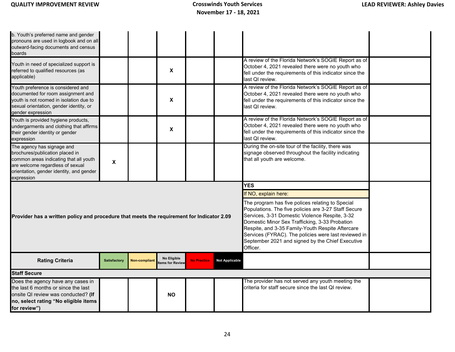| b. Youth's preferred name and gender<br>pronouns are used in logbook and on all<br>outward-facing documents and census<br>boards                                                                      |                     |               |                                |                    |                                                                                                                                                                                                                                                                                                                                                                                          |                                                                                                                                                                                        |  |
|-------------------------------------------------------------------------------------------------------------------------------------------------------------------------------------------------------|---------------------|---------------|--------------------------------|--------------------|------------------------------------------------------------------------------------------------------------------------------------------------------------------------------------------------------------------------------------------------------------------------------------------------------------------------------------------------------------------------------------------|----------------------------------------------------------------------------------------------------------------------------------------------------------------------------------------|--|
| Youth in need of specialized support is<br>referred to qualified resources (as<br>applicable)                                                                                                         |                     |               | X                              |                    |                                                                                                                                                                                                                                                                                                                                                                                          | A review of the Florida Network's SOGIE Report as of<br>October 4, 2021 revealed there were no youth who<br>fell under the requirements of this indicator since the<br>last OI review. |  |
| Youth preference is considered and<br>documented for room assignment and<br>youth is not roomed in isolation due to<br>sexual orientation, gender identity, or<br>gender expression                   |                     |               | X                              |                    |                                                                                                                                                                                                                                                                                                                                                                                          | A review of the Florida Network's SOGIE Report as of<br>October 4, 2021 revealed there were no youth who<br>fell under the requirements of this indicator since the<br>last QI review. |  |
| Youth is provided hygiene products,<br>undergarments and clothing that affirms<br>their gender identity or gender<br>expression                                                                       |                     |               | X                              |                    |                                                                                                                                                                                                                                                                                                                                                                                          | A review of the Florida Network's SOGIE Report as of<br>October 4, 2021 revealed there were no youth who<br>fell under the requirements of this indicator since the<br>last QI review. |  |
| The agency has signage and<br>brochures/publication placed in<br>common areas indicating that all youth<br>are welcome regardless of sexual<br>orientation, gender identity, and gender<br>expression | $\pmb{\mathsf{x}}$  |               |                                |                    |                                                                                                                                                                                                                                                                                                                                                                                          | During the on-site tour of the facility, there was<br>signage observed throughout the facility indicating<br>that all youth are welcome.                                               |  |
|                                                                                                                                                                                                       |                     |               |                                |                    |                                                                                                                                                                                                                                                                                                                                                                                          | <b>YES</b><br>If NO, explain here:                                                                                                                                                     |  |
| Provider has a written policy and procedure that meets the requirement for Indicator 2.09                                                                                                             |                     |               |                                |                    | The program has five polices relating to Special<br>Populations. The five policies are 3-27 Staff Secure<br>Services, 3-31 Domestic Violence Respite, 3-32<br>Domestic Minor Sex Trafficking, 3-33 Probation<br>Respite, and 3-35 Family-Youth Respite Aftercare<br>Services (FYRAC). The policies were last reviewed in<br>September 2021 and signed by the Chief Executive<br>Officer. |                                                                                                                                                                                        |  |
| <b>Rating Criteria</b>                                                                                                                                                                                | <b>Satisfactory</b> | Non-compliant | No Eligible<br>tems for Review | <b>No Practice</b> | <b>Not Applicable</b>                                                                                                                                                                                                                                                                                                                                                                    |                                                                                                                                                                                        |  |
| <b>Staff Secure</b>                                                                                                                                                                                   |                     |               |                                |                    |                                                                                                                                                                                                                                                                                                                                                                                          |                                                                                                                                                                                        |  |
| Does the agency have any cases in<br>the last 6 months or since the last<br>onsite QI review was conducted? (If<br>no, select rating "No eligible items<br>for review")                               |                     |               | <b>NO</b>                      |                    |                                                                                                                                                                                                                                                                                                                                                                                          | The provider has not served any youth meeting the<br>criteria for staff secure since the last QI review.                                                                               |  |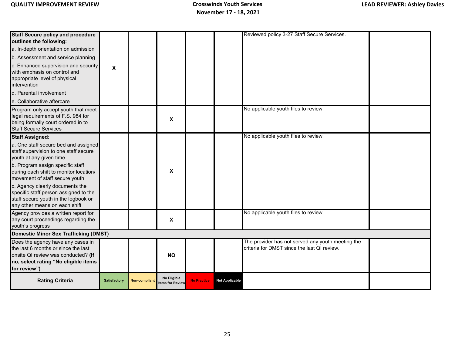| <b>Staff Secure policy and procedure</b><br>outlines the following:<br>a. In-depth orientation on admission                                                             |                           |               |                                |                    |                       | Reviewed policy 3-27 Staff Secure Services.                                                      |  |
|-------------------------------------------------------------------------------------------------------------------------------------------------------------------------|---------------------------|---------------|--------------------------------|--------------------|-----------------------|--------------------------------------------------------------------------------------------------|--|
| b. Assessment and service planning                                                                                                                                      |                           |               |                                |                    |                       |                                                                                                  |  |
| c. Enhanced supervision and security<br>with emphasis on control and<br>appropriate level of physical<br>intervention                                                   | $\boldsymbol{\mathsf{X}}$ |               |                                |                    |                       |                                                                                                  |  |
| d. Parental involvement                                                                                                                                                 |                           |               |                                |                    |                       |                                                                                                  |  |
| e. Collaborative aftercare                                                                                                                                              |                           |               |                                |                    |                       |                                                                                                  |  |
| Program only accept youth that meet<br>legal requirements of F.S. 984 for<br>being formally court ordered in to<br><b>Staff Secure Services</b>                         |                           |               | X                              |                    |                       | No applicable youth files to review.                                                             |  |
| <b>Staff Assigned:</b>                                                                                                                                                  |                           |               |                                |                    |                       | No applicable youth files to review.                                                             |  |
| a. One staff secure bed and assigned<br>staff supervision to one staff secure<br>youth at any given time                                                                |                           |               |                                |                    |                       |                                                                                                  |  |
| b. Program assign specific staff<br>during each shift to monitor location/<br>movement of staff secure youth                                                            |                           |               | X                              |                    |                       |                                                                                                  |  |
| c. Agency clearly documents the<br>specific staff person assigned to the<br>staff secure youth in the logbook or<br>any other means on each shift                       |                           |               |                                |                    |                       |                                                                                                  |  |
| Agency provides a written report for<br>any court proceedings regarding the<br>youth's progress                                                                         |                           |               | X                              |                    |                       | No applicable youth files to review.                                                             |  |
| Domestic Minor Sex Trafficking (DMST)                                                                                                                                   |                           |               |                                |                    |                       |                                                                                                  |  |
| Does the agency have any cases in<br>the last 6 months or since the last<br>onsite QI review was conducted? (If<br>no, select rating "No eligible items<br>for review") |                           |               | <b>NO</b>                      |                    |                       | The provider has not served any youth meeting the<br>criteria for DMST since the last QI review. |  |
| <b>Rating Criteria</b>                                                                                                                                                  | <b>Satisfactory</b>       | Non-compliant | No Eligible<br>tems for Review | <b>No Practice</b> | <b>Not Applicable</b> |                                                                                                  |  |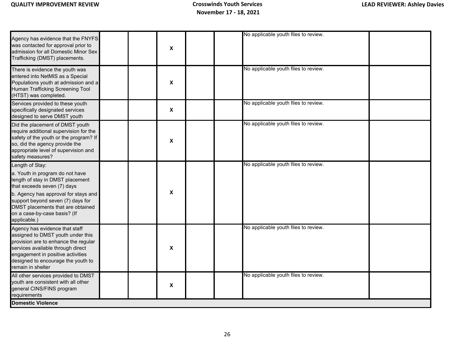| $\pmb{\chi}$<br>No applicable youth files to review.<br>X<br>No applicable youth files to review. |                                                                                                                                                                                                                                                                                         |   |                                      |  |
|---------------------------------------------------------------------------------------------------|-----------------------------------------------------------------------------------------------------------------------------------------------------------------------------------------------------------------------------------------------------------------------------------------|---|--------------------------------------|--|
|                                                                                                   | Agency has evidence that the FNYFS<br>was contacted for approval prior to<br>admission for all Domestic Minor Sex<br>Trafficking (DMST) placements.                                                                                                                                     |   | No applicable youth files to review. |  |
|                                                                                                   | There is evidence the youth was<br>entered into NetMIS as a Special<br>Populations youth at admission and a<br><b>Human Trafficking Screening Tool</b><br>(HTST) was completed.                                                                                                         |   |                                      |  |
|                                                                                                   | Services provided to these youth<br>specifically designated services<br>designed to serve DMST youth                                                                                                                                                                                    | X |                                      |  |
| No applicable youth files to review.<br>X                                                         | Did the placement of DMST youth<br>require additional supervision for the<br>safety of the youth or the program? If<br>so, did the agency provide the<br>appropriate level of supervision and<br>safety measures?                                                                       |   |                                      |  |
| No applicable youth files to review.<br>$\mathbf x$                                               | Length of Stay:<br>a. Youth in program do not have<br>length of stay in DMST placement<br>that exceeds seven (7) days<br>b. Agency has approval for stays and<br>support beyond seven (7) days for<br>DMST placements that are obtained<br>on a case-by-case basis? (If<br>applicable.) |   |                                      |  |
| No applicable youth files to review.<br>X                                                         | Agency has evidence that staff<br>assigned to DMST youth under this<br>provision are to enhance the regular<br>services available through direct<br>engagement in positive activities<br>designed to encourage the youth to<br>remain in shelter                                        |   |                                      |  |
| No applicable youth files to review.<br>X                                                         | All other services provided to DMST<br>youth are consistent with all other<br>general CINS/FINS program<br>requirements                                                                                                                                                                 |   |                                      |  |
|                                                                                                   | <b>Domestic Violence</b>                                                                                                                                                                                                                                                                |   |                                      |  |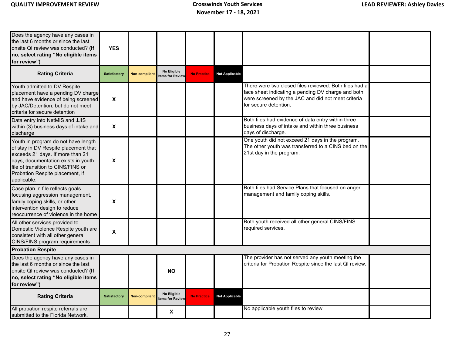| Does the agency have any cases in<br>the last 6 months or since the last<br>onsite QI review was conducted? (If<br>no, select rating "No eligible items<br>for review")                                                                        | <b>YES</b>          |               |                                |                    |                       |                                                                                                                                                                                             |
|------------------------------------------------------------------------------------------------------------------------------------------------------------------------------------------------------------------------------------------------|---------------------|---------------|--------------------------------|--------------------|-----------------------|---------------------------------------------------------------------------------------------------------------------------------------------------------------------------------------------|
| <b>Rating Criteria</b>                                                                                                                                                                                                                         | <b>Satisfactory</b> | Non-compliant | No Eligible<br>tems for Review | <b>No Practice</b> | <b>Not Applicable</b> |                                                                                                                                                                                             |
| Youth admitted to DV Respite<br>placement have a pending DV charge<br>and have evidence of being screened<br>by JAC/Detention, but do not meet<br>criteria for secure detention                                                                | X                   |               |                                |                    |                       | There were two closed files reviewed. Both files had a<br>face sheet indicating a pending DV charge and both<br>were screened by the JAC and did not meet criteria<br>for secure detention. |
| Data entry into NetMIS and JJIS<br>within (3) business days of intake and<br>discharge                                                                                                                                                         | $\pmb{\mathsf{X}}$  |               |                                |                    |                       | Both files had evidence of data entry within three<br>business days of intake and within three business<br>days of discharge.                                                               |
| Youth in program do not have length<br>of stay in DV Respite placement that<br>exceeds 21 days. If more than 21<br>days, documentation exists in youth<br>file of transition to CINS/FINS or<br>Probation Respite placement, if<br>applicable. | X                   |               |                                |                    |                       | One youth did not exceed 21 days in the program.<br>The other youth was transferred to a CINS bed on the<br>21st day in the program.                                                        |
| Case plan in file reflects goals<br>focusing aggression management,<br>family coping skills, or other<br>intervention design to reduce<br>reoccurrence of violence in the home                                                                 | X                   |               |                                |                    |                       | Both files had Service Plans that focused on anger<br>management and family coping skills.                                                                                                  |
| All other services provided to<br>Domestic Violence Respite youth are<br>consistent with all other general<br>CINS/FINS program requirements                                                                                                   | $\pmb{\mathsf{X}}$  |               |                                |                    |                       | Both youth received all other general CINS/FINS<br>required services.                                                                                                                       |
| <b>Probation Respite</b>                                                                                                                                                                                                                       |                     |               |                                |                    |                       |                                                                                                                                                                                             |
| Does the agency have any cases in<br>the last 6 months or since the last<br>onsite QI review was conducted? (If<br>no, select rating "No eligible items<br>for review")                                                                        |                     |               | <b>NO</b>                      |                    |                       | The provider has not served any youth meeting the<br>criteria for Probation Respite since the last QI review.                                                                               |
| <b>Rating Criteria</b>                                                                                                                                                                                                                         | Satisfactory        | Non-compliant | No Eligible<br>tems for Review | <b>No Practice</b> | <b>Not Applicable</b> |                                                                                                                                                                                             |
| All probation respite referrals are<br>submitted to the Florida Network.                                                                                                                                                                       |                     |               | X                              |                    |                       | No applicable youth files to review.                                                                                                                                                        |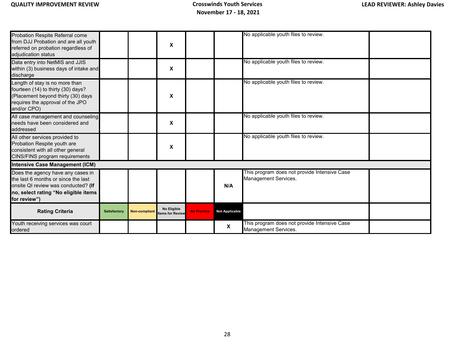| Probation Respite Referral come<br>from DJJ Probation and are all youth<br>referred on probation regardless of<br>adjudication status                                   |              |               | X                              |                    |                       | No applicable youth files to review.                                 |  |
|-------------------------------------------------------------------------------------------------------------------------------------------------------------------------|--------------|---------------|--------------------------------|--------------------|-----------------------|----------------------------------------------------------------------|--|
| Data entry into NetMIS and JJIS<br>within (3) business days of intake and<br>discharge                                                                                  |              |               | X                              |                    |                       | No applicable youth files to review.                                 |  |
| Length of stay is no more than<br>fourteen (14) to thirty (30) days?<br>Placement beyond thirty (30) days<br>requires the approval of the JPO<br>and/or CPO)            |              |               | X                              |                    |                       | No applicable youth files to review.                                 |  |
| All case management and counseling<br>needs have been considered and<br>addressed                                                                                       |              |               | X                              |                    |                       | No applicable youth files to review.                                 |  |
| All other services provided to<br>Probation Respite youth are<br>consistent with all other general<br>CINS/FINS program requirements                                    |              |               | $\boldsymbol{\mathsf{x}}$      |                    |                       | No applicable youth files to review.                                 |  |
| <b>Intensive Case Management (ICM)</b>                                                                                                                                  |              |               |                                |                    |                       |                                                                      |  |
| Does the agency have any cases in<br>the last 6 months or since the last<br>onsite QI review was conducted? (If<br>no, select rating "No eligible items<br>for review") |              |               |                                |                    | N/A                   | This program does not provide Intensive Case<br>Management Services. |  |
| <b>Rating Criteria</b>                                                                                                                                                  | Satisfactory | Non-compliant | No Eligible<br>tems for Review | <b>No Practice</b> | <b>Not Applicable</b> |                                                                      |  |
| Youth receiving services was court<br>ordered                                                                                                                           |              |               |                                |                    | X                     | This program does not provide Intensive Case<br>Management Services. |  |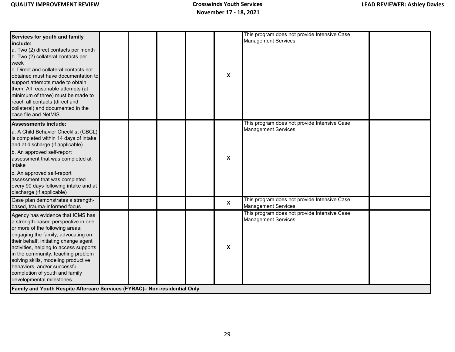| Services for youth and family<br>include:<br>a. Two (2) direct contacts per month<br>b. Two (2) collateral contacts per<br>week<br>c. Direct and collateral contacts not<br>obtained must have documentation to<br>support attempts made to obtain<br>them. All reasonable attempts (at<br>minimum of three) must be made to<br>reach all contacts (direct and                                                  |  |  | $\pmb{\mathsf{x}}$ | This program does not provide Intensive Case<br>Management Services. |  |
|-----------------------------------------------------------------------------------------------------------------------------------------------------------------------------------------------------------------------------------------------------------------------------------------------------------------------------------------------------------------------------------------------------------------|--|--|--------------------|----------------------------------------------------------------------|--|
| collateral) and documented in the<br>case file and NetMIS.                                                                                                                                                                                                                                                                                                                                                      |  |  |                    |                                                                      |  |
| <b>Assessments include:</b><br>a. A Child Behavior Checklist (CBCL)<br>is completed within 14 days of intake<br>and at discharge (if applicable)<br>b. An approved self-report<br>assessment that was completed at<br>intake<br>c. An approved self-report                                                                                                                                                      |  |  | X                  | This program does not provide Intensive Case<br>Management Services. |  |
| assessment that was completed<br>every 90 days following intake and at<br>discharge (if applicable)                                                                                                                                                                                                                                                                                                             |  |  |                    |                                                                      |  |
| Case plan demonstrates a strength-<br>based, trauma-informed focus                                                                                                                                                                                                                                                                                                                                              |  |  | $\boldsymbol{X}$   | This program does not provide Intensive Case<br>Management Services. |  |
| Agency has evidence that ICMS has<br>a strength-based perspective in one<br>or more of the following areas;<br>engaging the family, advocating on<br>their behalf, initiating change agent<br>activities, helping to access supports<br>in the community, teaching problem<br>solving skills, modeling productive<br>behaviors, and/or successful<br>completion of youth and family<br>developmental milestones |  |  | $\pmb{\mathsf{X}}$ | This program does not provide Intensive Case<br>Management Services. |  |
| Family and Youth Respite Aftercare Services (FYRAC)- Non-residential Only                                                                                                                                                                                                                                                                                                                                       |  |  |                    |                                                                      |  |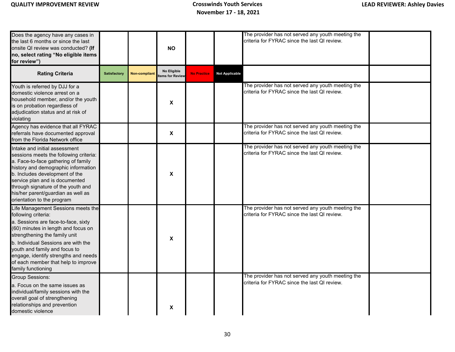| Does the agency have any cases in<br>the last 6 months or since the last<br>onsite QI review was conducted? (If<br>no, select rating "No eligible items<br>for review")                                                                                                                                                                               |              |                      | <b>NO</b>                     |                    |                       | The provider has not served any youth meeting the<br>criteria for FYRAC since the last QI review. |  |
|-------------------------------------------------------------------------------------------------------------------------------------------------------------------------------------------------------------------------------------------------------------------------------------------------------------------------------------------------------|--------------|----------------------|-------------------------------|--------------------|-----------------------|---------------------------------------------------------------------------------------------------|--|
| <b>Rating Criteria</b>                                                                                                                                                                                                                                                                                                                                | Satisfactory | <b>Non-compliant</b> | No Eligible<br>ems for Review | <b>No Practice</b> | <b>Not Applicable</b> |                                                                                                   |  |
| Youth is referred by DJJ for a<br>domestic violence arrest on a<br>household member, and/or the youth<br>is on probation regardless of<br>adjudication status and at risk of<br>violating                                                                                                                                                             |              |                      | $\boldsymbol{\mathsf{X}}$     |                    |                       | The provider has not served any youth meeting the<br>criteria for FYRAC since the last QI review. |  |
| Agency has evidence that all FYRAC<br>referrals have documented approval<br>from the Florida Network office                                                                                                                                                                                                                                           |              |                      | $\boldsymbol{\mathsf{X}}$     |                    |                       | The provider has not served any youth meeting the<br>criteria for FYRAC since the last QI review. |  |
| Intake and initial assessment<br>sessions meets the following criteria:<br>a. Face-to-face gathering of family<br>history and demographic information<br>b. Includes development of the<br>service plan and is documented<br>through signature of the youth and<br>his/her parent/guardian as well as<br>orientation to the program                   |              |                      | X                             |                    |                       | The provider has not served any youth meeting the<br>criteria for FYRAC since the last QI review. |  |
| Life Management Sessions meets the<br>following criteria:<br>a. Sessions are face-to-face, sixty<br>(60) minutes in length and focus on<br>strengthening the family unit<br>b. Individual Sessions are with the<br>youth and family and focus to<br>engage, identify strengths and needs<br>of each member that help to improve<br>family functioning |              |                      | $\boldsymbol{\mathsf{X}}$     |                    |                       | The provider has not served any youth meeting the<br>criteria for FYRAC since the last QI review. |  |
| <b>Group Sessions:</b><br>a. Focus on the same issues as<br>individual/family sessions with the<br>overall goal of strengthening<br>relationships and prevention<br>domestic violence                                                                                                                                                                 |              |                      | X                             |                    |                       | The provider has not served any youth meeting the<br>criteria for FYRAC since the last QI review. |  |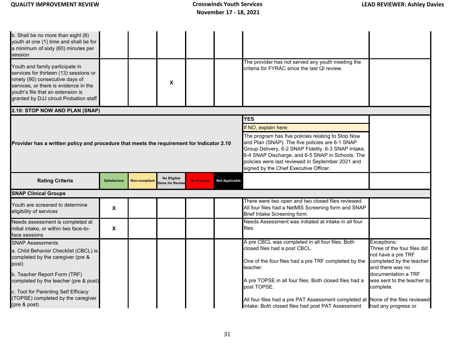| b. Shall be no more than eight (8)<br>youth at one (1) time and shall be for<br>a minimum of sixty (60) minutes per<br>session<br>Youth and family participate in<br>services for thirteen (13) sessions or<br>ninety (90) consecutive days of<br>services, or there is evidence in the<br>youth's file that an extension is<br>granted by DJJ circuit Probation staff                                                                             |                     |                      | X                              |                    |                       | The provider has not served any youth meeting the<br>criteria for FYRAC since the last QI review.                                                                                                               |                                                                                                                                                                       |  |  |  |
|----------------------------------------------------------------------------------------------------------------------------------------------------------------------------------------------------------------------------------------------------------------------------------------------------------------------------------------------------------------------------------------------------------------------------------------------------|---------------------|----------------------|--------------------------------|--------------------|-----------------------|-----------------------------------------------------------------------------------------------------------------------------------------------------------------------------------------------------------------|-----------------------------------------------------------------------------------------------------------------------------------------------------------------------|--|--|--|
| 2.10: STOP NOW AND PLAN (SNAP)                                                                                                                                                                                                                                                                                                                                                                                                                     |                     |                      |                                |                    |                       |                                                                                                                                                                                                                 |                                                                                                                                                                       |  |  |  |
| <b>YES</b><br>If NO, explain here:<br>The program has five policies relating to Stop Now<br>and Plan (SNAP). The five policies are 6-1 SNAP<br>Provider has a written policy and procedure that meets the requirement for Indicator 2.10<br>Group Delivery, 6-2 SNAP Fidelity, 6-3 SNAP Intake,<br>6-4 SNAP Discharge, and 6-5 SNAP in Schools. The<br>policies were last reviewed in September 2021 and<br>signed by the Chief Executive Officer. |                     |                      |                                |                    |                       |                                                                                                                                                                                                                 |                                                                                                                                                                       |  |  |  |
| <b>Rating Criteria</b>                                                                                                                                                                                                                                                                                                                                                                                                                             | <b>Satisfactory</b> | <b>Non-compliant</b> | No Eligible<br>tems for Review | <b>No Practice</b> | <b>Not Applicable</b> |                                                                                                                                                                                                                 |                                                                                                                                                                       |  |  |  |
| <b>SNAP Clinical Groups</b>                                                                                                                                                                                                                                                                                                                                                                                                                        |                     |                      |                                |                    |                       |                                                                                                                                                                                                                 |                                                                                                                                                                       |  |  |  |
| Youth are screened to determine<br>eligibility of services                                                                                                                                                                                                                                                                                                                                                                                         | $\pmb{\mathsf{X}}$  |                      |                                |                    |                       | There were two open and two closed files reviewed.<br>All four files had a NetMIS Screening form and SNAP<br>Brief Intake Screening form.                                                                       |                                                                                                                                                                       |  |  |  |
| Needs assessment is completed at<br>initial intake, or within two face-to-<br>face sessions                                                                                                                                                                                                                                                                                                                                                        | X                   |                      |                                |                    |                       | Needs Assessment was initiated at intake in all four<br>files.                                                                                                                                                  |                                                                                                                                                                       |  |  |  |
| <b>SNAP Assessments</b><br>a. Child Behavior Checklist (CBCL) is<br>completed by the caregiver (pre &<br>post)<br>b. Teacher Report Form (TRF)<br>completed by the teacher (pre & post)                                                                                                                                                                                                                                                            |                     |                      |                                |                    |                       | A pre CBCL was completed in all four files. Both<br>closed files had a post CBCL.<br>One of the four files had a pre TRF completed by the<br>teacher.<br>A pre TOPSE in all four files. Both closed files had a | Exceptions:<br>Three of the four files did<br>not have a pre TRF<br>completed by the teacher<br>and there was no<br>documentation a TRF<br>was sent to the teacher to |  |  |  |
| c. Tool for Parenting Self Efficacy<br>(TOPSE) completed by the caregiver<br>(pre & post)                                                                                                                                                                                                                                                                                                                                                          |                     |                      |                                |                    |                       | post TOPSE.<br>All four files had a pre PAT Assessment completed at None of the files reviewed<br>intake. Both closed files had post PAT Assessment                                                             | complete.<br>had any progress or                                                                                                                                      |  |  |  |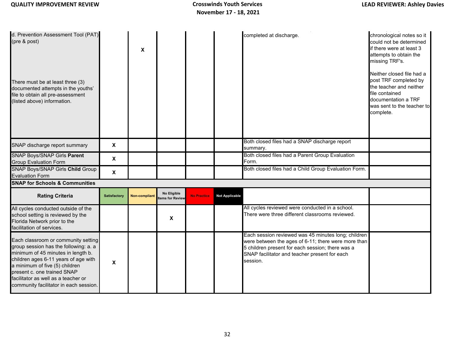| d. Prevention Assessment Tool (PAT)<br>(pre & post)<br>There must be at least three (3)<br>documented attempts in the youths'<br>file to obtain all pre-assessment<br>(listed above) information.                                                                                                            |                           | X                    |                                |                    |                | completed at discharge.                                                                                                                                                                                                     | chronological notes so it<br>could not be determined<br>if there were at least 3<br>attempts to obtain the<br>missing TRF's.<br>Neither closed file had a<br>post TRF completed by<br>the teacher and neither<br>file contained<br>documentation a TRF<br>was sent to the teacher to<br>complete. |
|--------------------------------------------------------------------------------------------------------------------------------------------------------------------------------------------------------------------------------------------------------------------------------------------------------------|---------------------------|----------------------|--------------------------------|--------------------|----------------|-----------------------------------------------------------------------------------------------------------------------------------------------------------------------------------------------------------------------------|---------------------------------------------------------------------------------------------------------------------------------------------------------------------------------------------------------------------------------------------------------------------------------------------------|
| SNAP discharge report summary                                                                                                                                                                                                                                                                                | $\boldsymbol{\mathsf{x}}$ |                      |                                |                    |                | Both closed files had a SNAP discharge report<br>summary.                                                                                                                                                                   |                                                                                                                                                                                                                                                                                                   |
| <b>SNAP Boys/SNAP Girls Parent</b><br><b>Group Evaluation Form</b>                                                                                                                                                                                                                                           | $\boldsymbol{\mathsf{x}}$ |                      |                                |                    |                | Both closed files had a Parent Group Evaluation<br>Form.                                                                                                                                                                    |                                                                                                                                                                                                                                                                                                   |
| SNAP Boys/SNAP Girls Child Group<br><b>Evaluation Form</b>                                                                                                                                                                                                                                                   | $\boldsymbol{\mathsf{x}}$ |                      |                                |                    |                | Both closed files had a Child Group Evaluation Form.                                                                                                                                                                        |                                                                                                                                                                                                                                                                                                   |
| <b>SNAP for Schools &amp; Communities</b>                                                                                                                                                                                                                                                                    |                           |                      |                                |                    |                |                                                                                                                                                                                                                             |                                                                                                                                                                                                                                                                                                   |
| <b>Rating Criteria</b>                                                                                                                                                                                                                                                                                       | <b>Satisfactory</b>       | <b>Non-compliant</b> | No Eligible<br>tems for Review | <b>No Practice</b> | Not Applicable |                                                                                                                                                                                                                             |                                                                                                                                                                                                                                                                                                   |
| All cycles conducted outside of the<br>school setting is reviewed by the<br>Florida Network prior to the<br>facilitation of services.                                                                                                                                                                        |                           |                      | X                              |                    |                | All cycles reviewed were conducted in a school.<br>There were three different classrooms reviewed.                                                                                                                          |                                                                                                                                                                                                                                                                                                   |
| Each classroom or community setting<br>group session has the following: a. a<br>minimum of 45 minutes in length b.<br>children ages 6-11 years of age with<br>a minimum of five (5) children<br>present c. one trained SNAP<br>facilitator as well as a teacher or<br>community facilitator in each session. | $\boldsymbol{\mathsf{X}}$ |                      |                                |                    |                | Each session reviewed was 45 minutes long; children<br>were between the ages of 6-11; there were more than<br>5 children present for each session; there was a<br>SNAP facilitator and teacher present for each<br>session. |                                                                                                                                                                                                                                                                                                   |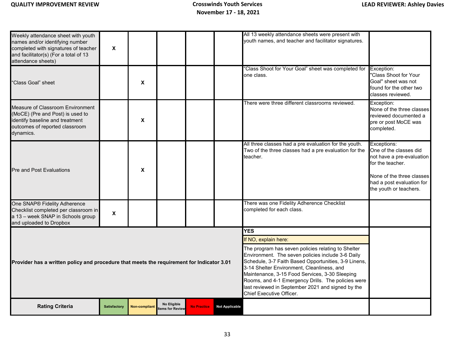| Weekly attendance sheet with youth<br>names and/or identifying number<br>completed with signatures of teacher<br>and facilitator(s) (For a total of 13<br>attendance sheets)                                                                                                                                                                                                                                                                                                                               | $\mathsf{x}$        |                      |                                |                    |                       | All 13 weekly attendance sheets were present with<br>youth names, and teacher and facilitator signatures.                  |                                                                                                                                                                            |  |  |  |
|------------------------------------------------------------------------------------------------------------------------------------------------------------------------------------------------------------------------------------------------------------------------------------------------------------------------------------------------------------------------------------------------------------------------------------------------------------------------------------------------------------|---------------------|----------------------|--------------------------------|--------------------|-----------------------|----------------------------------------------------------------------------------------------------------------------------|----------------------------------------------------------------------------------------------------------------------------------------------------------------------------|--|--|--|
| 'Class Goal" sheet                                                                                                                                                                                                                                                                                                                                                                                                                                                                                         |                     | X                    |                                |                    |                       | "Class Shoot for Your Goal" sheet was completed for<br>one class.                                                          | Exception:<br>"Class Shoot for Your<br>Goal" sheet was not<br>found for the other two<br>classes reviewed.                                                                 |  |  |  |
| Measure of Classroom Environment<br>(MoCE) (Pre and Post) is used to<br>identify baseline and treatment<br>outcomes of reported classroom<br>dynamics.                                                                                                                                                                                                                                                                                                                                                     |                     | X                    |                                |                    |                       | There were three different classrooms reviewed.                                                                            | Exception:<br>None of the three classes<br>reviewed documented a<br>pre or post MoCE was<br>completed.                                                                     |  |  |  |
| <b>Pre and Post Evaluations</b>                                                                                                                                                                                                                                                                                                                                                                                                                                                                            |                     | X                    |                                |                    |                       | All three classes had a pre evaluation for the youth.<br>Two of the three classes had a pre evaluation for the<br>teacher. | Exceptions:<br>One of the classes did<br>not have a pre-evaluation<br>for the teacher.<br>None of the three classes<br>had a post evaluation for<br>the youth or teachers. |  |  |  |
| One SNAP® Fidelity Adherence<br>Checklist completed per classroom in<br>a 13 - week SNAP in Schools group<br>and uploaded to Dropbox                                                                                                                                                                                                                                                                                                                                                                       | X                   |                      |                                |                    |                       | There was one Fidelity Adherence Checklist<br>completed for each class.                                                    |                                                                                                                                                                            |  |  |  |
|                                                                                                                                                                                                                                                                                                                                                                                                                                                                                                            |                     |                      |                                |                    |                       | <b>YES</b>                                                                                                                 |                                                                                                                                                                            |  |  |  |
|                                                                                                                                                                                                                                                                                                                                                                                                                                                                                                            |                     |                      |                                |                    |                       | If NO, explain here:                                                                                                       |                                                                                                                                                                            |  |  |  |
| The program has seven policies relating to Shelter<br>Environment. The seven policies include 3-6 Daily<br>Schedule, 3-7 Faith Based Opportunities, 3-9 Linens,<br>Provider has a written policy and procedure that meets the requirement for Indicator 3.01<br>3-14 Shelter Environment, Cleanliness, and<br>Maintenance, 3-15 Food Services, 3-30 Sleeping<br>Rooms, and 4-1 Emergency Drills. The policies were<br>last reviewed in September 2021 and signed by the<br><b>Chief Executive Officer.</b> |                     |                      |                                |                    |                       |                                                                                                                            |                                                                                                                                                                            |  |  |  |
| <b>Rating Criteria</b>                                                                                                                                                                                                                                                                                                                                                                                                                                                                                     | <b>Satisfactory</b> | <b>Non-compliant</b> | No Eligible<br>tems for Review | <b>No Practice</b> | <b>Not Applicable</b> |                                                                                                                            |                                                                                                                                                                            |  |  |  |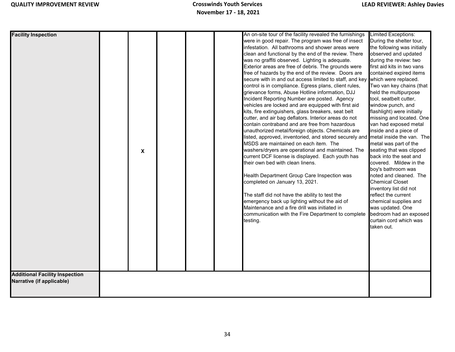| <b>Facility Inspection</b>                                         | X |  | An on-site tour of the facility revealed the furnishings<br>were in good repair. The program was free of insect<br>infestation. All bathrooms and shower areas were<br>clean and functional by the end of the review. There<br>was no graffiti observed. Lighting is adequate.<br>Exterior areas are free of debris. The grounds were<br>free of hazards by the end of the review. Doors are<br>secure with in and out access limited to staff, and key which were replaced.<br>control is in compliance. Egress plans, client rules,<br>grievance forms, Abuse Hotline information, DJJ<br>Incident Reporting Number are posted. Agency<br>vehicles are locked and are equipped with first aid<br>kits, fire extinguishers, glass breakers, seat belt<br>cutter, and air bag deflators. Interior areas do not<br>contain contraband and are free from hazardous<br>unauthorized metal/foreign objects. Chemicals are<br>listed, approved, inventoried, and stored securely and metal inside the van. The<br>MSDS are maintained on each item. The<br>washers/dryers are operational and maintained. The<br>current DCF license is displayed. Each youth has<br>their own bed with clean linens.<br>Health Department Group Care Inspection was<br>completed on January 13, 2021.<br>The staff did not have the ability to test the<br>emergency back up lighting without the aid of<br>Maintenance and a fire drill was initiated in<br>communication with the Fire Department to complete | Limited Exceptions:<br>During the shelter tour,<br>the following was initially<br>observed and updated<br>during the review: two<br>first aid kits in two vans<br>contained expired items<br>Two van key chains (that<br>held the multipurpose<br>tool, seatbelt cutter,<br>window punch, and<br>flashlight) were initially<br>missing and located. One<br>van had exposed metal<br>inside and a piece of<br>metal was part of the<br>seating that was clipped<br>back into the seat and<br>covered. Mildew in the<br>boy's bathroom was<br>noted and cleaned. The<br><b>Chemical Closet</b><br>inventory list did not<br>reflect the current<br>chemical supplies and<br>was updated. One<br>bedroom had an exposed |
|--------------------------------------------------------------------|---|--|---------------------------------------------------------------------------------------------------------------------------------------------------------------------------------------------------------------------------------------------------------------------------------------------------------------------------------------------------------------------------------------------------------------------------------------------------------------------------------------------------------------------------------------------------------------------------------------------------------------------------------------------------------------------------------------------------------------------------------------------------------------------------------------------------------------------------------------------------------------------------------------------------------------------------------------------------------------------------------------------------------------------------------------------------------------------------------------------------------------------------------------------------------------------------------------------------------------------------------------------------------------------------------------------------------------------------------------------------------------------------------------------------------------------------------------------------------------------------------------------|----------------------------------------------------------------------------------------------------------------------------------------------------------------------------------------------------------------------------------------------------------------------------------------------------------------------------------------------------------------------------------------------------------------------------------------------------------------------------------------------------------------------------------------------------------------------------------------------------------------------------------------------------------------------------------------------------------------------|
|                                                                    |   |  |                                                                                                                                                                                                                                                                                                                                                                                                                                                                                                                                                                                                                                                                                                                                                                                                                                                                                                                                                                                                                                                                                                                                                                                                                                                                                                                                                                                                                                                                                             |                                                                                                                                                                                                                                                                                                                                                                                                                                                                                                                                                                                                                                                                                                                      |
|                                                                    |   |  |                                                                                                                                                                                                                                                                                                                                                                                                                                                                                                                                                                                                                                                                                                                                                                                                                                                                                                                                                                                                                                                                                                                                                                                                                                                                                                                                                                                                                                                                                             |                                                                                                                                                                                                                                                                                                                                                                                                                                                                                                                                                                                                                                                                                                                      |
|                                                                    |   |  | testing.                                                                                                                                                                                                                                                                                                                                                                                                                                                                                                                                                                                                                                                                                                                                                                                                                                                                                                                                                                                                                                                                                                                                                                                                                                                                                                                                                                                                                                                                                    | curtain cord which was<br>taken out.                                                                                                                                                                                                                                                                                                                                                                                                                                                                                                                                                                                                                                                                                 |
|                                                                    |   |  |                                                                                                                                                                                                                                                                                                                                                                                                                                                                                                                                                                                                                                                                                                                                                                                                                                                                                                                                                                                                                                                                                                                                                                                                                                                                                                                                                                                                                                                                                             |                                                                                                                                                                                                                                                                                                                                                                                                                                                                                                                                                                                                                                                                                                                      |
| <b>Additional Facility Inspection</b><br>Narrative (if applicable) |   |  |                                                                                                                                                                                                                                                                                                                                                                                                                                                                                                                                                                                                                                                                                                                                                                                                                                                                                                                                                                                                                                                                                                                                                                                                                                                                                                                                                                                                                                                                                             |                                                                                                                                                                                                                                                                                                                                                                                                                                                                                                                                                                                                                                                                                                                      |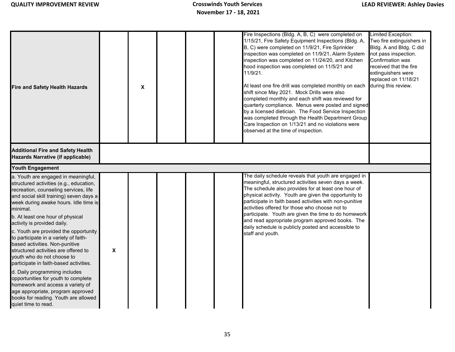| <b>Fire and Safety Health Hazards</b>                                                                                                                                                                                                                                                                                                                                                                                                                  |   | $\boldsymbol{\mathsf{X}}$ |  | Fire Inspections (Bldg. A, B, C) were completed on<br>1/15/21, Fire Safety Equipment Inspections (Bldg. A,<br>B, C) were completed on 11/9/21, Fire Sprinkler<br>inspection was completed on 11/9/21, Alarm System<br>inspection was completed on 11/24/20, and Kitchen<br>hood inspection was completed on 11/5/21 and<br>11/9/21.<br>At least one fire drill was completed monthly on each<br>shift since May 2021. Mock Drills were also<br>completed monthly and each shift was reviewed for<br>quarterly compliance. Menus were posted and signed<br>by a licensed dietician. The Food Service Inspection<br>was completed through the Health Department Group<br>Care Inspection on 1/13/21 and no violations were<br>observed at the time of inspection. | Limited Exception:<br>Two fire extinguishers in<br>Bldg. A and Bldg. C did<br>not pass inspection.<br>Confirmation was<br>received that the fire<br>extinguishers were<br>replaced on 11/18/21<br>during this review. |
|--------------------------------------------------------------------------------------------------------------------------------------------------------------------------------------------------------------------------------------------------------------------------------------------------------------------------------------------------------------------------------------------------------------------------------------------------------|---|---------------------------|--|-----------------------------------------------------------------------------------------------------------------------------------------------------------------------------------------------------------------------------------------------------------------------------------------------------------------------------------------------------------------------------------------------------------------------------------------------------------------------------------------------------------------------------------------------------------------------------------------------------------------------------------------------------------------------------------------------------------------------------------------------------------------|-----------------------------------------------------------------------------------------------------------------------------------------------------------------------------------------------------------------------|
| <b>Additional Fire and Safety Health</b><br>Hazards Narrative (if applicable)                                                                                                                                                                                                                                                                                                                                                                          |   |                           |  |                                                                                                                                                                                                                                                                                                                                                                                                                                                                                                                                                                                                                                                                                                                                                                 |                                                                                                                                                                                                                       |
| <b>Youth Engagement</b>                                                                                                                                                                                                                                                                                                                                                                                                                                |   |                           |  |                                                                                                                                                                                                                                                                                                                                                                                                                                                                                                                                                                                                                                                                                                                                                                 |                                                                                                                                                                                                                       |
| a. Youth are engaged in meaningful,<br>structured activities (e.g., education,<br>recreation, counseling services, life<br>and social skill training) seven days a<br>week during awake hours. Idle time is<br>minimal.<br>b. At least one hour of physical<br>activity is provided daily.<br>c. Youth are provided the opportunity<br>to participate in a variety of faith-<br>based activities. Non-punitive<br>structured activities are offered to | X |                           |  | The daily schedule reveals that youth are engaged in<br>meaningful, structured activities seven days a week.<br>The schedule also provides for at least one hour of<br>physical activity. Youth are given the opportunity to<br>participate in faith based activities with non-punitive<br>activities offered for those who choose not to<br>participate. Youth are given the time to do homework<br>and read appropriate program approved books. The<br>daily schedule is publicly posted and accessible to<br>staff and youth.                                                                                                                                                                                                                                |                                                                                                                                                                                                                       |
| youth who do not choose to<br>participate in faith-based activities.<br>d. Daily programming includes<br>opportunities for youth to complete<br>homework and access a variety of<br>age appropriate, program approved<br>books for reading. Youth are allowed<br>quiet time to read.                                                                                                                                                                   |   |                           |  |                                                                                                                                                                                                                                                                                                                                                                                                                                                                                                                                                                                                                                                                                                                                                                 |                                                                                                                                                                                                                       |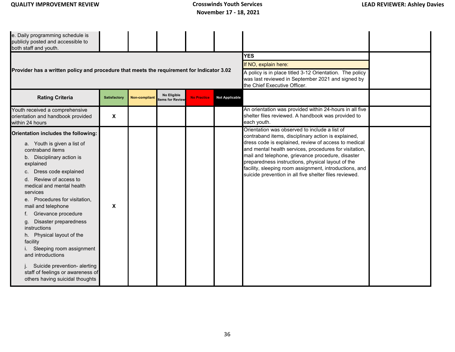| e. Daily programming schedule is<br>publicly posted and accessible to<br>both staff and youth.                                                                                                                                                                                                                                                                                                                                                                                                                                                                            |                           |                      |                                |                                                                                                                                                                       |                       | <b>YES</b>                                                                                                                                                                                                                                                                                                                                                                                                                                           |  |
|---------------------------------------------------------------------------------------------------------------------------------------------------------------------------------------------------------------------------------------------------------------------------------------------------------------------------------------------------------------------------------------------------------------------------------------------------------------------------------------------------------------------------------------------------------------------------|---------------------------|----------------------|--------------------------------|-----------------------------------------------------------------------------------------------------------------------------------------------------------------------|-----------------------|------------------------------------------------------------------------------------------------------------------------------------------------------------------------------------------------------------------------------------------------------------------------------------------------------------------------------------------------------------------------------------------------------------------------------------------------------|--|
| Provider has a written policy and procedure that meets the requirement for Indicator 3.02                                                                                                                                                                                                                                                                                                                                                                                                                                                                                 |                           |                      |                                | If NO, explain here:<br>A policy is in place titled 3-12 Orientation. The policy<br>was last reviewed in September 2021 and signed by<br>the Chief Executive Officer. |                       |                                                                                                                                                                                                                                                                                                                                                                                                                                                      |  |
| <b>Rating Criteria</b>                                                                                                                                                                                                                                                                                                                                                                                                                                                                                                                                                    | Satisfactory              | <b>Non-compliant</b> | No Eligible<br>tems for Review | <b>No Practice</b>                                                                                                                                                    | <b>Not Applicable</b> |                                                                                                                                                                                                                                                                                                                                                                                                                                                      |  |
| Youth received a comprehensive<br>orientation and handbook provided<br>within 24 hours                                                                                                                                                                                                                                                                                                                                                                                                                                                                                    | $\boldsymbol{\mathsf{X}}$ |                      |                                |                                                                                                                                                                       |                       | An orientation was provided within 24-hours in all five<br>shelter files reviewed. A handbook was provided to<br>each youth.                                                                                                                                                                                                                                                                                                                         |  |
| Orientation includes the following:<br>a. Youth is given a list of<br>contraband items<br>b. Disciplinary action is<br>explained<br>Dress code explained<br>C.<br>Review of access to<br>d.<br>medical and mental health<br>services<br>Procedures for visitation,<br>е.<br>mail and telephone<br>Grievance procedure<br>Disaster preparedness<br>g.<br>instructions<br>Physical layout of the<br>h.<br>facility<br>Sleeping room assignment<br>and introductions<br>Suicide prevention- alerting<br>staff of feelings or awareness of<br>others having suicidal thoughts | $\boldsymbol{\mathsf{x}}$ |                      |                                |                                                                                                                                                                       |                       | Orientation was observed to include a list of<br>contraband items, disciplinary action is explained,<br>dress code is explained, review of access to medical<br>and mental health services, procedures for visitation,<br>mail and telephone, grievance procedure, disaster<br>preparedness instructions, physical layout of the<br>facility, sleeping room assignment, introductions, and<br>suicide prevention in all five shelter files reviewed. |  |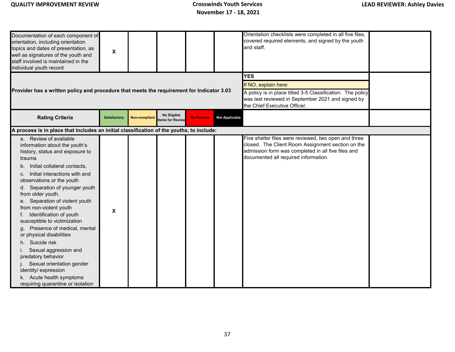| Documentation of each component of<br>orientation, including orientation<br>topics and dates of presentation, as<br>well as signatures of the youth and<br>staff involved is maintained in the<br>individual youth record                                                                                                                                                                                                                                                                                                                                                                                                                       | $\boldsymbol{\mathsf{x}}$ |                      |                                |                                                                                                                                                                         |                       | Orientation checklists were completed in all five files,<br>covered required elements, and signed by the youth<br>and staff.                                                                            |  |
|-------------------------------------------------------------------------------------------------------------------------------------------------------------------------------------------------------------------------------------------------------------------------------------------------------------------------------------------------------------------------------------------------------------------------------------------------------------------------------------------------------------------------------------------------------------------------------------------------------------------------------------------------|---------------------------|----------------------|--------------------------------|-------------------------------------------------------------------------------------------------------------------------------------------------------------------------|-----------------------|---------------------------------------------------------------------------------------------------------------------------------------------------------------------------------------------------------|--|
|                                                                                                                                                                                                                                                                                                                                                                                                                                                                                                                                                                                                                                                 |                           |                      |                                |                                                                                                                                                                         |                       | <b>YES</b>                                                                                                                                                                                              |  |
| Provider has a written policy and procedure that meets the requirement for Indicator 3.03                                                                                                                                                                                                                                                                                                                                                                                                                                                                                                                                                       |                           |                      |                                | If NO, explain here:<br>A policy is in place titled 3-5 Classification. The policy<br>was last reviewed in September 2021 and signed by<br>the Chief Executive Officer. |                       |                                                                                                                                                                                                         |  |
| <b>Rating Criteria</b>                                                                                                                                                                                                                                                                                                                                                                                                                                                                                                                                                                                                                          | <b>Satisfactory</b>       | <b>Non-compliant</b> | No Eligible<br>tems for Review | <b>No Practice</b>                                                                                                                                                      | <b>Not Applicable</b> |                                                                                                                                                                                                         |  |
| A process is in place that includes an initial classification of the youths, to include:                                                                                                                                                                                                                                                                                                                                                                                                                                                                                                                                                        |                           |                      |                                |                                                                                                                                                                         |                       |                                                                                                                                                                                                         |  |
| a. Review of available<br>information about the youth's<br>history, status and exposure to<br>trauma<br>Initial collateral contacts,<br>b.<br>c. Initial interactions with and<br>observations or the youth<br>d. Separation of younger youth<br>from older youth,<br>e. Separation of violent youth<br>from non-violent youth<br>Identification of youth<br>susceptible to victimization<br>Presence of medical, mental<br>or physical disabilities<br>h. Suicide risk<br>i. Sexual aggression and<br>predatory behavior<br>Sexual orientation gender<br>identity/ expression<br>k. Acute health symptoms<br>requiring quarantine or isolation | X                         |                      |                                |                                                                                                                                                                         |                       | Five shelter files were reviewed, two open and three<br>closed. The Client Room Assignment section on the<br>admission form was completed in all five files and<br>documented all required information. |  |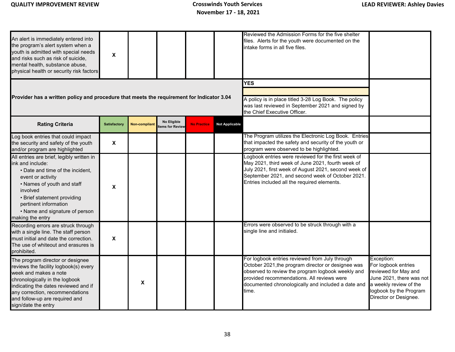| An alert is immediately entered into<br>the program's alert system when a<br>youth is admitted with special needs<br>and risks such as risk of suicide.<br>mental health, substance abuse,<br>physical health or security risk factors                                         | X                         |                      |                               |                                                                                                                                                          |                       | Reviewed the Admission Forms for the five shelter<br>files. Alerts for the youth were documented on the<br>intake forms in all five files.                                                                                                                             |                                                                                                                                                                    |
|--------------------------------------------------------------------------------------------------------------------------------------------------------------------------------------------------------------------------------------------------------------------------------|---------------------------|----------------------|-------------------------------|----------------------------------------------------------------------------------------------------------------------------------------------------------|-----------------------|------------------------------------------------------------------------------------------------------------------------------------------------------------------------------------------------------------------------------------------------------------------------|--------------------------------------------------------------------------------------------------------------------------------------------------------------------|
| Provider has a written policy and procedure that meets the requirement for Indicator 3.04                                                                                                                                                                                      |                           |                      |                               | <b>YES</b><br>A policy is in place titled 3-28 Log Book. The policy<br>was last reviewed in September 2021 and signed by<br>the Chief Executive Officer. |                       |                                                                                                                                                                                                                                                                        |                                                                                                                                                                    |
| <b>Rating Criteria</b>                                                                                                                                                                                                                                                         | Satisfactory              | <b>Non-compliant</b> | No Eligible<br>ems for Review | <b>No Practice</b>                                                                                                                                       | <b>Not Applicable</b> |                                                                                                                                                                                                                                                                        |                                                                                                                                                                    |
| Log book entries that could impact<br>the security and safety of the youth<br>and/or program are highlighted                                                                                                                                                                   | $\boldsymbol{\mathsf{x}}$ |                      |                               |                                                                                                                                                          |                       | The Program utilizes the Electronic Log Book. Entries<br>that impacted the safety and security of the youth or<br>program were observed to be highlighted.                                                                                                             |                                                                                                                                                                    |
| All entries are brief, legibly written in<br>ink and include:<br>• Date and time of the incident,<br>event or activity<br>• Names of youth and staff<br>involved<br>• Brief statement providing<br>pertinent information<br>• Name and signature of person<br>making the entry | X                         |                      |                               |                                                                                                                                                          |                       | Logbook entries were reviewed for the first week of<br>May 2021, third week of June 2021, fourth week of<br>July 2021, first week of August 2021, second week of<br>September 2021, and second week of October 2021.<br>Entries included all the required elements.    |                                                                                                                                                                    |
| Recording errors are struck through<br>with a single line. The staff person<br>must initial and date the correction.<br>The use of whiteout and erasures is<br>prohibited.                                                                                                     | X                         |                      |                               |                                                                                                                                                          |                       | Errors were observed to be struck through with a<br>single line and initialed.                                                                                                                                                                                         |                                                                                                                                                                    |
| The program director or designee<br>reviews the facility logbook(s) every<br>week and makes a note<br>chronologically in the logbook<br>indicating the dates reviewed and if<br>any correction, recommendations<br>and follow-up are required and<br>sign/date the entry       |                           | X                    |                               |                                                                                                                                                          |                       | For logbook entries reviewed from July through<br>October 2021, the program director or designee was<br>observed to review the program logbook weekly and<br>provided recommendations. All reviews were<br>documented chronologically and included a date and<br>time. | Exception:<br>For logbook entries<br>reviewed for May and<br>June 2021, there was not<br>a weekly review of the<br>logbook by the Program<br>Director or Designee. |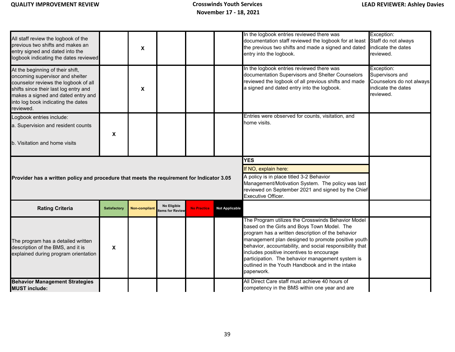| All staff review the logbook of the<br>previous two shifts and makes an<br>entry signed and dated into the<br>logbook indicating the dates reviewed                                                                                           |                     | X                         |                                        |                    |                       | In the logbook entries reviewed there was<br>documentation staff reviewed the logbook for at least<br>the previous two shifts and made a signed and dated<br>entry into the logbook.                                                                                                                                                                                                                                                        | Exception:<br>Staff do not always<br>indicate the dates<br>reviewed.                         |
|-----------------------------------------------------------------------------------------------------------------------------------------------------------------------------------------------------------------------------------------------|---------------------|---------------------------|----------------------------------------|--------------------|-----------------------|---------------------------------------------------------------------------------------------------------------------------------------------------------------------------------------------------------------------------------------------------------------------------------------------------------------------------------------------------------------------------------------------------------------------------------------------|----------------------------------------------------------------------------------------------|
| At the beginning of their shift,<br>oncoming supervisor and shelter<br>counselor reviews the logbook of all<br>shifts since their last log entry and<br>makes a signed and dated entry and<br>into log book indicating the dates<br>reviewed. |                     | $\boldsymbol{\mathsf{X}}$ |                                        |                    |                       | In the logbook entries reviewed there was<br>documentation Supervisors and Shelter Counselors<br>reviewed the logbook of all previous shifts and made<br>a signed and dated entry into the logbook.                                                                                                                                                                                                                                         | Exception:<br>Supervisors and<br>Counselors do not always<br>indicate the dates<br>reviewed. |
| Logbook entries include:                                                                                                                                                                                                                      |                     |                           |                                        |                    |                       | Entries were observed for counts, visitation, and                                                                                                                                                                                                                                                                                                                                                                                           |                                                                                              |
| a. Supervision and resident counts                                                                                                                                                                                                            |                     |                           |                                        |                    |                       | home visits.                                                                                                                                                                                                                                                                                                                                                                                                                                |                                                                                              |
| b. Visitation and home visits                                                                                                                                                                                                                 | X                   |                           |                                        |                    |                       |                                                                                                                                                                                                                                                                                                                                                                                                                                             |                                                                                              |
|                                                                                                                                                                                                                                               |                     |                           | <b>YES</b>                             |                    |                       |                                                                                                                                                                                                                                                                                                                                                                                                                                             |                                                                                              |
|                                                                                                                                                                                                                                               |                     |                           |                                        |                    |                       | If NO, explain here:                                                                                                                                                                                                                                                                                                                                                                                                                        |                                                                                              |
| Provider has a written policy and procedure that meets the requirement for Indicator 3.05                                                                                                                                                     |                     |                           |                                        |                    |                       | A policy is in place titled 3-2 Behavior<br>Management/Motivation System. The policy was last<br>reviewed on September 2021 and signed by the Chief<br>Executive Officer.                                                                                                                                                                                                                                                                   |                                                                                              |
| <b>Rating Criteria</b>                                                                                                                                                                                                                        | <b>Satisfactory</b> | <b>Non-compliant</b>      | No Eligible<br><b>Items for Review</b> | <b>No Practice</b> | <b>Not Applicable</b> |                                                                                                                                                                                                                                                                                                                                                                                                                                             |                                                                                              |
| The program has a detailed written<br>description of the BMS, and it is<br>explained during program orientation                                                                                                                               | X                   |                           |                                        |                    |                       | The Program utilizes the Crosswinds Behavior Model<br>based on the Girls and Boys Town Model. The<br>program has a written description of the behavior<br>management plan designed to promote positive youth<br>behavior, accountability, and social responsibility that<br>includes positive incentives to encourage<br>participation. The behavior management system is<br>outlined in the Youth Handbook and in the intake<br>paperwork. |                                                                                              |
| <b>Behavior Management Strategies</b><br><b>MUST include:</b>                                                                                                                                                                                 |                     |                           |                                        |                    |                       | All Direct Care staff must achieve 40 hours of<br>competency in the BMS within one year and are                                                                                                                                                                                                                                                                                                                                             |                                                                                              |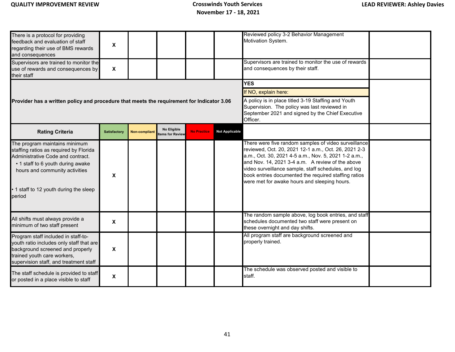| There is a protocol for providing<br>feedback and evaluation of staff<br>regarding their use of BMS rewards<br>and consequences<br>Supervisors are trained to monitor the<br>use of rewards and consequences by<br>their staff        | X<br>$\boldsymbol{\mathsf{x}}$ |                      |                                |                    |                                                                                                                                                                                                           | Reviewed policy 3-2 Behavior Management<br>Motivation System.<br>Supervisors are trained to monitor the use of rewards<br>and consequences by their staff.                                                                                                                                                                                                                              |  |
|---------------------------------------------------------------------------------------------------------------------------------------------------------------------------------------------------------------------------------------|--------------------------------|----------------------|--------------------------------|--------------------|-----------------------------------------------------------------------------------------------------------------------------------------------------------------------------------------------------------|-----------------------------------------------------------------------------------------------------------------------------------------------------------------------------------------------------------------------------------------------------------------------------------------------------------------------------------------------------------------------------------------|--|
| Provider has a written policy and procedure that meets the requirement for Indicator 3.06                                                                                                                                             |                                |                      |                                |                    | <b>YES</b><br>If NO, explain here:<br>A policy is in place titled 3-19 Staffing and Youth<br>Supervision. The policy was last reviewed in<br>September 2021 and signed by the Chief Executive<br>Officer. |                                                                                                                                                                                                                                                                                                                                                                                         |  |
| <b>Rating Criteria</b>                                                                                                                                                                                                                | <b>Satisfactory</b>            | <b>Non-compliant</b> | No Eligible<br>tems for Review | <b>No Practice</b> | <b>Not Applicable</b>                                                                                                                                                                                     |                                                                                                                                                                                                                                                                                                                                                                                         |  |
| The program maintains minimum<br>staffing ratios as required by Florida<br>Administrative Code and contract.<br>• 1 staff to 6 youth during awake<br>hours and community activities<br>1 staff to 12 youth during the sleep<br>period | X                              |                      |                                |                    |                                                                                                                                                                                                           | There were five random samples of video surveillance<br>reviewed, Oct. 20, 2021 12-1 a.m., Oct. 26, 2021 2-3<br>a.m., Oct. 30, 2021 4-5 a.m., Nov. 5, 2021 1-2 a.m.,<br>and Nov. 14, 2021 3-4 a.m. A review of the above<br>video surveillance sample, staff schedules, and log<br>book entries documented the required staffing ratios<br>were met for awake hours and sleeping hours. |  |
| All shifts must always provide a<br>minimum of two staff present                                                                                                                                                                      | X                              |                      |                                |                    |                                                                                                                                                                                                           | The random sample above, log book entries, and staff<br>schedules documented two staff were present on<br>these overnight and day shifts.                                                                                                                                                                                                                                               |  |
| Program staff included in staff-to-<br>youth ratio includes only staff that are<br>background screened and properly<br>trained youth care workers,<br>supervision staff, and treatment staff                                          | X                              |                      |                                |                    |                                                                                                                                                                                                           | All program staff are background screened and<br>properly trained.                                                                                                                                                                                                                                                                                                                      |  |
| The staff schedule is provided to staff<br>or posted in a place visible to staff                                                                                                                                                      | X                              |                      |                                |                    |                                                                                                                                                                                                           | The schedule was observed posted and visible to<br>staff.                                                                                                                                                                                                                                                                                                                               |  |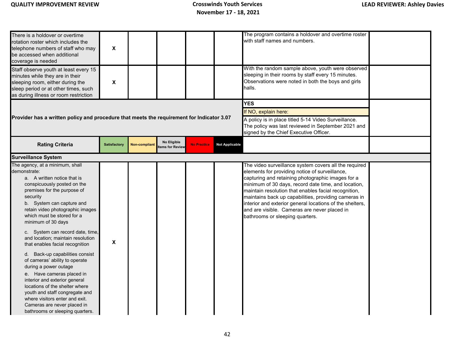| There is a holdover or overtime<br>rotation roster which includes the<br>telephone numbers of staff who may<br>be accessed when additional<br>coverage is needed                                                                                                                                                                                                                                                                                                                                                                                                                                                                                                                                                              | X                   |                      |                                |                    |                                                                                                                                                                                            | The program contains a holdover and overtime roster<br>with staff names and numbers.                                                                                                                                                                                                                                                                                                                                                                                               |  |  |  |  |
|-------------------------------------------------------------------------------------------------------------------------------------------------------------------------------------------------------------------------------------------------------------------------------------------------------------------------------------------------------------------------------------------------------------------------------------------------------------------------------------------------------------------------------------------------------------------------------------------------------------------------------------------------------------------------------------------------------------------------------|---------------------|----------------------|--------------------------------|--------------------|--------------------------------------------------------------------------------------------------------------------------------------------------------------------------------------------|------------------------------------------------------------------------------------------------------------------------------------------------------------------------------------------------------------------------------------------------------------------------------------------------------------------------------------------------------------------------------------------------------------------------------------------------------------------------------------|--|--|--|--|
| Staff observe youth at least every 15<br>minutes while they are in their<br>sleeping room, either during the<br>sleep period or at other times, such<br>as during illness or room restriction                                                                                                                                                                                                                                                                                                                                                                                                                                                                                                                                 | X                   |                      |                                |                    |                                                                                                                                                                                            | With the random sample above, youth were observed<br>sleeping in their rooms by staff every 15 minutes.<br>Observations were noted in both the boys and girls<br>halls.                                                                                                                                                                                                                                                                                                            |  |  |  |  |
| Provider has a written policy and procedure that meets the requirement for Indicator 3.07                                                                                                                                                                                                                                                                                                                                                                                                                                                                                                                                                                                                                                     |                     |                      |                                |                    | <b>YES</b><br>If NO, explain here:<br>A policy is in place titled 5-14 Video Surveillance.<br>The policy was last reviewed in September 2021 and<br>signed by the Chief Executive Officer. |                                                                                                                                                                                                                                                                                                                                                                                                                                                                                    |  |  |  |  |
| <b>Rating Criteria</b>                                                                                                                                                                                                                                                                                                                                                                                                                                                                                                                                                                                                                                                                                                        | <b>Satisfactory</b> | <b>Non-compliant</b> | No Eligible<br>tems for Review | <b>No Practice</b> | <b>Not Applicable</b>                                                                                                                                                                      |                                                                                                                                                                                                                                                                                                                                                                                                                                                                                    |  |  |  |  |
| <b>Surveillance System</b>                                                                                                                                                                                                                                                                                                                                                                                                                                                                                                                                                                                                                                                                                                    |                     |                      |                                |                    |                                                                                                                                                                                            |                                                                                                                                                                                                                                                                                                                                                                                                                                                                                    |  |  |  |  |
| The agency, at a minimum, shall<br>demonstrate:<br>a. A written notice that is<br>conspicuously posted on the<br>premises for the purpose of<br>security<br>b. System can capture and<br>retain video photographic images<br>which must be stored for a<br>minimum of 30 days<br>c. System can record date, time,<br>and location; maintain resolution<br>that enables facial recognition<br>d. Back-up capabilities consist<br>of cameras' ability to operate<br>during a power outage<br>e. Have cameras placed in<br>interior and exterior general<br>locations of the shelter where<br>youth and staff congregate and<br>where visitors enter and exit.<br>Cameras are never placed in<br>bathrooms or sleeping quarters. | X                   |                      |                                |                    |                                                                                                                                                                                            | The video surveillance system covers all the required<br>elements for providing notice of surveillance,<br>capturing and retaining photographic images for a<br>minimum of 30 days, record date time, and location,<br>maintain resolution that enables facial recognition,<br>maintains back up capabilities, providing cameras in<br>interior and exterior general locations of the shelters,<br>and are visible. Cameras are never placed in<br>bathrooms or sleeping quarters. |  |  |  |  |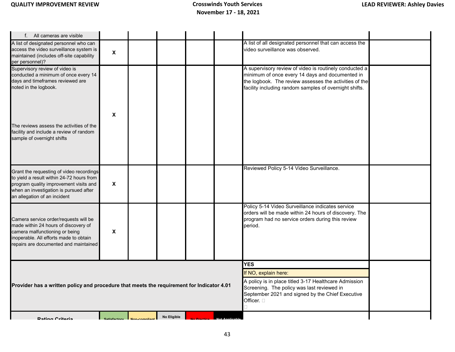| f. All cameras are visible                                                                                                                                                                                |                    |                           |             |                                                                                                                                                                                                                         |                                                                                                                                                                                                                               |  |
|-----------------------------------------------------------------------------------------------------------------------------------------------------------------------------------------------------------|--------------------|---------------------------|-------------|-------------------------------------------------------------------------------------------------------------------------------------------------------------------------------------------------------------------------|-------------------------------------------------------------------------------------------------------------------------------------------------------------------------------------------------------------------------------|--|
| A list of designated personnel who can<br>access the video surveillance system is<br>maintained (includes off-site capability<br>per personnel)?                                                          | $\pmb{\mathsf{X}}$ |                           |             |                                                                                                                                                                                                                         | A list of all designated personnel that can access the<br>video surveillance was observed.                                                                                                                                    |  |
| Supervisory review of video is<br>conducted a minimum of once every 14<br>days and timeframes reviewed are<br>noted in the logbook.                                                                       | X                  |                           |             |                                                                                                                                                                                                                         | A supervisory review of video is routinely conducted a<br>minimum of once every 14 days and documented in<br>the logbook. The review assesses the activities of the<br>facility including random samples of overnight shifts. |  |
| The reviews assess the activities of the<br>facility and include a review of random<br>sample of overnight shifts                                                                                         |                    |                           |             |                                                                                                                                                                                                                         |                                                                                                                                                                                                                               |  |
| Grant the requesting of video recordings<br>to yield a result within 24-72 hours from<br>program quality improvement visits and<br>when an investigation is pursued after<br>an allegation of an incident | $\pmb{\mathsf{X}}$ |                           |             |                                                                                                                                                                                                                         | Reviewed Policy 5-14 Video Surveillance.                                                                                                                                                                                      |  |
| Camera service order/requests will be<br>made within 24 hours of discovery of<br>camera malfunctioning or being<br>inoperable. All efforts made to obtain<br>repairs are documented and maintained        | X                  |                           |             |                                                                                                                                                                                                                         | Policy 5-14 Video Surveillance indicates service<br>orders will be made within 24 hours of discovery. The<br>program had no service orders during this review<br>period.                                                      |  |
| Provider has a written policy and procedure that meets the requirement for Indicator 4.01                                                                                                                 |                    |                           |             | <b>YES</b><br>If NO, explain here:<br>A policy is in place titled 3-17 Healthcare Admission<br>Screening. The policy was last reviewed in<br>September 2021 and signed by the Chief Executive<br>Officer. <sub>[]</sub> |                                                                                                                                                                                                                               |  |
| <b>Rating Critoria</b>                                                                                                                                                                                    |                    | Satisfactory Mon-complian | No Eligible |                                                                                                                                                                                                                         |                                                                                                                                                                                                                               |  |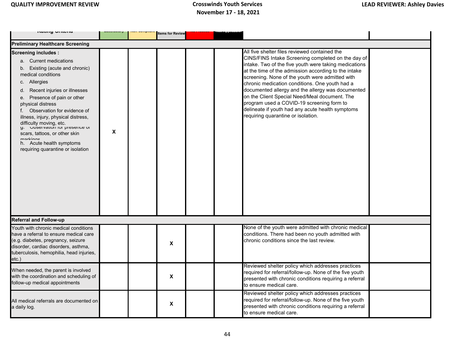| ו ושנוווש שוונסוום                                                                                                                                                                                                                                                                                                                                                                                                                                                        |   | <b>Items for Review</b> |  |                                                                                                                                                                                                                                                                                                                                                                                                                                                                                                                                                                        |  |
|---------------------------------------------------------------------------------------------------------------------------------------------------------------------------------------------------------------------------------------------------------------------------------------------------------------------------------------------------------------------------------------------------------------------------------------------------------------------------|---|-------------------------|--|------------------------------------------------------------------------------------------------------------------------------------------------------------------------------------------------------------------------------------------------------------------------------------------------------------------------------------------------------------------------------------------------------------------------------------------------------------------------------------------------------------------------------------------------------------------------|--|
| <b>Preliminary Healthcare Screening</b>                                                                                                                                                                                                                                                                                                                                                                                                                                   |   |                         |  |                                                                                                                                                                                                                                                                                                                                                                                                                                                                                                                                                                        |  |
| <b>Screening includes:</b><br>a. Current medications<br>b. Existing (acute and chronic)<br>medical conditions<br>c. Allergies<br>Recent injuries or illnesses<br>d.<br>e. Presence of pain or other<br>physical distress<br>Observation for evidence of<br>illness, injury, physical distress,<br>difficulty moving, etc.<br>g. Cuservation for presence or<br>scars, tattoos, or other skin<br>markinga<br>h. Acute health symptoms<br>requiring quarantine or isolation | X |                         |  | All five shelter files reviewed contained the<br>CINS/FINS Intake Screening completed on the day of<br>intake. Two of the five youth were taking medications<br>at the time of the admission according to the intake<br>screening. None of the youth were admitted with<br>chronic medication conditions. One youth had a<br>documented allergy and the allergy was documented<br>on the Client Special Need/Meal document. The<br>program used a COVID-19 screening form to<br>delineate if youth had any acute health symptoms<br>requiring quarantine or isolation. |  |
| <b>Referral and Follow-up</b>                                                                                                                                                                                                                                                                                                                                                                                                                                             |   |                         |  |                                                                                                                                                                                                                                                                                                                                                                                                                                                                                                                                                                        |  |
| Youth with chronic medical conditions<br>have a referral to ensure medical care<br>(e.g. diabetes, pregnancy, seizure<br>disorder, cardiac disorders, asthma,<br>tuberculosis, hemophilia, head injuries,<br>etc.)                                                                                                                                                                                                                                                        |   | X                       |  | None of the youth were admitted with chronic medical<br>conditions. There had been no youth admitted with<br>chronic conditions since the last review.                                                                                                                                                                                                                                                                                                                                                                                                                 |  |
| When needed, the parent is involved<br>with the coordination and scheduling of<br>follow-up medical appointments                                                                                                                                                                                                                                                                                                                                                          |   | X                       |  | Reviewed shelter policy which addresses practices<br>required for referral/follow-up. None of the five youth<br>presented with chronic conditions requiring a referral<br>to ensure medical care.                                                                                                                                                                                                                                                                                                                                                                      |  |
| All medical referrals are documented on<br>a daily log.                                                                                                                                                                                                                                                                                                                                                                                                                   |   | $\pmb{\chi}$            |  | Reviewed shelter policy which addresses practices<br>required for referral/follow-up. None of the five youth<br>presented with chronic conditions requiring a referral<br>to ensure medical care.                                                                                                                                                                                                                                                                                                                                                                      |  |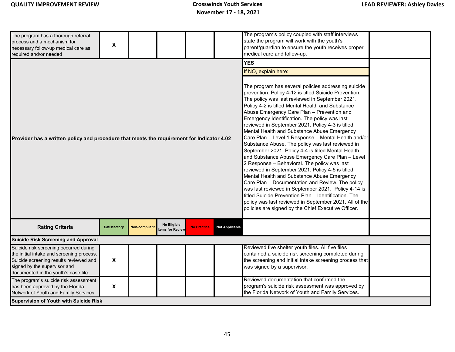| The program has a thorough referral<br>process and a mechanism for<br>necessary follow-up medical care as<br>required and/or needed                                                                   | $\pmb{\mathsf{X}}$  |                      |                                |                                                                                                                                                                                                                                                                                                                                                                                                                                                                                                                                                                                                                                                                                                                                                                                                                                                                                                                                                                                                                                                                                                                        |                       | The program's policy coupled with staff interviews<br>state the program will work with the youth's<br>parent/guardian to ensure the youth receives proper<br>medical care and follow-up.           |  |
|-------------------------------------------------------------------------------------------------------------------------------------------------------------------------------------------------------|---------------------|----------------------|--------------------------------|------------------------------------------------------------------------------------------------------------------------------------------------------------------------------------------------------------------------------------------------------------------------------------------------------------------------------------------------------------------------------------------------------------------------------------------------------------------------------------------------------------------------------------------------------------------------------------------------------------------------------------------------------------------------------------------------------------------------------------------------------------------------------------------------------------------------------------------------------------------------------------------------------------------------------------------------------------------------------------------------------------------------------------------------------------------------------------------------------------------------|-----------------------|----------------------------------------------------------------------------------------------------------------------------------------------------------------------------------------------------|--|
| Provider has a written policy and procedure that meets the requirement for Indicator 4.02                                                                                                             |                     |                      |                                | <b>YES</b><br>If NO, explain here:<br>The program has several policies addressing suicide<br>prevention. Policy 4-12 is titled Suicide Prevention.<br>The policy was last reviewed in September 2021.<br>Policy 4-2 is titled Mental Health and Substance<br>Abuse Emergency Care Plan - Prevention and<br>Emergency Identification. The policy was last<br>reviewed in September 2021. Policy 4-3 is titled<br>Mental Health and Substance Abuse Emergency<br>Care Plan - Level 1 Response - Mental Health and/or<br>Substance Abuse. The policy was last reviewed in<br>September 2021. Policy 4-4 is titled Mental Health<br>and Substance Abuse Emergency Care Plan - Level<br>2 Response - Behavioral. The policy was last<br>reviewed in September 2021. Policy 4-5 is titled<br>Mental Health and Substance Abuse Emergency<br>Care Plan - Documentation and Review. The policy<br>was last reviewed in September 2021. Policy 4-14 is<br>titled Suicide Prevention Plan - Identification. The<br>policy was last reviewed in September 2021. All of the<br>policies are signed by the Chief Executive Officer. |                       |                                                                                                                                                                                                    |  |
| <b>Rating Criteria</b>                                                                                                                                                                                | <b>Satisfactory</b> | <b>Non-compliant</b> | No Eligible<br>tems for Review | <b>No Practice</b>                                                                                                                                                                                                                                                                                                                                                                                                                                                                                                                                                                                                                                                                                                                                                                                                                                                                                                                                                                                                                                                                                                     | <b>Not Applicable</b> |                                                                                                                                                                                                    |  |
| <b>Suicide Risk Screening and Approval</b>                                                                                                                                                            |                     |                      |                                |                                                                                                                                                                                                                                                                                                                                                                                                                                                                                                                                                                                                                                                                                                                                                                                                                                                                                                                                                                                                                                                                                                                        |                       |                                                                                                                                                                                                    |  |
| Suicide risk screening occurred during<br>the initial intake and screening process.<br>Suicide screening results reviewed and<br>signed by the supervisor and<br>documented in the youth's case file. | X                   |                      |                                |                                                                                                                                                                                                                                                                                                                                                                                                                                                                                                                                                                                                                                                                                                                                                                                                                                                                                                                                                                                                                                                                                                                        |                       | Reviewed five shelter youth files. All five files<br>contained a suicide risk screening completed during<br>the screening and initial intake screening process that<br>was signed by a supervisor. |  |
| The program's suicide risk assessment<br>has been approved by the Florida<br>Network of Youth and Family Services                                                                                     | $\pmb{\mathsf{X}}$  |                      |                                |                                                                                                                                                                                                                                                                                                                                                                                                                                                                                                                                                                                                                                                                                                                                                                                                                                                                                                                                                                                                                                                                                                                        |                       | Reviewed documentation that confirmed the<br>program's suicide risk assessment was approved by<br>the Florida Network of Youth and Family Services.                                                |  |
| <b>Supervision of Youth with Suicide Risk</b>                                                                                                                                                         |                     |                      |                                |                                                                                                                                                                                                                                                                                                                                                                                                                                                                                                                                                                                                                                                                                                                                                                                                                                                                                                                                                                                                                                                                                                                        |                       |                                                                                                                                                                                                    |  |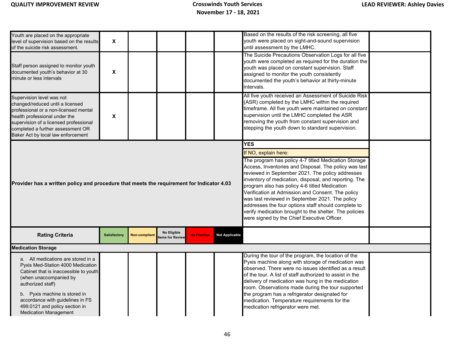| Youth are placed on the appropriate<br>level of supervision based on the results<br>of the suicide risk assessment.<br>Staff person assigned to monitor youth<br>documented youth's behavior at 30<br>minute or less intervals<br>Supervision level was not<br>changed/reduced until a licensed<br>professional or a non-licensed mental<br>health professional under the<br>supervision of a licensed professional<br>completed a further assessment OR                                                                                                                                                                                                                                                                     | $\pmb{\mathsf{X}}$<br>X<br>X |                      |                                       |                    |                       | Based on the results of the risk screening, all five<br>youth were placed on sight-and-sound supervision<br>until assessment by the LMHC.<br>The Suicide Precautions Observation Logs for all five<br>youth were completed as required for the duration the<br>youth was placed on constant supervision. Staff<br>assigned to monitor the youth consistently<br>documented the youth's behavior at thirty-minute<br>intervals.<br>All five youth received an Assessment of Suicide Risk<br>(ASR) completed by the LMHC within the required<br>timeframe. All five youth were maintained on constant<br>supervision until the LMHC completed the ASR<br>removing the youth from constant supervision and<br>stepping the youth down to standard supervision. |  |  |  |
|------------------------------------------------------------------------------------------------------------------------------------------------------------------------------------------------------------------------------------------------------------------------------------------------------------------------------------------------------------------------------------------------------------------------------------------------------------------------------------------------------------------------------------------------------------------------------------------------------------------------------------------------------------------------------------------------------------------------------|------------------------------|----------------------|---------------------------------------|--------------------|-----------------------|-------------------------------------------------------------------------------------------------------------------------------------------------------------------------------------------------------------------------------------------------------------------------------------------------------------------------------------------------------------------------------------------------------------------------------------------------------------------------------------------------------------------------------------------------------------------------------------------------------------------------------------------------------------------------------------------------------------------------------------------------------------|--|--|--|
| Baker Act by local law enforcement<br><b>YES</b><br>If NO, explain here:<br>The program has policy 4-7 titled Medication Storage<br>Access, Inventories and Disposal. The policy was last<br>reviewed in September 2021. The policy addresses<br>inventory of medication, disposal, and reporting. The<br>Provider has a written policy and procedure that meets the requirement for Indicator 4.03<br>program also has policy 4-6 titled Medication<br>Verification at Admission and Consent. The policy<br>was last reviewed in September 2021. The policy<br>addresses the four options staff should complete to<br>verify medication brought to the shelter. The policies<br>were signed by the Chief Executive Officer. |                              |                      |                                       |                    |                       |                                                                                                                                                                                                                                                                                                                                                                                                                                                                                                                                                                                                                                                                                                                                                             |  |  |  |
| <b>Rating Criteria</b>                                                                                                                                                                                                                                                                                                                                                                                                                                                                                                                                                                                                                                                                                                       | <b>Satisfactory</b>          | <b>Non-compliant</b> | <b>No Eligible</b><br>tems for Review | <b>No Practice</b> | <b>Not Applicable</b> |                                                                                                                                                                                                                                                                                                                                                                                                                                                                                                                                                                                                                                                                                                                                                             |  |  |  |
| <b>Medication Storage</b>                                                                                                                                                                                                                                                                                                                                                                                                                                                                                                                                                                                                                                                                                                    |                              |                      |                                       |                    |                       |                                                                                                                                                                                                                                                                                                                                                                                                                                                                                                                                                                                                                                                                                                                                                             |  |  |  |
| a. All medications are stored in a<br>Pyxis Med-Station 4000 Medication<br>Cabinet that is inaccessible to youth<br>(when unaccompanied by<br>authorized staff)<br>b. Pyxis machine is stored in<br>accordance with guidelines in FS<br>499.0121 and policy section in<br><b>Medication Management</b>                                                                                                                                                                                                                                                                                                                                                                                                                       |                              |                      |                                       |                    |                       | During the tour of the program, the location of the<br>Pyxis machine along with storage of medication was<br>observed. There were no issues identified as a result<br>of the tour. A list of staff authorized to assist in the<br>delivery of medication was hung in the medication<br>room. Observations made during the tour supported<br>the program has a refrigerator designated for<br>medication. Temperature requirements for the<br>medication refrigerator were met.                                                                                                                                                                                                                                                                              |  |  |  |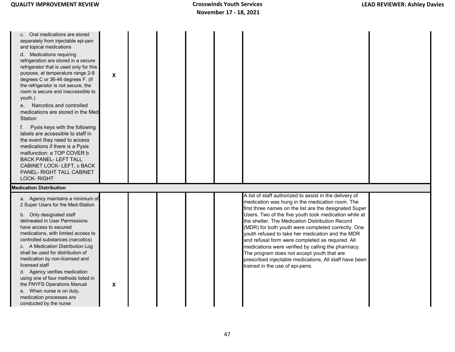| Oral medications are stored<br>C.<br>separately from injectable epi-pen<br>and topical medications<br>d. Medications requiring<br>refrigeration are stored in a secure<br>refrigerator that is used only for this<br>purpose, at temperature range 2-8<br>degrees C or 36-46 degrees F. (If<br>the refrigerator is not secure, the<br>room is secure and inaccessible to<br>youth.)<br>e. Narcotics and controlled<br>medications are stored in the Med<br>Station<br>Pyxis keys with the following<br>f.<br>labels are accessible to staff in<br>the event they need to access<br>medications if there is a Pyxis<br>malfunction: a TOP COVER b<br><b>BACK PANEL-LEFT TALL</b><br>CABINET LOCK- LEFT, c BACK<br>PANEL- RIGHT TALL CABINET<br><b>LOCK-RIGHT</b> | X |  |                                                                                                                                                                                                                                                                                                                                                                                                                                                                                                                                                                                                                                                 |  |
|-----------------------------------------------------------------------------------------------------------------------------------------------------------------------------------------------------------------------------------------------------------------------------------------------------------------------------------------------------------------------------------------------------------------------------------------------------------------------------------------------------------------------------------------------------------------------------------------------------------------------------------------------------------------------------------------------------------------------------------------------------------------|---|--|-------------------------------------------------------------------------------------------------------------------------------------------------------------------------------------------------------------------------------------------------------------------------------------------------------------------------------------------------------------------------------------------------------------------------------------------------------------------------------------------------------------------------------------------------------------------------------------------------------------------------------------------------|--|
|                                                                                                                                                                                                                                                                                                                                                                                                                                                                                                                                                                                                                                                                                                                                                                 |   |  |                                                                                                                                                                                                                                                                                                                                                                                                                                                                                                                                                                                                                                                 |  |
| <b>Medication Distribution</b>                                                                                                                                                                                                                                                                                                                                                                                                                                                                                                                                                                                                                                                                                                                                  |   |  |                                                                                                                                                                                                                                                                                                                                                                                                                                                                                                                                                                                                                                                 |  |
| a. Agency maintains a minimum of<br>2 Super Users for the Med-Station<br>b. Only designated staff<br>delineated in User Permissions<br>have access to secured<br>medications, with limited access to<br>controlled substances (narcotics)<br>c. A Medication Distribution Log<br>shall be used for distribution of<br>medication by non-licensed and<br>licensed staff<br>d. Agency verifies medication<br>using one of four methods listed in<br>the FNYFS Operations Manual<br>e. When nurse is on duty,<br>medication processes are<br>conducted by the nurse                                                                                                                                                                                                | X |  | A list of staff authorized to assist in the delivery of<br>medication was hung in the medication room. The<br>first three names on the list are the designated Super<br>Users. Two of the five youth took medication while at<br>the shelter. The Medication Distribution Record<br>(MDR) for both youth were completed correctly. One<br>vouth refused to take her medication and the MDR<br>and refusal form were completed as required. All<br>medications were verified by calling the pharmacy.<br>The program does not accept youth that are<br>prescribed injectable medications. All staff have been<br>trained in the use of epi-pens. |  |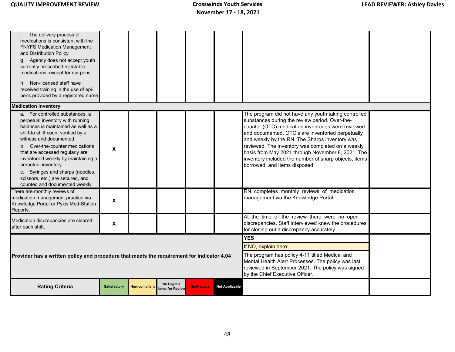| f. The delivery process of<br>medications is consistent with the<br><b>FNYFS Medication Management</b><br>and Distribution Policy<br>g. Agency does not accept youth<br>currently prescribed injectable<br>medications, except for epi-pens<br>h. Non-licensed staff have<br>received training in the use of epi-<br>pens provided by a registered nurse                                                                                                                                      |                      |                      |                                                                                                                                                                                              |                    |                       |                                                                                                                                                                                                                                                                                                                                                                                                                                                                                                                                                               |  |  |
|-----------------------------------------------------------------------------------------------------------------------------------------------------------------------------------------------------------------------------------------------------------------------------------------------------------------------------------------------------------------------------------------------------------------------------------------------------------------------------------------------|----------------------|----------------------|----------------------------------------------------------------------------------------------------------------------------------------------------------------------------------------------|--------------------|-----------------------|---------------------------------------------------------------------------------------------------------------------------------------------------------------------------------------------------------------------------------------------------------------------------------------------------------------------------------------------------------------------------------------------------------------------------------------------------------------------------------------------------------------------------------------------------------------|--|--|
| <b>Medication Inventory</b>                                                                                                                                                                                                                                                                                                                                                                                                                                                                   |                      |                      |                                                                                                                                                                                              |                    |                       |                                                                                                                                                                                                                                                                                                                                                                                                                                                                                                                                                               |  |  |
| a. For controlled substances, a<br>perpetual inventory with running<br>balances is maintained as well as a<br>shift-to shift count verified by a<br>witness and documented<br>b. Over-the-counter medications<br>that are accessed regularly are<br>inventoried weekly by maintaining a<br>perpetual inventory<br>c. Syringes and sharps (needles,<br>scissors, etc.) are secured, and<br>counted and documented weekly<br>There are monthly reviews of<br>medication management practice via | X<br>X               |                      |                                                                                                                                                                                              |                    |                       | The program did not have any youth taking controlled<br>substances during the review period. Over-the-<br>counter (OTC) medication inventories were reviewed<br>and documented. OTC's are inventoried perpetually<br>and weekly by the RN. The Sharps inventory was<br>reviewed. The inventory was completed on a weekly<br>basis from May 2021 through November 8, 2021. The<br>inventory included the number of sharp objects, items<br>borrowed, and items disposed.<br>RN completes monthly reviews of medication<br>management via the Knowledge Portal. |  |  |
| Knowledge Portal or Pyxis Med-Station<br>Reports.                                                                                                                                                                                                                                                                                                                                                                                                                                             |                      |                      |                                                                                                                                                                                              |                    |                       |                                                                                                                                                                                                                                                                                                                                                                                                                                                                                                                                                               |  |  |
| Medication discrepancies are cleared<br>after each shift.                                                                                                                                                                                                                                                                                                                                                                                                                                     | X                    |                      |                                                                                                                                                                                              |                    |                       | At the time of the review there were no open<br>discrepancies. Staff interviewed knew the procedures<br>for closing out a discrepancy accurately.                                                                                                                                                                                                                                                                                                                                                                                                             |  |  |
| <b>YES</b>                                                                                                                                                                                                                                                                                                                                                                                                                                                                                    |                      |                      |                                                                                                                                                                                              |                    |                       |                                                                                                                                                                                                                                                                                                                                                                                                                                                                                                                                                               |  |  |
|                                                                                                                                                                                                                                                                                                                                                                                                                                                                                               | If NO, explain here: |                      |                                                                                                                                                                                              |                    |                       |                                                                                                                                                                                                                                                                                                                                                                                                                                                                                                                                                               |  |  |
| Provider has a written policy and procedure that meets the requirement for Indicator 4.04                                                                                                                                                                                                                                                                                                                                                                                                     |                      |                      | The program has policy 4-11 titled Medical and<br>Mental Health Alert Processes. The policy was last<br>reviewed in September 2021. The policy was signed<br>by the Chief Executive Officer. |                    |                       |                                                                                                                                                                                                                                                                                                                                                                                                                                                                                                                                                               |  |  |
| <b>Rating Criteria</b>                                                                                                                                                                                                                                                                                                                                                                                                                                                                        | <b>Satisfactory</b>  | <b>Non-compliant</b> | No Eligible<br>tems for Review                                                                                                                                                               | <b>No Practice</b> | <b>Not Applicable</b> |                                                                                                                                                                                                                                                                                                                                                                                                                                                                                                                                                               |  |  |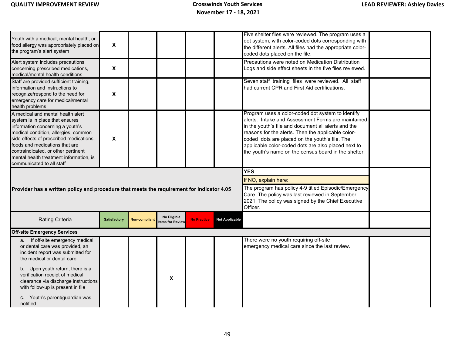|                                                                                                                                                                         |                     |                      |                                |                                                                |                       | Five shelter files were reviewed. The program uses a                                                               |  |  |
|-------------------------------------------------------------------------------------------------------------------------------------------------------------------------|---------------------|----------------------|--------------------------------|----------------------------------------------------------------|-----------------------|--------------------------------------------------------------------------------------------------------------------|--|--|
| Youth with a medical, mental health, or<br>food allergy was appropriately placed on                                                                                     | $\pmb{\mathsf{X}}$  |                      |                                |                                                                |                       | dot system, with color-coded dots corresponding with<br>the different alerts. All files had the appropriate color- |  |  |
| the program's alert system                                                                                                                                              |                     |                      |                                |                                                                |                       | coded dots placed on the file.                                                                                     |  |  |
| Alert system includes precautions<br>concerning prescribed medications,                                                                                                 | X                   |                      |                                |                                                                |                       | Precautions were noted on Medication Distribution<br>Logs and side effect sheets in the five files reviewed.       |  |  |
| medical/mental health conditions                                                                                                                                        |                     |                      |                                |                                                                |                       |                                                                                                                    |  |  |
| Staff are provided sufficient training,<br>information and instructions to<br>recognize/respond to the need for<br>emergency care for medical/mental<br>health problems | X                   |                      |                                |                                                                |                       | Seven staff training files were reviewed. All staff<br>had current CPR and First Aid certifications.               |  |  |
| A medical and mental health alert<br>system is in place that ensures                                                                                                    |                     |                      |                                |                                                                |                       | Program uses a color-coded dot system to identify<br>alerts. Intake and Assessment Forms are maintained            |  |  |
| information concerning a youth's                                                                                                                                        |                     |                      |                                |                                                                |                       | in the youth's file and document all alerts and the                                                                |  |  |
| medical condition, allergies, common<br>side effects of prescribed medications,                                                                                         | X                   |                      |                                |                                                                |                       | reasons for the alerts. Then the applicable color-<br>coded dots are placed on the youth's file. The               |  |  |
| foods and medications that are                                                                                                                                          |                     |                      |                                |                                                                |                       | applicable color-coded dots are also placed next to                                                                |  |  |
| contraindicated, or other pertinent<br>mental health treatment information, is                                                                                          |                     |                      |                                |                                                                |                       | the youth's name on the census board in the shelter.                                                               |  |  |
| communicated to all staff                                                                                                                                               |                     |                      |                                |                                                                |                       |                                                                                                                    |  |  |
|                                                                                                                                                                         |                     |                      |                                |                                                                | <b>YES</b>            |                                                                                                                    |  |  |
|                                                                                                                                                                         |                     |                      |                                | If NO, explain here:                                           |                       |                                                                                                                    |  |  |
| Provider has a written policy and procedure that meets the requirement for Indicator 4.05                                                                               |                     |                      |                                |                                                                |                       | The program has policy 4-9 titled Episodic/Emergency<br>Care. The policy was last reviewed in September            |  |  |
|                                                                                                                                                                         |                     |                      |                                | 2021. The policy was signed by the Chief Executive<br>Officer. |                       |                                                                                                                    |  |  |
| Rating Criteria                                                                                                                                                         | <b>Satisfactory</b> | <b>Non-compliant</b> | No Eligible<br>tems for Review | <b>No Practice</b>                                             | <b>Not Applicable</b> |                                                                                                                    |  |  |
| <b>Off-site Emergency Services</b>                                                                                                                                      |                     |                      |                                |                                                                |                       |                                                                                                                    |  |  |
| If off-site emergency medical<br>a.<br>or dental care was provided, an                                                                                                  |                     |                      |                                |                                                                |                       | There were no youth requiring off-site<br>emergency medical care since the last review.                            |  |  |
| incident report was submitted for<br>the medical or dental care                                                                                                         |                     |                      |                                |                                                                |                       |                                                                                                                    |  |  |
| b. Upon youth return, there is a<br>verification receipt of medical<br>clearance via discharge instructions<br>with follow-up is present in file                        |                     |                      | $\pmb{\chi}$                   |                                                                |                       |                                                                                                                    |  |  |